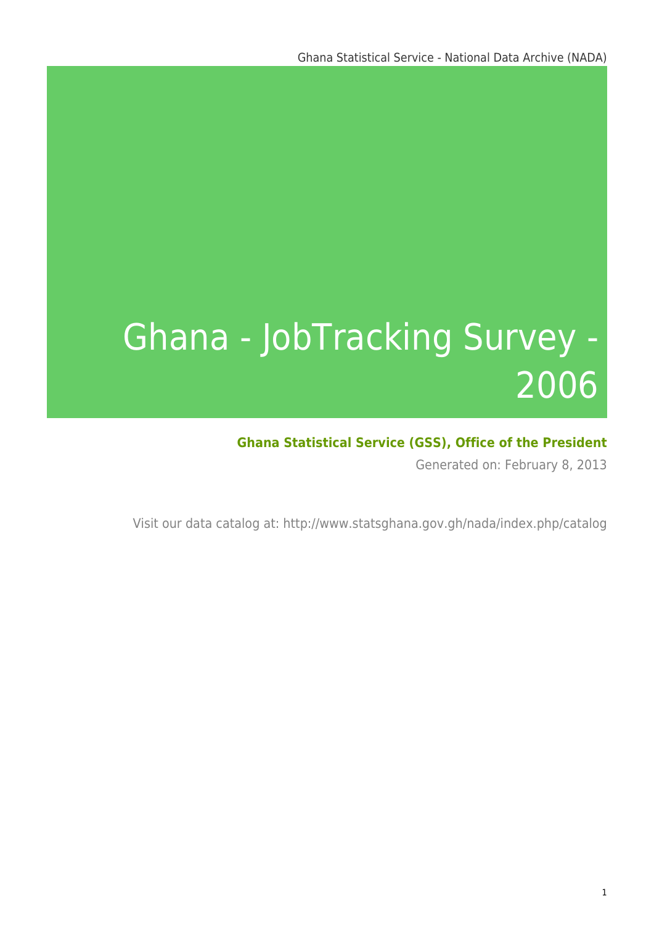# Ghana - JobTracking Survey - 2006

### **Ghana Statistical Service (GSS), Office of the President**

Generated on: February 8, 2013

Visit our data catalog at: http://www.statsghana.gov.gh/nada/index.php/catalog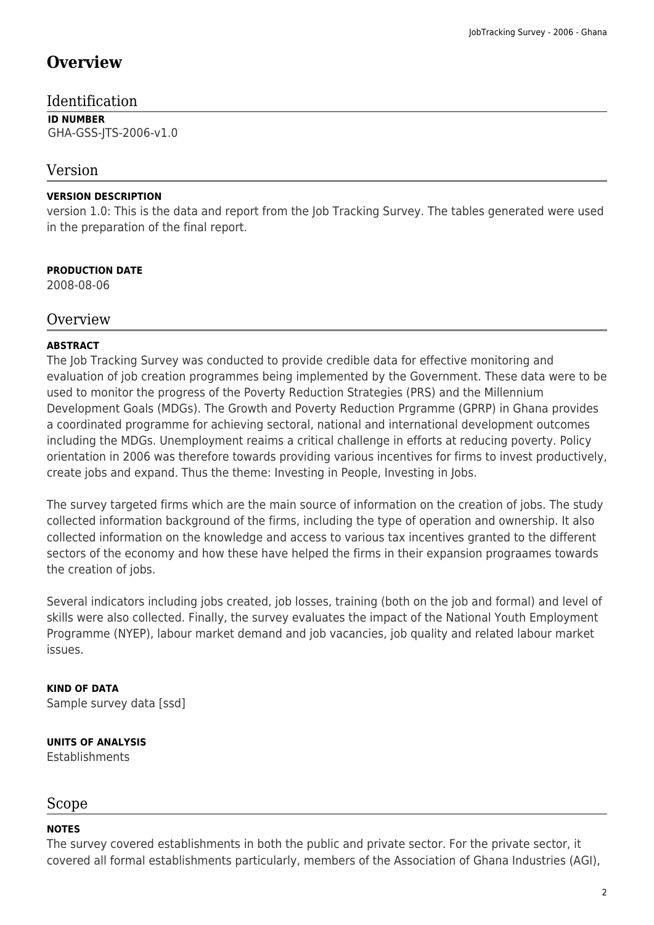### **Overview**

### Identification

**ID NUMBER** GHA-GSS-JTS-2006-v1.0

### Version

### **VERSION DESCRIPTION**

version 1.0: This is the data and report from the Job Tracking Survey. The tables generated were used in the preparation of the final report.

### **PRODUCTION DATE**

2008-08-06

### **Overview**

### **ABSTRACT**

The Job Tracking Survey was conducted to provide credible data for effective monitoring and evaluation of job creation programmes being implemented by the Government. These data were to be used to monitor the progress of the Poverty Reduction Strategies (PRS) and the Millennium Development Goals (MDGs). The Growth and Poverty Reduction Prgramme (GPRP) in Ghana provides a coordinated programme for achieving sectoral, national and international development outcomes including the MDGs. Unemployment reaims a critical challenge in efforts at reducing poverty. Policy orientation in 2006 was therefore towards providing various incentives for firms to invest productively, create jobs and expand. Thus the theme: Investing in People, Investing in Jobs.

The survey targeted firms which are the main source of information on the creation of jobs. The study collected information background of the firms, including the type of operation and ownership. It also collected information on the knowledge and access to various tax incentives granted to the different sectors of the economy and how these have helped the firms in their expansion prograames towards the creation of jobs.

Several indicators including jobs created, job losses, training (both on the job and formal) and level of skills were also collected. Finally, the survey evaluates the impact of the National Youth Employment Programme (NYEP), labour market demand and job vacancies, job quality and related labour market issues.

**KIND OF DATA** Sample survey data [ssd]

**UNITS OF ANALYSIS** Establishments

### Scope

#### **NOTES**

The survey covered establishments in both the public and private sector. For the private sector, it covered all formal establishments particularly, members of the Association of Ghana Industries (AGI),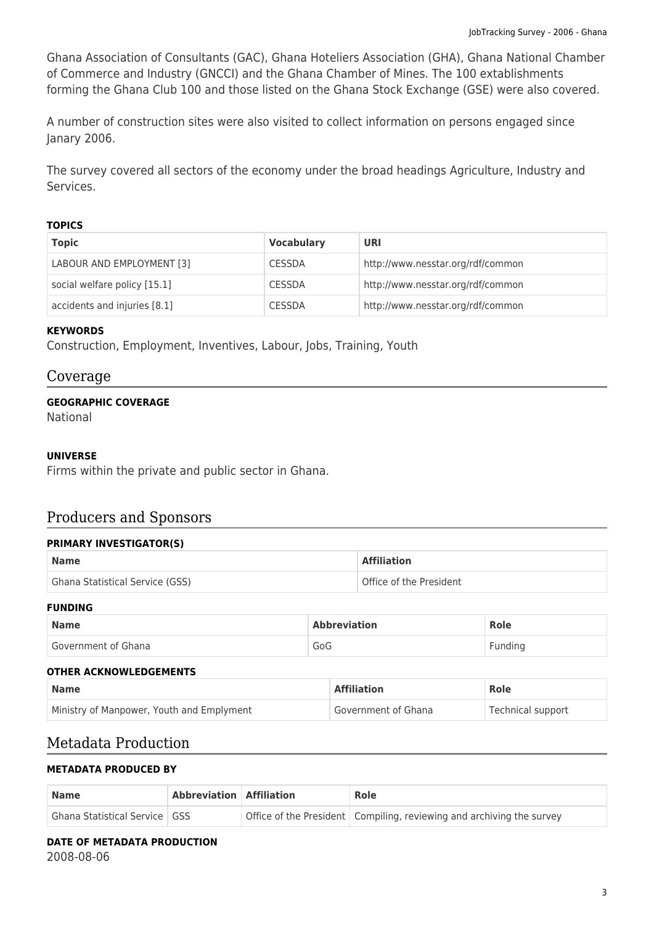Ghana Association of Consultants (GAC), Ghana Hoteliers Association (GHA), Ghana National Chamber of Commerce and Industry (GNCCI) and the Ghana Chamber of Mines. The 100 extablishments forming the Ghana Club 100 and those listed on the Ghana Stock Exchange (GSE) were also covered.

A number of construction sites were also visited to collect information on persons engaged since Janary 2006.

The survey covered all sectors of the economy under the broad headings Agriculture, Industry and Services.

#### **TOPICS**

| <b>Topic</b>                 | <b>Vocabulary</b> | URI                               |
|------------------------------|-------------------|-----------------------------------|
| LABOUR AND EMPLOYMENT [3]    | <b>CESSDA</b>     | http://www.nesstar.org/rdf/common |
| social welfare policy [15.1] | <b>CESSDA</b>     | http://www.nesstar.org/rdf/common |
| accidents and injuries [8.1] | <b>CESSDA</b>     | http://www.nesstar.org/rdf/common |

#### **KEYWORDS**

Construction, Employment, Inventives, Labour, Jobs, Training, Youth

### Coverage

#### **GEOGRAPHIC COVERAGE**

National

#### **UNIVERSE**

Firms within the private and public sector in Ghana.

### Producers and Sponsors

#### **PRIMARY INVESTIGATOR(S)**

| <b>Name</b>                     | <b>Affiliation</b>      |
|---------------------------------|-------------------------|
| Ghana Statistical Service (GSS) | Office of the President |

#### **FUNDING**

| <b>Name</b>         | <b>Abbreviation</b> | <b>Role</b> |
|---------------------|---------------------|-------------|
| Government of Ghana | GoG                 | Fundina     |

#### **OTHER ACKNOWLEDGEMENTS**

| <b>Name</b>                               | <b>Affiliation</b>  | <b>Role</b>       |
|-------------------------------------------|---------------------|-------------------|
| Ministry of Manpower, Youth and Emplyment | Government of Ghana | Technical support |

### Metadata Production

#### **METADATA PRODUCED BY**

| <b>Name</b>                          | Abbreviation   Affiliation | <b>Role</b>                                                             |
|--------------------------------------|----------------------------|-------------------------------------------------------------------------|
| <b>Ghana Statistical Service GSS</b> |                            | Office of the President   Compiling, reviewing and archiving the survey |

### **DATE OF METADATA PRODUCTION**

2008-08-06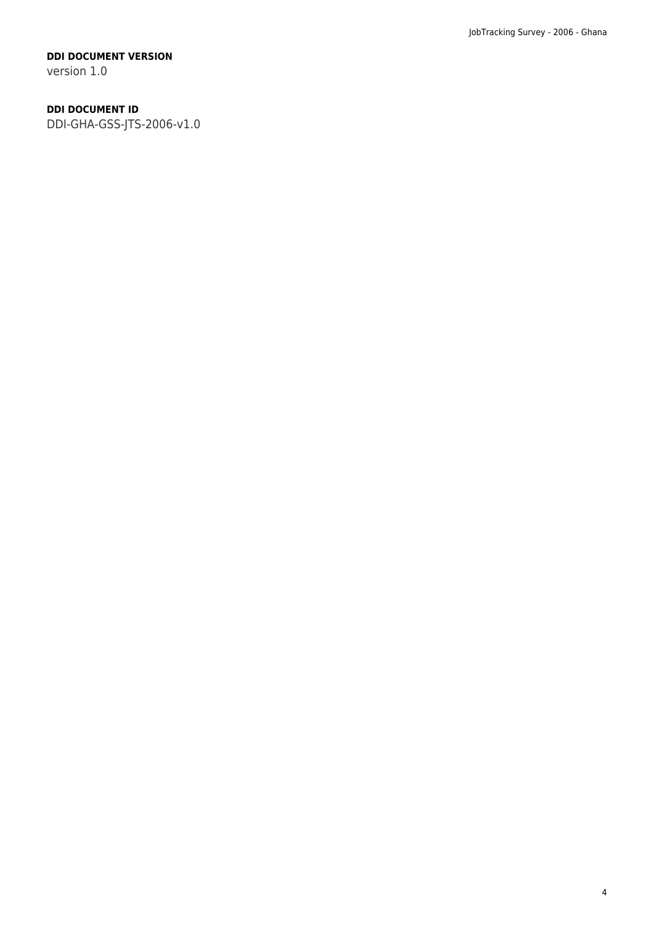#### **DDI DOCUMENT VERSION**

version 1.0

### **DDI DOCUMENT ID**

DDI-GHA-GSS-JTS-2006-v1.0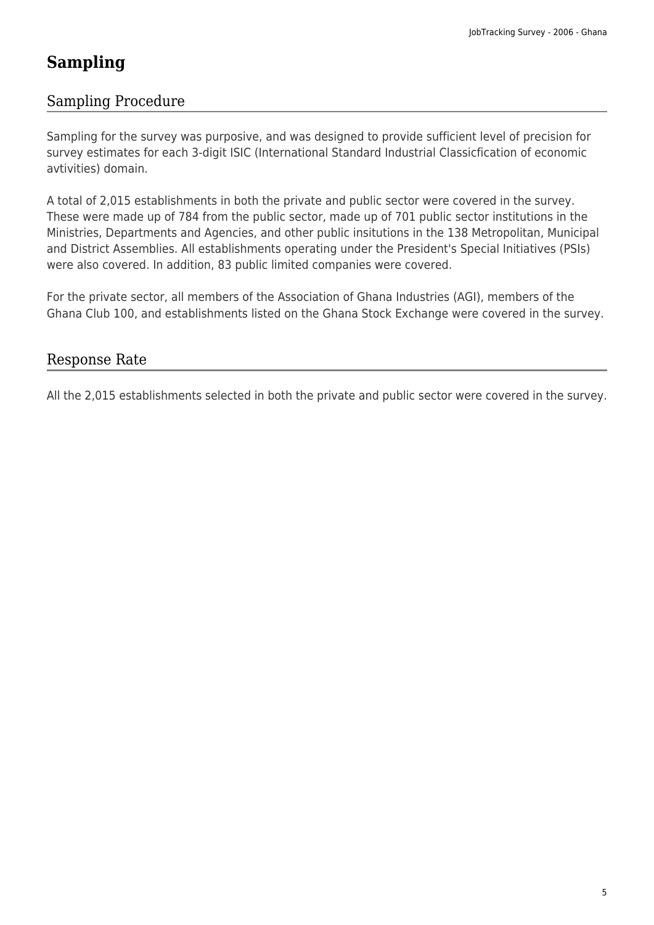### **Sampling**

### Sampling Procedure

Sampling for the survey was purposive, and was designed to provide sufficient level of precision for survey estimates for each 3-digit ISIC (International Standard Industrial Classicfication of economic avtivities) domain.

A total of 2,015 establishments in both the private and public sector were covered in the survey. These were made up of 784 from the public sector, made up of 701 public sector institutions in the Ministries, Departments and Agencies, and other public insitutions in the 138 Metropolitan, Municipal and District Assemblies. All establishments operating under the President's Special Initiatives (PSIs) were also covered. In addition, 83 public limited companies were covered.

For the private sector, all members of the Association of Ghana Industries (AGI), members of the Ghana Club 100, and establishments listed on the Ghana Stock Exchange were covered in the survey.

### Response Rate

All the 2,015 establishments selected in both the private and public sector were covered in the survey.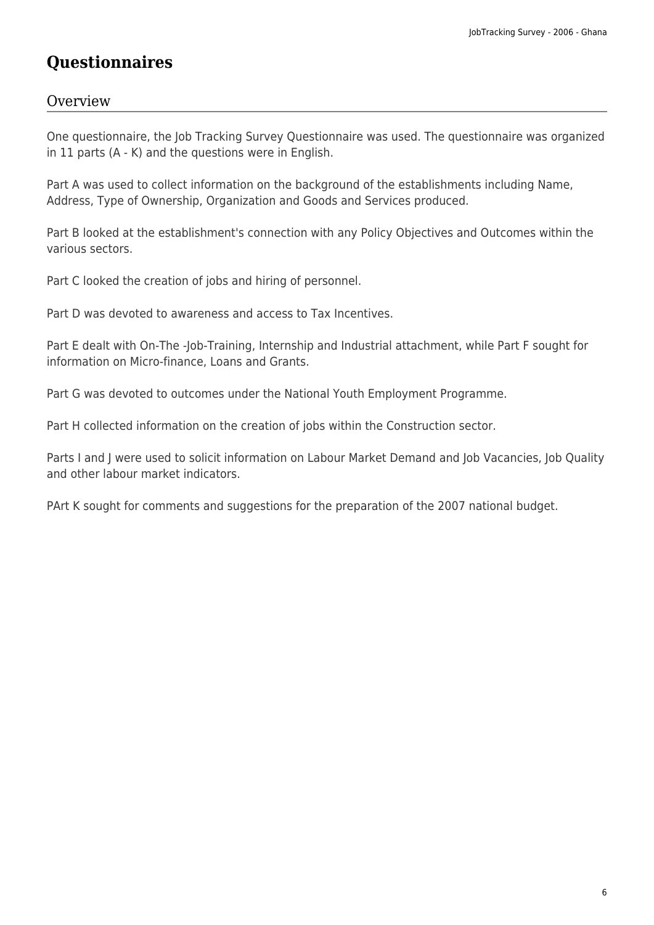### **Questionnaires**

### **Overview**

One questionnaire, the Job Tracking Survey Questionnaire was used. The questionnaire was organized in 11 parts (A - K) and the questions were in English.

Part A was used to collect information on the background of the establishments including Name, Address, Type of Ownership, Organization and Goods and Services produced.

Part B looked at the establishment's connection with any Policy Objectives and Outcomes within the various sectors.

Part C looked the creation of jobs and hiring of personnel.

Part D was devoted to awareness and access to Tax Incentives.

Part E dealt with On-The -Job-Training, Internship and Industrial attachment, while Part F sought for information on Micro-finance, Loans and Grants.

Part G was devoted to outcomes under the National Youth Employment Programme.

Part H collected information on the creation of jobs within the Construction sector.

Parts I and J were used to solicit information on Labour Market Demand and Job Vacancies, Job Quality and other labour market indicators.

PArt K sought for comments and suggestions for the preparation of the 2007 national budget.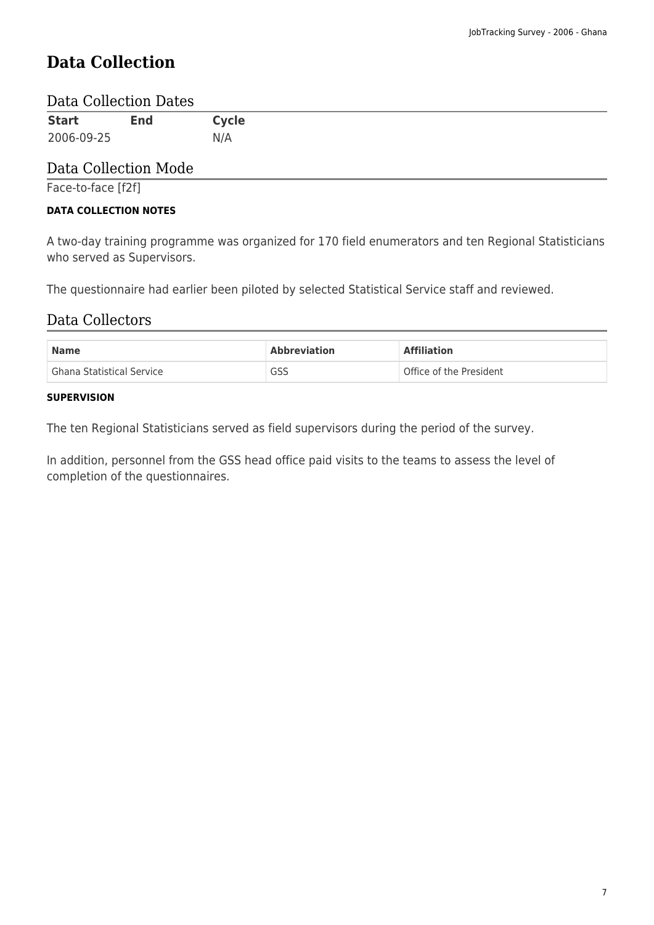### **Data Collection**

### Data Collection Dates

| <b>Start</b> | <b>End</b> | <b>Cycle</b> |
|--------------|------------|--------------|
| 2006-09-25   |            | N/A          |

### Data Collection Mode

Face-to-face [f2f]

#### **DATA COLLECTION NOTES**

A two-day training programme was organized for 170 field enumerators and ten Regional Statisticians who served as Supervisors.

The questionnaire had earlier been piloted by selected Statistical Service staff and reviewed.

### Data Collectors

| <b>Name</b>               | <b>Abbreviation</b> | <b>Affiliation</b>      |  |
|---------------------------|---------------------|-------------------------|--|
| Ghana Statistical Service | GSS                 | Office of the President |  |

#### **SUPERVISION**

The ten Regional Statisticians served as field supervisors during the period of the survey.

In addition, personnel from the GSS head office paid visits to the teams to assess the level of completion of the questionnaires.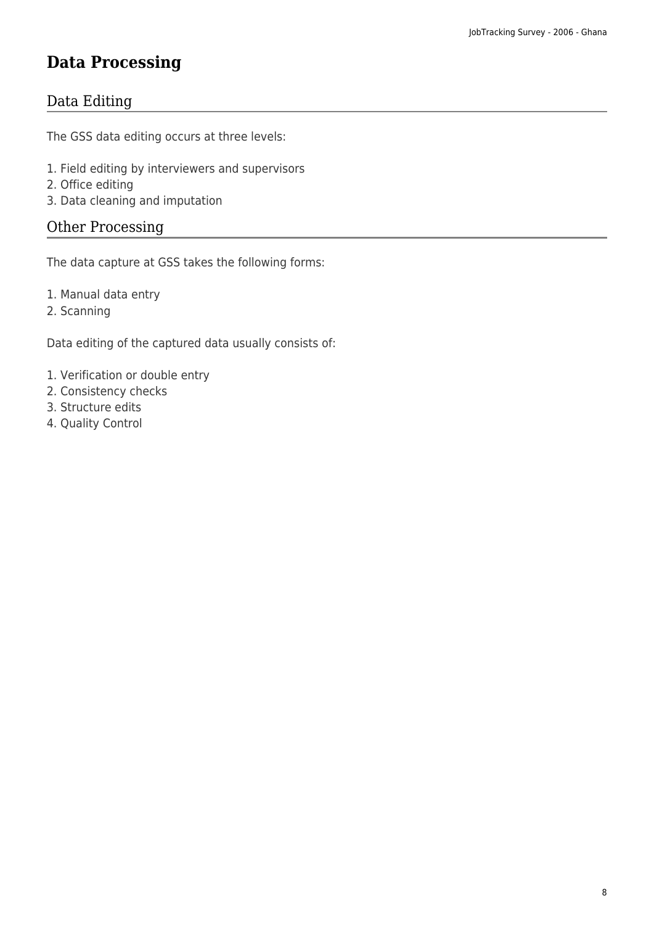### **Data Processing**

### Data Editing

The GSS data editing occurs at three levels:

- 1. Field editing by interviewers and supervisors
- 2. Office editing
- 3. Data cleaning and imputation

### Other Processing

The data capture at GSS takes the following forms:

- 1. Manual data entry
- 2. Scanning

Data editing of the captured data usually consists of:

- 1. Verification or double entry
- 2. Consistency checks
- 3. Structure edits
- 4. Quality Control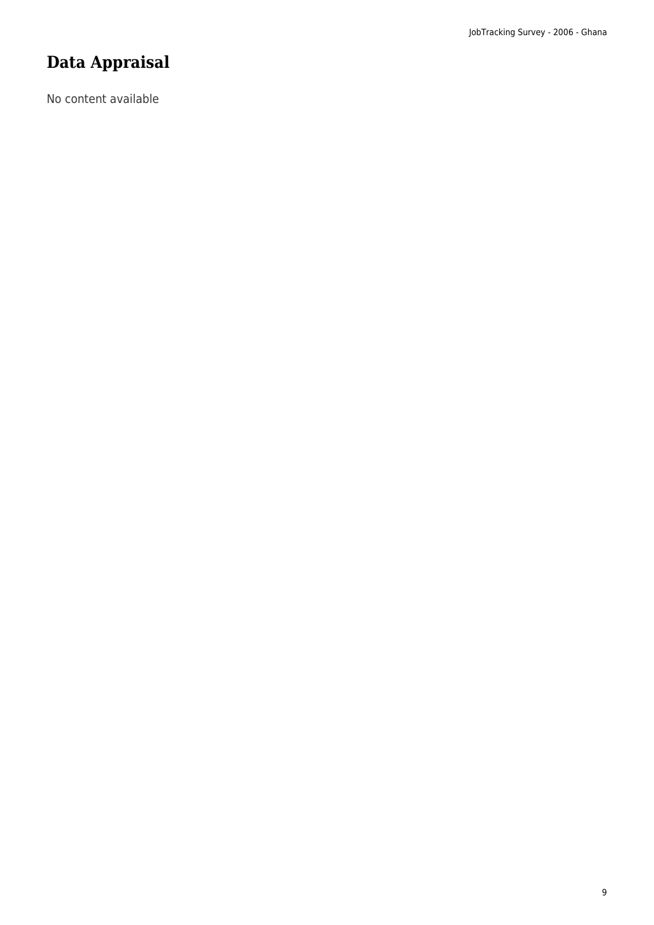### **Data Appraisal**

No content available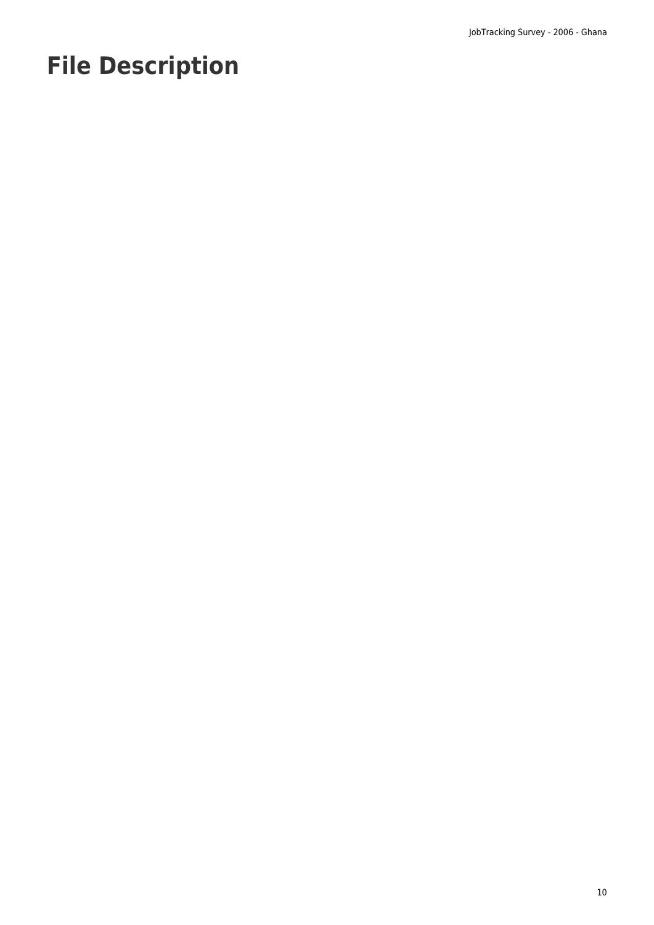# **File Description**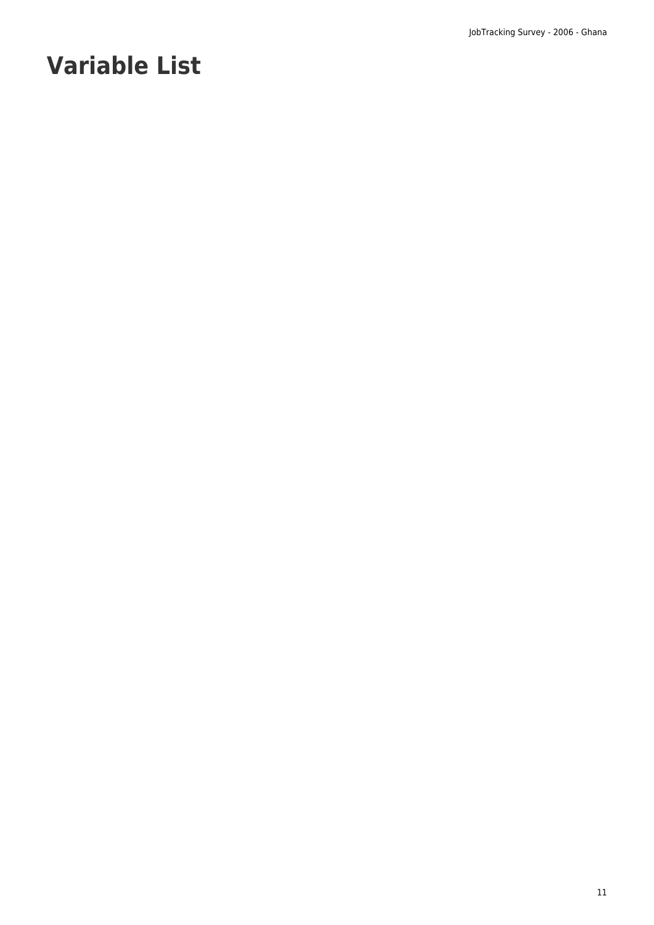# **Variable List**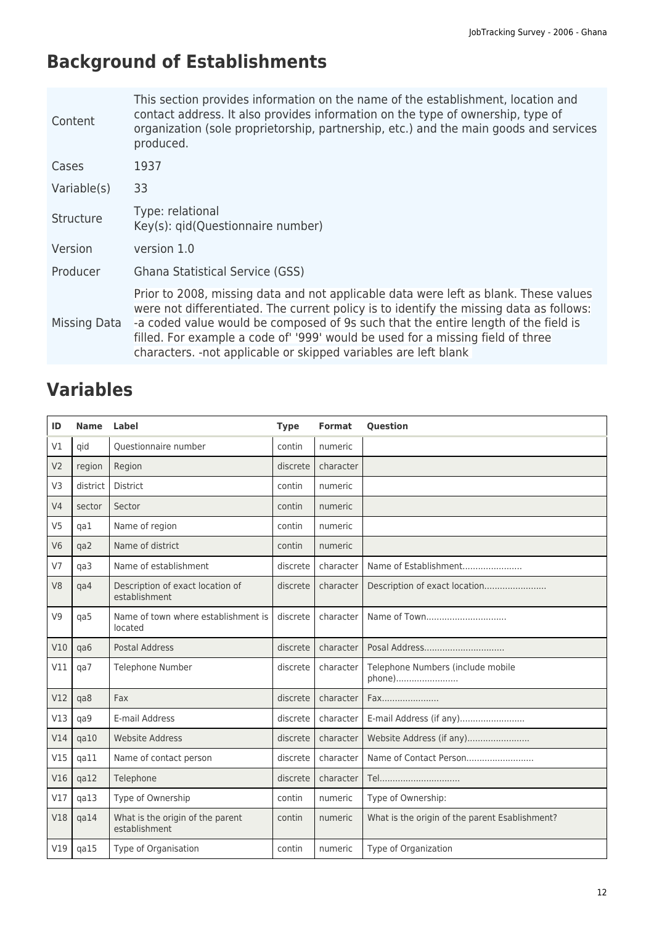# **Background of Establishments**

| Content      | This section provides information on the name of the establishment, location and<br>contact address. It also provides information on the type of ownership, type of<br>organization (sole proprietorship, partnership, etc.) and the main goods and services<br>produced.                                                                                                                                                   |
|--------------|-----------------------------------------------------------------------------------------------------------------------------------------------------------------------------------------------------------------------------------------------------------------------------------------------------------------------------------------------------------------------------------------------------------------------------|
| Cases        | 1937                                                                                                                                                                                                                                                                                                                                                                                                                        |
| Variable(s)  | 33                                                                                                                                                                                                                                                                                                                                                                                                                          |
| Structure    | Type: relational<br>Key(s): gid(Questionnaire number)                                                                                                                                                                                                                                                                                                                                                                       |
| Version      | version 1.0                                                                                                                                                                                                                                                                                                                                                                                                                 |
| Producer     | Ghana Statistical Service (GSS)                                                                                                                                                                                                                                                                                                                                                                                             |
| Missing Data | Prior to 2008, missing data and not applicable data were left as blank. These values<br>were not differentiated. The current policy is to identify the missing data as follows:<br>-a coded value would be composed of 9s such that the entire length of the field is<br>filled. For example a code of '999' would be used for a missing field of three<br>characters. - not applicable or skipped variables are left blank |

| ID             | <b>Name</b> | <b>Label</b>                                      | <b>Type</b> | <b>Format</b> | <b>Question</b>                                |
|----------------|-------------|---------------------------------------------------|-------------|---------------|------------------------------------------------|
| V1             | qid         | Questionnaire number                              | contin      | numeric       |                                                |
| V <sub>2</sub> | region      | Region                                            | discrete    | character     |                                                |
| V <sub>3</sub> | district    | <b>District</b>                                   | contin      | numeric       |                                                |
| V <sub>4</sub> | sector      | Sector                                            | contin      | numeric       |                                                |
| V <sub>5</sub> | qa1         | Name of region                                    | contin      | numeric       |                                                |
| V <sub>6</sub> | qa2         | Name of district                                  | contin      | numeric       |                                                |
| V <sub>7</sub> | qa3         | Name of establishment                             | discrete    | character     | Name of Establishment                          |
| V <sub>8</sub> | qa4         | Description of exact location of<br>establishment | discrete    | character     | Description of exact location                  |
| V <sub>9</sub> | qa5         | Name of town where establishment is<br>located    | discrete    | character     | Name of Town                                   |
| V10            | qa6         | <b>Postal Address</b>                             | discrete    | character     | Posal Address                                  |
| V11            | ga7         | Telephone Number                                  | discrete    | character     | Telephone Numbers (include mobile<br>phone)    |
| V12            | ga8         | Fax                                               | discrete    | character     | Fax                                            |
| V13            | qa9         | E-mail Address                                    | discrete    | character     |                                                |
| V14            | qa10        | <b>Website Address</b>                            | discrete    | character     | Website Address (if any)                       |
| V15            | qa11        | Name of contact person                            | discrete    | character     |                                                |
| V16            | $q$ a $12$  | Telephone                                         | discrete    | character     | Tel                                            |
| V17            | qa13        | Type of Ownership                                 | contin      | numeric       | Type of Ownership:                             |
| V18            | qa14        | What is the origin of the parent<br>establishment | contin      | numeric       | What is the origin of the parent Esablishment? |
| V19            | qa15        | Type of Organisation                              | contin      | numeric       | Type of Organization                           |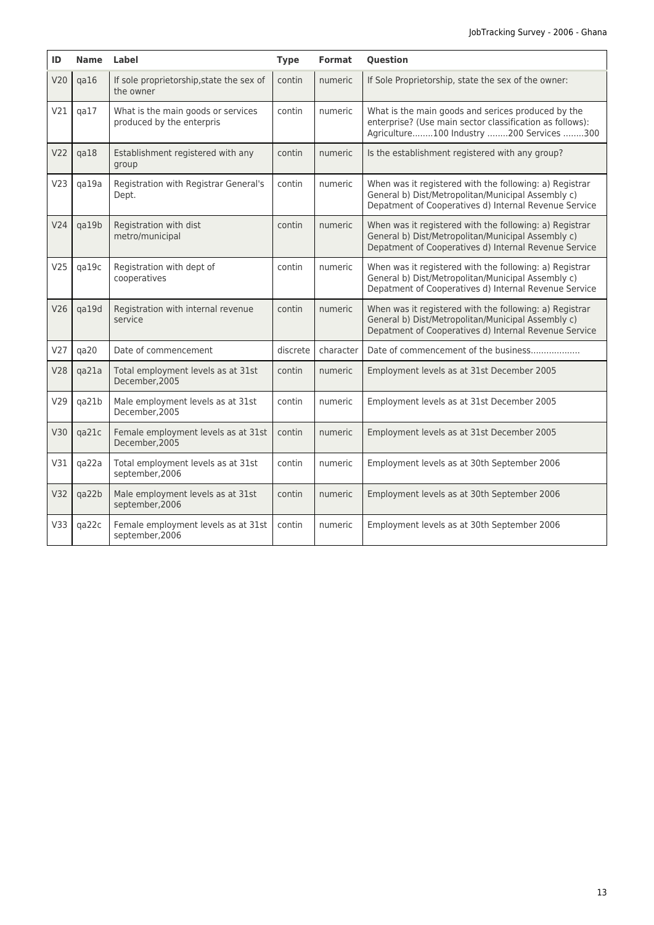| ID              | Name Label |                                                                 | <b>Type</b> | <b>Format</b> | <b>Question</b>                                                                                                                                                        |
|-----------------|------------|-----------------------------------------------------------------|-------------|---------------|------------------------------------------------------------------------------------------------------------------------------------------------------------------------|
| V20             | qa16       | If sole proprietorship, state the sex of<br>the owner           | contin      | numeric       | If Sole Proprietorship, state the sex of the owner:                                                                                                                    |
| V21             | qa17       | What is the main goods or services<br>produced by the enterpris | contin      | numeric       | What is the main goods and serices produced by the<br>enterprise? (Use main sector classification as follows):<br>Agriculture100 Industry 200 Services 300             |
| V <sub>22</sub> | qa18       | Establishment registered with any<br>group                      | contin      | numeric       | Is the establishment registered with any group?                                                                                                                        |
| V <sub>23</sub> | ga19a      | Registration with Registrar General's<br>Dept.                  | contin      | numeric       | When was it registered with the following: a) Registrar<br>General b) Dist/Metropolitan/Municipal Assembly c)<br>Depatment of Cooperatives d) Internal Revenue Service |
| V <sub>24</sub> | qa19b      | Registration with dist<br>metro/municipal                       | contin      | numeric       | When was it registered with the following: a) Registrar<br>General b) Dist/Metropolitan/Municipal Assembly c)<br>Depatment of Cooperatives d) Internal Revenue Service |
| V25             | qa19c      | Registration with dept of<br>cooperatives                       | contin      | numeric       | When was it registered with the following: a) Registrar<br>General b) Dist/Metropolitan/Municipal Assembly c)<br>Depatment of Cooperatives d) Internal Revenue Service |
| V26             | qa19d      | Registration with internal revenue<br>service                   | contin      | numeric       | When was it registered with the following: a) Registrar<br>General b) Dist/Metropolitan/Municipal Assembly c)<br>Depatment of Cooperatives d) Internal Revenue Service |
| V <sub>27</sub> | qa20       | Date of commencement                                            | discrete    | character     | Date of commencement of the business                                                                                                                                   |
| V28             | qa21a      | Total employment levels as at 31st<br>December, 2005            | contin      | numeric       | Employment levels as at 31st December 2005                                                                                                                             |
| V29             | qa21b      | Male employment levels as at 31st<br>December, 2005             | contin      | numeric       | Employment levels as at 31st December 2005                                                                                                                             |
| V30             | qa21c      | Female employment levels as at 31st<br>December.2005            | contin      | numeric       | Employment levels as at 31st December 2005                                                                                                                             |
| V31             | qa22a      | Total employment levels as at 31st<br>september, 2006           | contin      | numeric       | Employment levels as at 30th September 2006                                                                                                                            |
| V32             | qa22b      | Male employment levels as at 31st<br>september, 2006            | contin      | numeric       | Employment levels as at 30th September 2006                                                                                                                            |
| V33             | qa22c      | Female employment levels as at 31st<br>september, 2006          | contin      | numeric       | Employment levels as at 30th September 2006                                                                                                                            |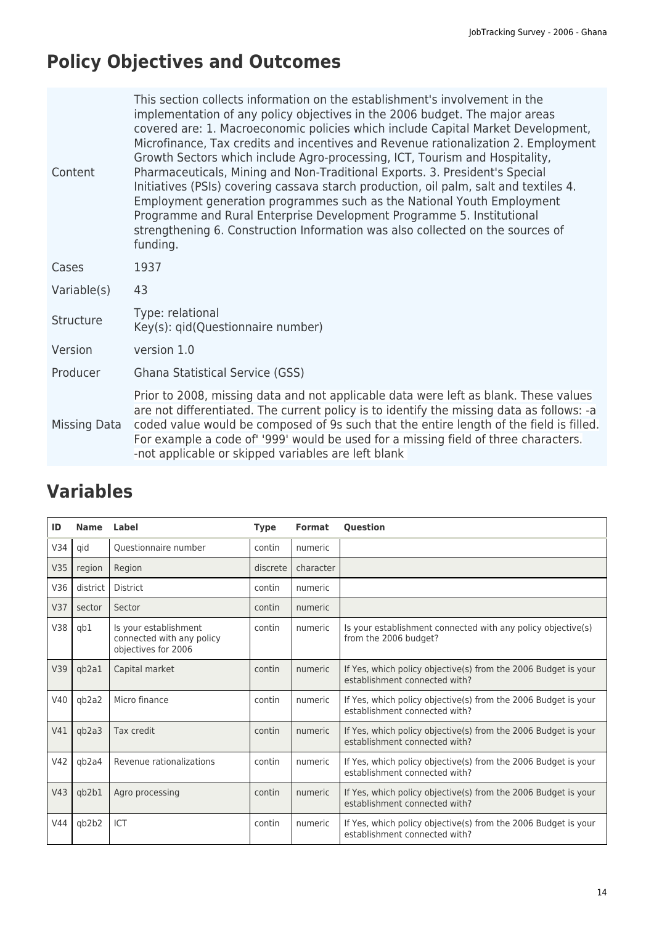# **Policy Objectives and Outcomes**

| Content      | This section collects information on the establishment's involvement in the<br>implementation of any policy objectives in the 2006 budget. The major areas<br>covered are: 1. Macroeconomic policies which include Capital Market Development,<br>Microfinance, Tax credits and incentives and Revenue rationalization 2. Employment<br>Growth Sectors which include Agro-processing, ICT, Tourism and Hospitality,<br>Pharmaceuticals, Mining and Non-Traditional Exports. 3. President's Special<br>Initiatives (PSIs) covering cassava starch production, oil palm, salt and textiles 4.<br>Employment generation programmes such as the National Youth Employment<br>Programme and Rural Enterprise Development Programme 5. Institutional<br>strengthening 6. Construction Information was also collected on the sources of<br>funding. |
|--------------|----------------------------------------------------------------------------------------------------------------------------------------------------------------------------------------------------------------------------------------------------------------------------------------------------------------------------------------------------------------------------------------------------------------------------------------------------------------------------------------------------------------------------------------------------------------------------------------------------------------------------------------------------------------------------------------------------------------------------------------------------------------------------------------------------------------------------------------------|
| Cases        | 1937                                                                                                                                                                                                                                                                                                                                                                                                                                                                                                                                                                                                                                                                                                                                                                                                                                         |
| Variable(s)  | 43                                                                                                                                                                                                                                                                                                                                                                                                                                                                                                                                                                                                                                                                                                                                                                                                                                           |
| Structure    | Type: relational<br>Key(s): qid(Questionnaire number)                                                                                                                                                                                                                                                                                                                                                                                                                                                                                                                                                                                                                                                                                                                                                                                        |
| Version      | version 1.0                                                                                                                                                                                                                                                                                                                                                                                                                                                                                                                                                                                                                                                                                                                                                                                                                                  |
| Producer     | Ghana Statistical Service (GSS)                                                                                                                                                                                                                                                                                                                                                                                                                                                                                                                                                                                                                                                                                                                                                                                                              |
| Missing Data | Prior to 2008, missing data and not applicable data were left as blank. These values<br>are not differentiated. The current policy is to identify the missing data as follows: -a<br>coded value would be composed of 9s such that the entire length of the field is filled.<br>For example a code of '999' would be used for a missing field of three characters.<br>-not applicable or skipped variables are left blank                                                                                                                                                                                                                                                                                                                                                                                                                    |

| ID  | <b>Name</b> | Label                                                                     | <b>Type</b> | <b>Format</b> | <b>Question</b>                                                                                 |
|-----|-------------|---------------------------------------------------------------------------|-------------|---------------|-------------------------------------------------------------------------------------------------|
| V34 | qid         | Ouestionnaire number                                                      | contin      | numeric       |                                                                                                 |
| V35 | region      | Region                                                                    | discrete    | character     |                                                                                                 |
| V36 | district    | District                                                                  | contin      | numeric       |                                                                                                 |
| V37 | sector      | Sector                                                                    | contin      | numeric       |                                                                                                 |
| V38 | gb1         | Is your establishment<br>connected with any policy<br>objectives for 2006 | contin      | numeric       | Is your establishment connected with any policy objective(s)<br>from the 2006 budget?           |
| V39 | qb2a1       | Capital market                                                            | contin      | numeric       | If Yes, which policy objective(s) from the 2006 Budget is your<br>establishment connected with? |
| V40 | gb2a2       | Micro finance                                                             | contin      | numeric       | If Yes, which policy objective(s) from the 2006 Budget is your<br>establishment connected with? |
| V41 | qb2a3       | Tax credit                                                                | contin      | numeric       | If Yes, which policy objective(s) from the 2006 Budget is your<br>establishment connected with? |
| V42 | qb2a4       | Revenue rationalizations                                                  | contin      | numeric       | If Yes, which policy objective(s) from the 2006 Budget is your<br>establishment connected with? |
| V43 | qb2b1       | Agro processing                                                           | contin      | numeric       | If Yes, which policy objective(s) from the 2006 Budget is your<br>establishment connected with? |
| V44 | qb2b2       | ICT                                                                       | contin      | numeric       | If Yes, which policy objective(s) from the 2006 Budget is your<br>establishment connected with? |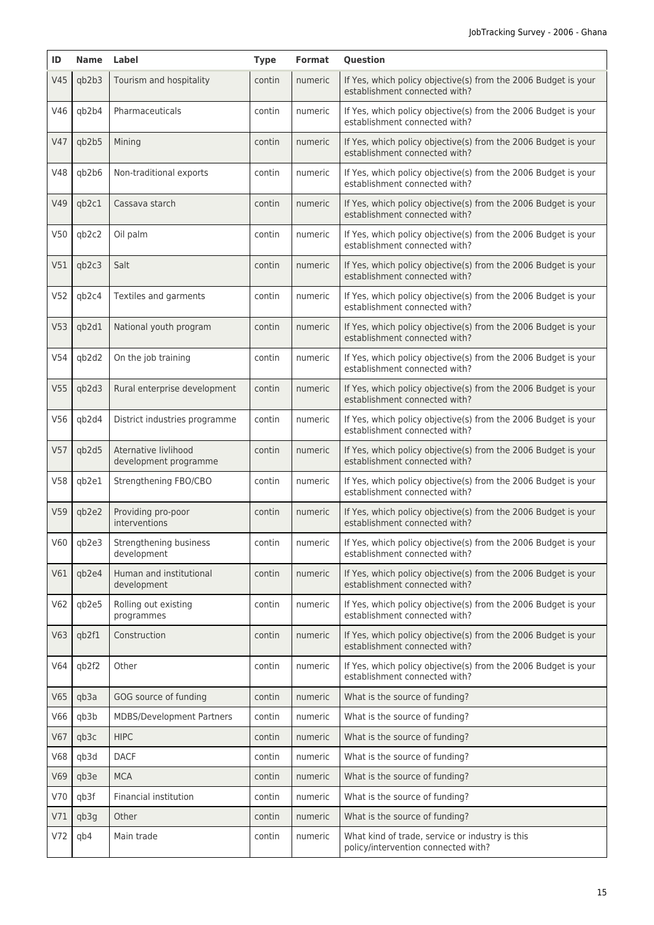| ID              | Name  | Label                                         | <b>Type</b> | <b>Format</b> | Question                                                                                        |
|-----------------|-------|-----------------------------------------------|-------------|---------------|-------------------------------------------------------------------------------------------------|
| V45             | qb2b3 | Tourism and hospitality                       | contin      | numeric       | If Yes, which policy objective(s) from the 2006 Budget is your<br>establishment connected with? |
| V46             | qb2b4 | Pharmaceuticals                               | contin      | numeric       | If Yes, which policy objective(s) from the 2006 Budget is your<br>establishment connected with? |
| V47             | qb2b5 | Mining                                        | contin      | numeric       | If Yes, which policy objective(s) from the 2006 Budget is your<br>establishment connected with? |
| V48             | qb2b6 | Non-traditional exports                       | contin      | numeric       | If Yes, which policy objective(s) from the 2006 Budget is your<br>establishment connected with? |
| V49             | qb2c1 | Cassava starch                                | contin      | numeric       | If Yes, which policy objective(s) from the 2006 Budget is your<br>establishment connected with? |
| V50             | qb2c2 | Oil palm                                      | contin      | numeric       | If Yes, which policy objective(s) from the 2006 Budget is your<br>establishment connected with? |
| V51             | qb2c3 | Salt                                          | contin      | numeric       | If Yes, which policy objective(s) from the 2006 Budget is your<br>establishment connected with? |
| V <sub>52</sub> | qb2c4 | Textiles and garments                         | contin      | numeric       | If Yes, which policy objective(s) from the 2006 Budget is your<br>establishment connected with? |
| V <sub>53</sub> | qb2d1 | National youth program                        | contin      | numeric       | If Yes, which policy objective(s) from the 2006 Budget is your<br>establishment connected with? |
| V54             | qb2d2 | On the job training                           | contin      | numeric       | If Yes, which policy objective(s) from the 2006 Budget is your<br>establishment connected with? |
| V <sub>55</sub> | qb2d3 | Rural enterprise development                  | contin      | numeric       | If Yes, which policy objective(s) from the 2006 Budget is your<br>establishment connected with? |
| V56             | qb2d4 | District industries programme                 | contin      | numeric       | If Yes, which policy objective(s) from the 2006 Budget is your<br>establishment connected with? |
| V <sub>57</sub> | qb2d5 | Aternative livlihood<br>development programme | contin      | numeric       | If Yes, which policy objective(s) from the 2006 Budget is your<br>establishment connected with? |
| V58             | qb2e1 | Strengthening FBO/CBO                         | contin      | numeric       | If Yes, which policy objective(s) from the 2006 Budget is your<br>establishment connected with? |
| V <sub>59</sub> | qb2e2 | Providing pro-poor<br>interventions           | contin      | numeric       | If Yes, which policy objective(s) from the 2006 Budget is your<br>establishment connected with? |
| V60             | qb2e3 | Strengthening business<br>development         | contin      | numeric       | If Yes, which policy objective(s) from the 2006 Budget is your<br>establishment connected with? |
| V61             | qb2e4 | Human and institutional<br>development        | contin      | numeric       | If Yes, which policy objective(s) from the 2006 Budget is your<br>establishment connected with? |
| V62             | qb2e5 | Rolling out existing<br>programmes            | contin      | numeric       | If Yes, which policy objective(s) from the 2006 Budget is your<br>establishment connected with? |
| V63             | qb2f1 | Construction                                  | contin      | numeric       | If Yes, which policy objective(s) from the 2006 Budget is your<br>establishment connected with? |
| V64             | qb2f2 | Other                                         | contin      | numeric       | If Yes, which policy objective(s) from the 2006 Budget is your<br>establishment connected with? |
| V65             | qb3a  | GOG source of funding                         | contin      | numeric       | What is the source of funding?                                                                  |
| V66             | qb3b  | MDBS/Development Partners                     | contin      | numeric       | What is the source of funding?                                                                  |
| V67             | qb3c  | <b>HIPC</b>                                   | contin      | numeric       | What is the source of funding?                                                                  |
| <b>V68</b>      | qb3d  | <b>DACF</b>                                   | contin      | numeric       | What is the source of funding?                                                                  |
| V69             | qb3e  | <b>MCA</b>                                    | contin      | numeric       | What is the source of funding?                                                                  |
| V70             | qb3f  | Financial institution                         | contin      | numeric       | What is the source of funding?                                                                  |
| V71             | qb3g  | Other                                         | contin      | numeric       | What is the source of funding?                                                                  |
| V72             | qb4   | Main trade                                    | contin      | numeric       | What kind of trade, service or industry is this<br>policy/intervention connected with?          |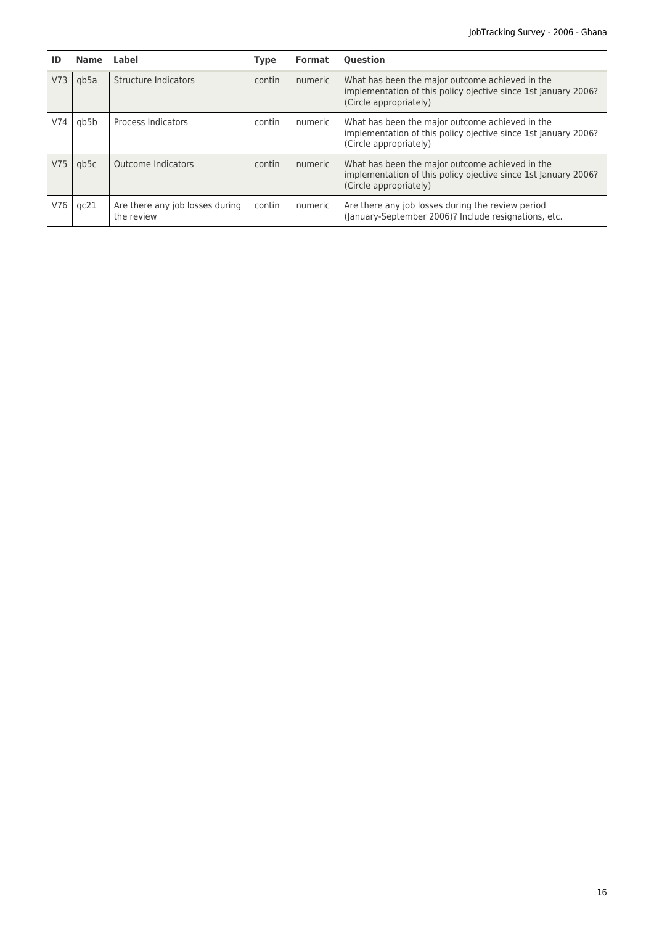| ID              | <b>Name</b> | Label                                         | Type   | <b>Format</b> | <b>Ouestion</b>                                                                                                                             |
|-----------------|-------------|-----------------------------------------------|--------|---------------|---------------------------------------------------------------------------------------------------------------------------------------------|
| V <sub>73</sub> | gb5a        | Structure Indicators                          | contin | numeric       | What has been the major outcome achieved in the<br>implementation of this policy ojective since 1st January 2006?<br>(Circle appropriately) |
| V74             | qb5b        | Process Indicators                            | contin | numeric       | What has been the major outcome achieved in the<br>implementation of this policy ojective since 1st January 2006?<br>(Circle appropriately) |
| V <sub>75</sub> | gb5c        | Outcome Indicators                            | contin | numeric       | What has been the major outcome achieved in the<br>implementation of this policy ojective since 1st January 2006?<br>(Circle appropriately) |
| V76             | qc21        | Are there any job losses during<br>the review | contin | numeric       | Are there any job losses during the review period<br>(January-September 2006)? Include resignations, etc.                                   |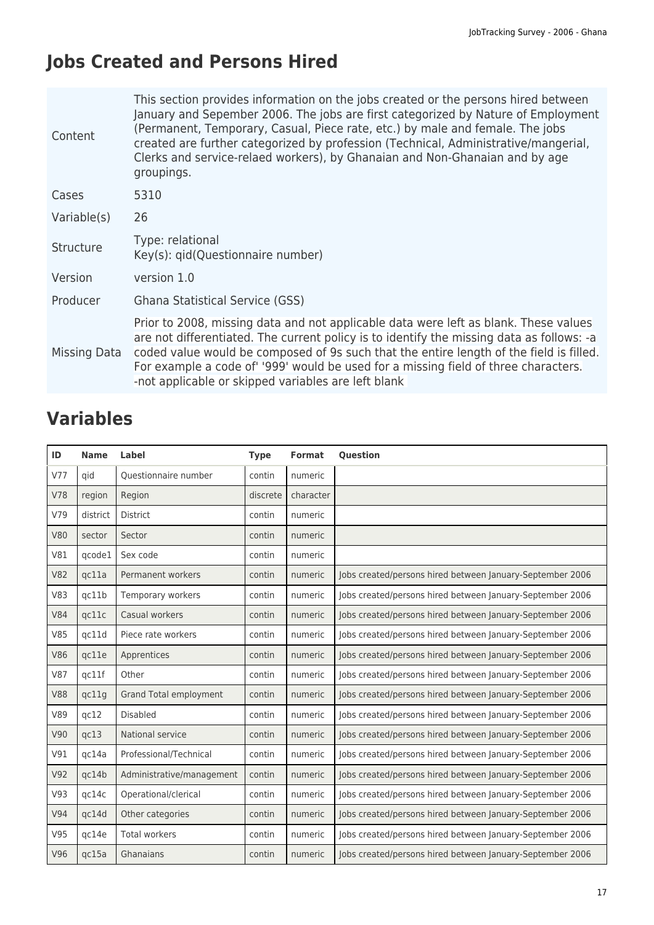# **Jobs Created and Persons Hired**

| Content      | This section provides information on the jobs created or the persons hired between<br>January and Sepember 2006. The jobs are first categorized by Nature of Employment<br>(Permanent, Temporary, Casual, Piece rate, etc.) by male and female. The jobs<br>created are further categorized by profession (Technical, Administrative/mangerial,<br>Clerks and service-relaed workers), by Ghanaian and Non-Ghanaian and by age<br>groupings. |
|--------------|----------------------------------------------------------------------------------------------------------------------------------------------------------------------------------------------------------------------------------------------------------------------------------------------------------------------------------------------------------------------------------------------------------------------------------------------|
| Cases        | 5310                                                                                                                                                                                                                                                                                                                                                                                                                                         |
| Variable(s)  | 26                                                                                                                                                                                                                                                                                                                                                                                                                                           |
| Structure    | Type: relational<br>Key(s): qid(Questionnaire number)                                                                                                                                                                                                                                                                                                                                                                                        |
| Version      | version 1.0                                                                                                                                                                                                                                                                                                                                                                                                                                  |
| Producer     | Ghana Statistical Service (GSS)                                                                                                                                                                                                                                                                                                                                                                                                              |
| Missing Data | Prior to 2008, missing data and not applicable data were left as blank. These values<br>are not differentiated. The current policy is to identify the missing data as follows: -a<br>coded value would be composed of 9s such that the entire length of the field is filled.<br>For example a code of' '999' would be used for a missing field of three characters.<br>-not applicable or skipped variables are left blank                   |

| ID         | <b>Name</b> | Label                         | <b>Type</b> | Format    | <b>Question</b>                                           |
|------------|-------------|-------------------------------|-------------|-----------|-----------------------------------------------------------|
| V77        | qid         | Questionnaire number          | contin      | numeric   |                                                           |
| <b>V78</b> | region      | Region                        | discrete    | character |                                                           |
| V79        | district    | <b>District</b>               | contin      | numeric   |                                                           |
| <b>V80</b> | sector      | Sector                        | contin      | numeric   |                                                           |
| V81        | qcode1      | Sex code                      | contin      | numeric   |                                                           |
| <b>V82</b> | qc11a       | Permanent workers             | contin      | numeric   | Jobs created/persons hired between January-September 2006 |
| <b>V83</b> | qc11b       | Temporary workers             | contin      | numeric   | Jobs created/persons hired between January-September 2006 |
| <b>V84</b> | qc11c       | Casual workers                | contin      | numeric   | Jobs created/persons hired between January-September 2006 |
| <b>V85</b> | qc11d       | Piece rate workers            | contin      | numeric   | Jobs created/persons hired between January-September 2006 |
| <b>V86</b> | qc11e       | Apprentices                   | contin      | numeric   | Jobs created/persons hired between January-September 2006 |
| <b>V87</b> | qc11f       | Other                         | contin      | numeric   | Jobs created/persons hired between January-September 2006 |
| <b>V88</b> | qc11g       | <b>Grand Total employment</b> | contin      | numeric   | Jobs created/persons hired between January-September 2006 |
| V89        | qc12        | <b>Disabled</b>               | contin      | numeric   | Jobs created/persons hired between January-September 2006 |
| V90        | qc13        | National service              | contin      | numeric   | Jobs created/persons hired between January-September 2006 |
| V91        | qc14a       | Professional/Technical        | contin      | numeric   | Jobs created/persons hired between January-September 2006 |
| V92        | qc14b       | Administrative/management     | contin      | numeric   | Jobs created/persons hired between January-September 2006 |
| V93        | qc14c       | Operational/clerical          | contin      | numeric   | Jobs created/persons hired between January-September 2006 |
| V94        | qc14d       | Other categories              | contin      | numeric   | Jobs created/persons hired between January-September 2006 |
| V95        | qc14e       | <b>Total workers</b>          | contin      | numeric   | Jobs created/persons hired between January-September 2006 |
| V96        | qc15a       | Ghanaians                     | contin      | numeric   | Jobs created/persons hired between January-September 2006 |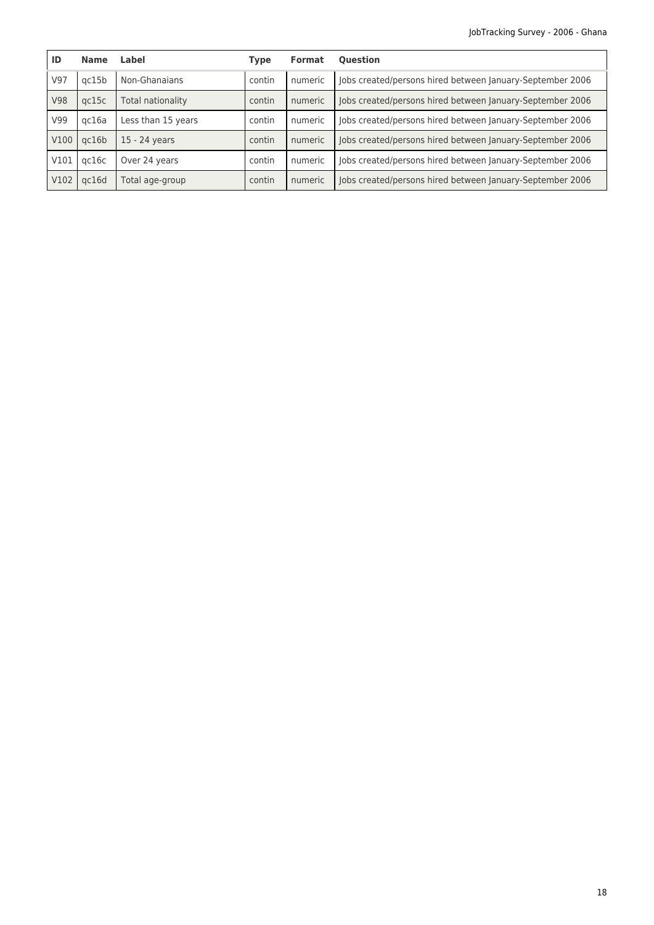| ID               | <b>Name</b> | Label              | <b>Type</b> | <b>Format</b> | <b>Ouestion</b>                                           |
|------------------|-------------|--------------------|-------------|---------------|-----------------------------------------------------------|
| V97              | ac15b       | Non-Ghanaians      | contin      | numeric       | Jobs created/persons hired between January-September 2006 |
| <b>V98</b>       | gc15c       | Total nationality  | contin      | numeric       | Jobs created/persons hired between January-September 2006 |
| V99              | gc16a       | Less than 15 years | contin      | numeric       | Jobs created/persons hired between January-September 2006 |
| V <sub>100</sub> | gc16b       | 15 - 24 years      | contin      | numeric       | Jobs created/persons hired between January-September 2006 |
| V101             | gc16c       | Over 24 years      | contin      | numeric       | Jobs created/persons hired between January-September 2006 |
| V102             | gc16d       | Total age-group    | contin      | numeric       | Jobs created/persons hired between January-September 2006 |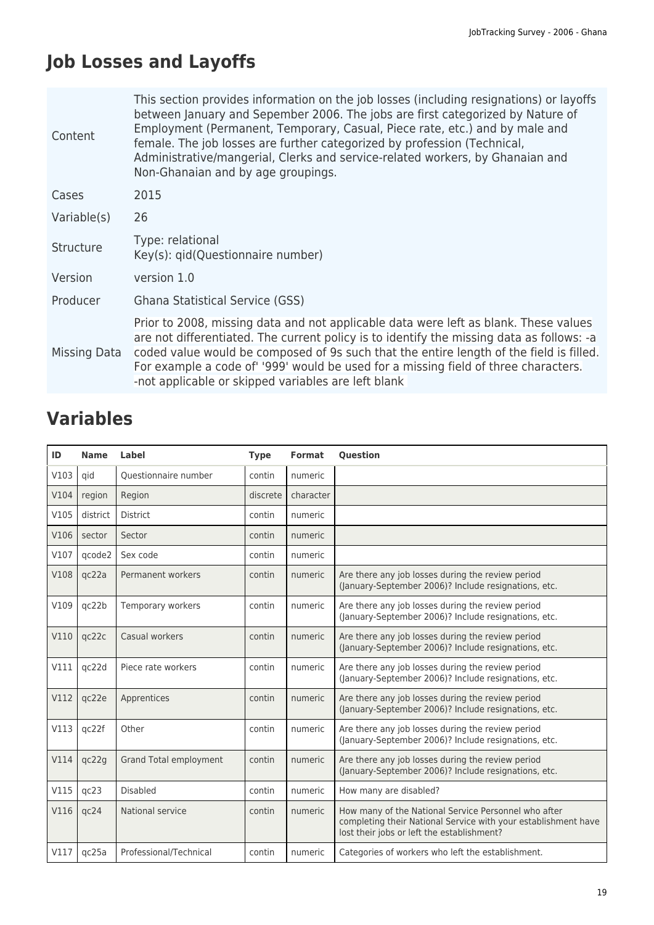# **Job Losses and Layoffs**

| Content      | This section provides information on the job losses (including resignations) or layoffs<br>between January and Sepember 2006. The jobs are first categorized by Nature of<br>Employment (Permanent, Temporary, Casual, Piece rate, etc.) and by male and<br>female. The job losses are further categorized by profession (Technical,<br>Administrative/mangerial, Clerks and service-related workers, by Ghanaian and<br>Non-Ghanaian and by age groupings. |
|--------------|-------------------------------------------------------------------------------------------------------------------------------------------------------------------------------------------------------------------------------------------------------------------------------------------------------------------------------------------------------------------------------------------------------------------------------------------------------------|
| Cases        | 2015                                                                                                                                                                                                                                                                                                                                                                                                                                                        |
| Variable(s)  | 26                                                                                                                                                                                                                                                                                                                                                                                                                                                          |
| Structure    | Type: relational<br>Key(s): qid(Questionnaire number)                                                                                                                                                                                                                                                                                                                                                                                                       |
| Version      | version 1.0                                                                                                                                                                                                                                                                                                                                                                                                                                                 |
| Producer     | <b>Ghana Statistical Service (GSS)</b>                                                                                                                                                                                                                                                                                                                                                                                                                      |
| Missing Data | Prior to 2008, missing data and not applicable data were left as blank. These values<br>are not differentiated. The current policy is to identify the missing data as follows: -a<br>coded value would be composed of 9s such that the entire length of the field is filled.<br>For example a code of '999' would be used for a missing field of three characters.<br>-not applicable or skipped variables are left blank                                   |

| ID   | <b>Name</b> | <b>Label</b>                  | <b>Type</b> | <b>Format</b> | <b>Question</b>                                                                                                                                                      |
|------|-------------|-------------------------------|-------------|---------------|----------------------------------------------------------------------------------------------------------------------------------------------------------------------|
| V103 | qid         | Questionnaire number          | contin      | numeric       |                                                                                                                                                                      |
| V104 | region      | Region                        | discrete    | character     |                                                                                                                                                                      |
| V105 | district    | <b>District</b>               | contin      | numeric       |                                                                                                                                                                      |
| V106 | sector      | Sector                        | contin      | numeric       |                                                                                                                                                                      |
| V107 | qcode2      | Sex code                      | contin      | numeric       |                                                                                                                                                                      |
| V108 | qc22a       | Permanent workers             | contin      | numeric       | Are there any job losses during the review period<br>(January-September 2006)? Include resignations, etc.                                                            |
| V109 | gc22b       | Temporary workers             | contin      | numeric       | Are there any job losses during the review period<br>(January-September 2006)? Include resignations, etc.                                                            |
| V110 | qc22c       | Casual workers                | contin      | numeric       | Are there any job losses during the review period<br>(January-September 2006)? Include resignations, etc.                                                            |
| V111 | qc22d       | Piece rate workers            | contin      | numeric       | Are there any job losses during the review period<br>(January-September 2006)? Include resignations, etc.                                                            |
| V112 | qc22e       | Apprentices                   | contin      | numeric       | Are there any job losses during the review period<br>(January-September 2006)? Include resignations, etc.                                                            |
| V113 | qc22f       | Other                         | contin      | numeric       | Are there any job losses during the review period<br>(January-September 2006)? Include resignations, etc.                                                            |
| V114 | qc22g       | <b>Grand Total employment</b> | contin      | numeric       | Are there any job losses during the review period<br>(January-September 2006)? Include resignations, etc.                                                            |
| V115 | qc23        | <b>Disabled</b>               | contin      | numeric       | How many are disabled?                                                                                                                                               |
| V116 | qc24        | National service              | contin      | numeric       | How many of the National Service Personnel who after<br>completing their National Service with your establishment have<br>lost their jobs or left the establishment? |
| V117 | qc25a       | Professional/Technical        | contin      | numeric       | Categories of workers who left the establishment.                                                                                                                    |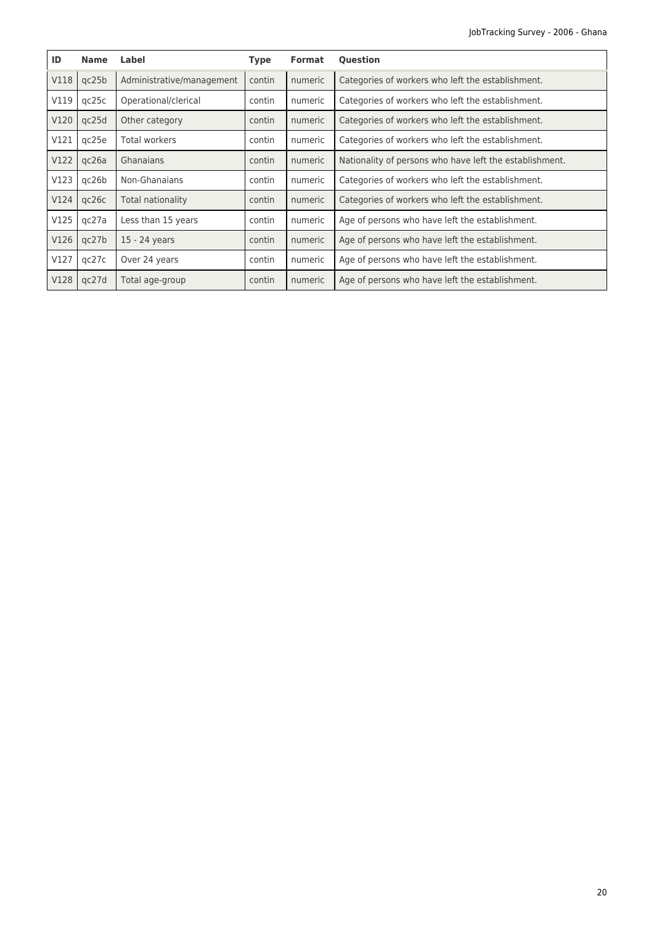| ID   | <b>Name</b> | Label                     | <b>Type</b> | <b>Format</b> | <b>Question</b>                                         |
|------|-------------|---------------------------|-------------|---------------|---------------------------------------------------------|
| V118 | qc25b       | Administrative/management | contin      | numeric       | Categories of workers who left the establishment.       |
| V119 | qc25c       | Operational/clerical      | contin      | numeric       | Categories of workers who left the establishment.       |
| V120 | qc25d       | Other category            | contin      | numeric       | Categories of workers who left the establishment.       |
| V121 | qc25e       | <b>Total workers</b>      | contin      | numeric       | Categories of workers who left the establishment.       |
| V122 | qc26a       | Ghanaians                 | contin      | numeric       | Nationality of persons who have left the establishment. |
| V123 | qc26b       | Non-Ghanaians             | contin      | numeric       | Categories of workers who left the establishment.       |
| V124 | qc26c       | Total nationality         | contin      | numeric       | Categories of workers who left the establishment.       |
| V125 | qc27a       | Less than 15 years        | contin      | numeric       | Age of persons who have left the establishment.         |
| V126 | qc27b       | 15 - 24 years             | contin      | numeric       | Age of persons who have left the establishment.         |
| V127 | qc27c       | Over 24 years             | contin      | numeric       | Age of persons who have left the establishment.         |
| V128 | qc27d       | Total age-group           | contin      | numeric       | Age of persons who have left the establishment.         |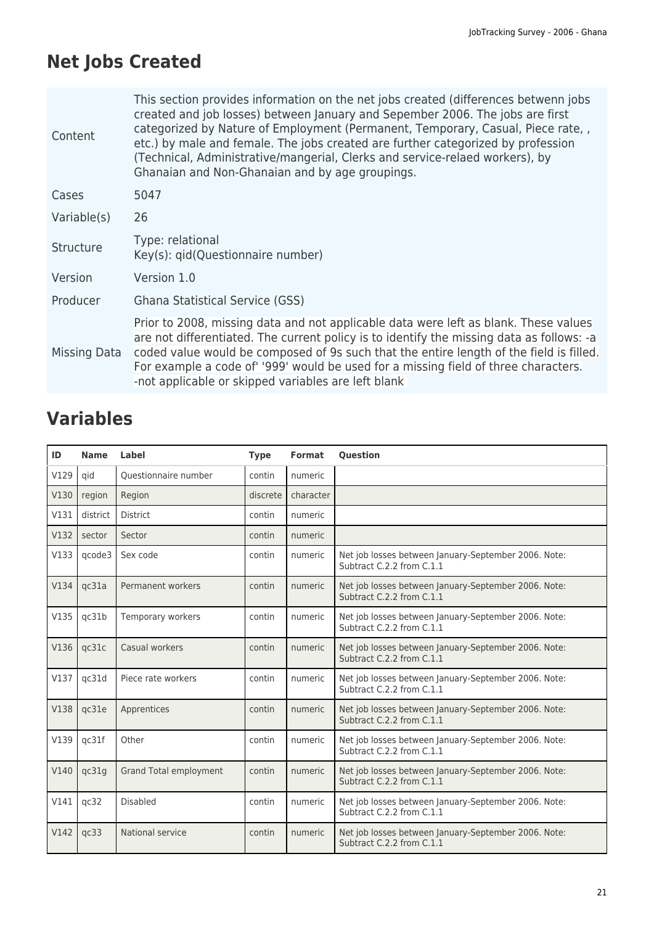# **Net Jobs Created**

| Content      | This section provides information on the net jobs created (differences betwenn jobs<br>created and job losses) between January and Sepember 2006. The jobs are first<br>categorized by Nature of Employment (Permanent, Temporary, Casual, Piece rate, ,<br>etc.) by male and female. The jobs created are further categorized by profession<br>(Technical, Administrative/mangerial, Clerks and service-relaed workers), by<br>Ghanaian and Non-Ghanaian and by age groupings. |
|--------------|---------------------------------------------------------------------------------------------------------------------------------------------------------------------------------------------------------------------------------------------------------------------------------------------------------------------------------------------------------------------------------------------------------------------------------------------------------------------------------|
| Cases        | 5047                                                                                                                                                                                                                                                                                                                                                                                                                                                                            |
| Variable(s)  | 26                                                                                                                                                                                                                                                                                                                                                                                                                                                                              |
| Structure    | Type: relational<br>Key(s): qid(Questionnaire number)                                                                                                                                                                                                                                                                                                                                                                                                                           |
| Version      | Version 1.0                                                                                                                                                                                                                                                                                                                                                                                                                                                                     |
| Producer     | <b>Ghana Statistical Service (GSS)</b>                                                                                                                                                                                                                                                                                                                                                                                                                                          |
| Missing Data | Prior to 2008, missing data and not applicable data were left as blank. These values<br>are not differentiated. The current policy is to identify the missing data as follows: -a<br>coded value would be composed of 9s such that the entire length of the field is filled.<br>For example a code of '999' would be used for a missing field of three characters.<br>-not applicable or skipped variables are left blank                                                       |

| ID   | <b>Name</b> | Label                  | <b>Type</b> | Format    | <b>Question</b>                                                                   |
|------|-------------|------------------------|-------------|-----------|-----------------------------------------------------------------------------------|
| V129 | qid         | Ouestionnaire number   | contin      | numeric   |                                                                                   |
| V130 | region      | Region                 | discrete    | character |                                                                                   |
| V131 | district    | <b>District</b>        | contin      | numeric   |                                                                                   |
| V132 | sector      | Sector                 | contin      | numeric   |                                                                                   |
| V133 | qcode3      | Sex code               | contin      | numeric   | Net job losses between January-September 2006. Note:<br>Subtract C.2.2 from C.1.1 |
| V134 | qc31a       | Permanent workers      | contin      | numeric   | Net job losses between January-September 2006. Note:<br>Subtract C.2.2 from C.1.1 |
| V135 | qc31b       | Temporary workers      | contin      | numeric   | Net job losses between January-September 2006. Note:<br>Subtract C.2.2 from C.1.1 |
| V136 | qc31c       | Casual workers         | contin      | numeric   | Net job losses between January-September 2006. Note:<br>Subtract C.2.2 from C.1.1 |
| V137 | qc31d       | Piece rate workers     | contin      | numeric   | Net job losses between January-September 2006. Note:<br>Subtract C.2.2 from C.1.1 |
| V138 | qc31e       | Apprentices            | contin      | numeric   | Net job losses between January-September 2006. Note:<br>Subtract C.2.2 from C.1.1 |
| V139 | qc31f       | Other                  | contin      | numeric   | Net job losses between January-September 2006. Note:<br>Subtract C.2.2 from C.1.1 |
| V140 | qc31g       | Grand Total employment | contin      | numeric   | Net job losses between January-September 2006. Note:<br>Subtract C.2.2 from C.1.1 |
| V141 | qc32        | <b>Disabled</b>        | contin      | numeric   | Net job losses between January-September 2006. Note:<br>Subtract C.2.2 from C.1.1 |
| V142 | qc33        | National service       | contin      | numeric   | Net job losses between January-September 2006. Note:<br>Subtract C.2.2 from C.1.1 |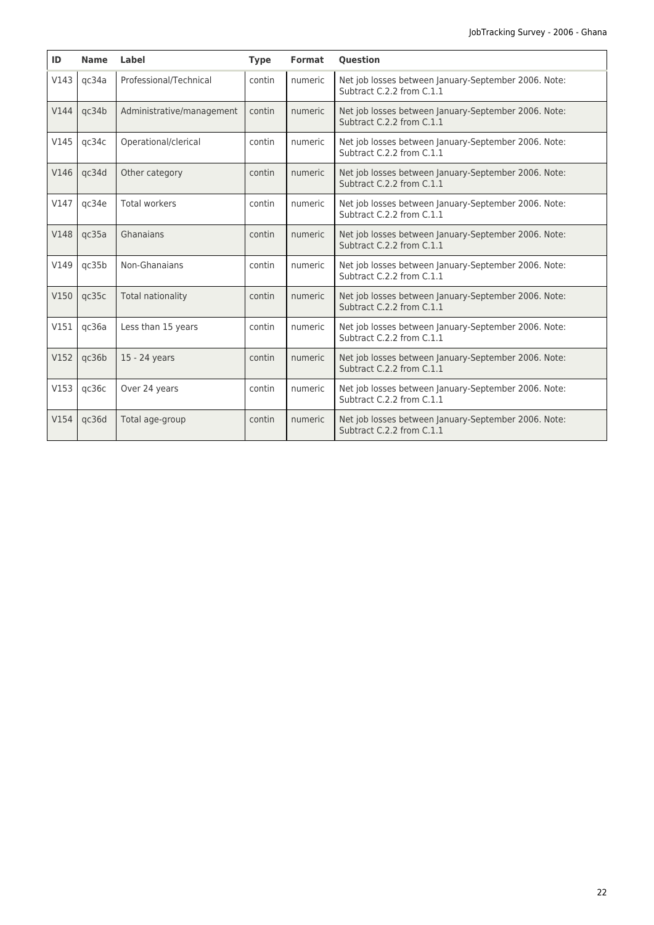| ID   | <b>Name</b> | Label                     | <b>Type</b> | Format  | <b>Question</b>                                                                   |
|------|-------------|---------------------------|-------------|---------|-----------------------------------------------------------------------------------|
| V143 | qc34a       | Professional/Technical    | contin      | numeric | Net job losses between January-September 2006. Note:<br>Subtract C.2.2 from C.1.1 |
| V144 | qc34b       | Administrative/management | contin      | numeric | Net job losses between January-September 2006. Note:<br>Subtract C.2.2 from C.1.1 |
| V145 | qc34c       | Operational/clerical      | contin      | numeric | Net job losses between January-September 2006. Note:<br>Subtract C.2.2 from C.1.1 |
| V146 | qc34d       | Other category            | contin      | numeric | Net job losses between January-September 2006. Note:<br>Subtract C.2.2 from C.1.1 |
| V147 | qc34e       | <b>Total workers</b>      | contin      | numeric | Net job losses between January-September 2006. Note:<br>Subtract C.2.2 from C.1.1 |
| V148 | qc35a       | Ghanaians                 | contin      | numeric | Net job losses between January-September 2006. Note:<br>Subtract C.2.2 from C.1.1 |
| V149 | qc35b       | Non-Ghanaians             | contin      | numeric | Net job losses between January-September 2006. Note:<br>Subtract C.2.2 from C.1.1 |
| V150 | qc35c       | <b>Total nationality</b>  | contin      | numeric | Net job losses between January-September 2006. Note:<br>Subtract C.2.2 from C.1.1 |
| V151 | qc36a       | Less than 15 years        | contin      | numeric | Net job losses between January-September 2006. Note:<br>Subtract C.2.2 from C.1.1 |
| V152 | qc36b       | 15 - 24 years             | contin      | numeric | Net job losses between January-September 2006. Note:<br>Subtract C.2.2 from C.1.1 |
| V153 | qc36c       | Over 24 years             | contin      | numeric | Net job losses between January-September 2006. Note:<br>Subtract C.2.2 from C.1.1 |
| V154 | qc36d       | Total age-group           | contin      | numeric | Net job losses between January-September 2006. Note:<br>Subtract C.2.2 from C.1.1 |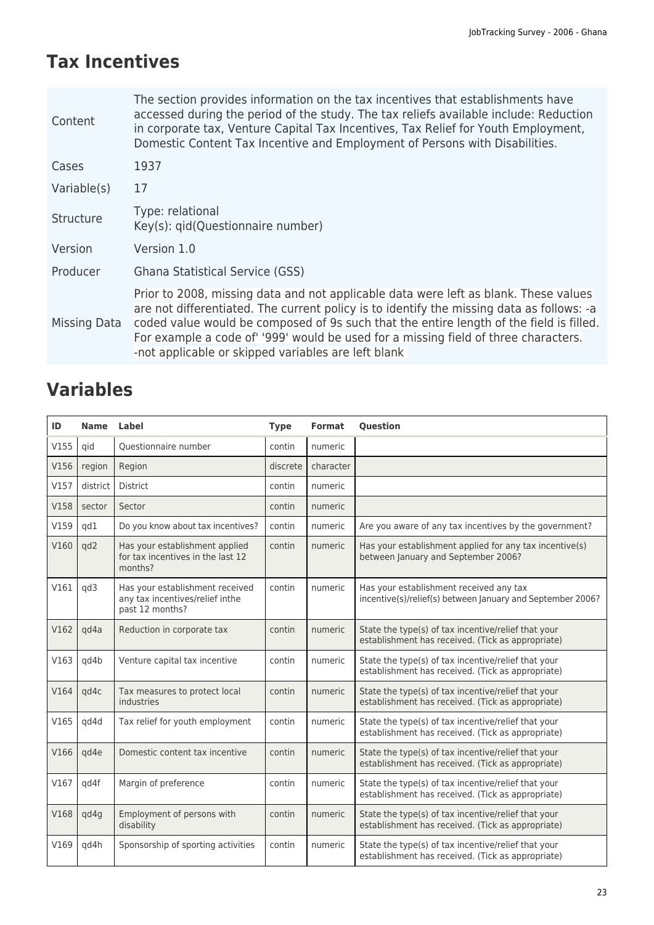# **Tax Incentives**

| Content          | The section provides information on the tax incentives that establishments have<br>accessed during the period of the study. The tax reliefs available include: Reduction<br>in corporate tax, Venture Capital Tax Incentives, Tax Relief for Youth Employment,<br>Domestic Content Tax Incentive and Employment of Persons with Disabilities.                                                                             |
|------------------|---------------------------------------------------------------------------------------------------------------------------------------------------------------------------------------------------------------------------------------------------------------------------------------------------------------------------------------------------------------------------------------------------------------------------|
| Cases            | 1937                                                                                                                                                                                                                                                                                                                                                                                                                      |
| Variable(s)      | 17                                                                                                                                                                                                                                                                                                                                                                                                                        |
| <b>Structure</b> | Type: relational<br>Key(s): gid(Questionnaire number)                                                                                                                                                                                                                                                                                                                                                                     |
| Version          | Version 1.0                                                                                                                                                                                                                                                                                                                                                                                                               |
| Producer         | Ghana Statistical Service (GSS)                                                                                                                                                                                                                                                                                                                                                                                           |
| Missing Data     | Prior to 2008, missing data and not applicable data were left as blank. These values<br>are not differentiated. The current policy is to identify the missing data as follows: -a<br>coded value would be composed of 9s such that the entire length of the field is filled.<br>For example a code of '999' would be used for a missing field of three characters.<br>-not applicable or skipped variables are left blank |

| ID   | <b>Name</b> | Label                                                                                 | <b>Type</b> | <b>Format</b> | <b>Ouestion</b>                                                                                          |
|------|-------------|---------------------------------------------------------------------------------------|-------------|---------------|----------------------------------------------------------------------------------------------------------|
| V155 | qid         | Ouestionnaire number                                                                  | contin      | numeric       |                                                                                                          |
| V156 | region      | Region                                                                                | discrete    | character     |                                                                                                          |
| V157 | district    | <b>District</b>                                                                       | contin      | numeric       |                                                                                                          |
| V158 | sector      | Sector                                                                                | contin      | numeric       |                                                                                                          |
| V159 | qd1         | Do you know about tax incentives?                                                     | contin      | numeric       | Are you aware of any tax incentives by the government?                                                   |
| V160 | qd2         | Has your establishment applied<br>for tax incentives in the last 12<br>months?        | contin      | numeric       | Has your establishment applied for any tax incentive(s)<br>between January and September 2006?           |
| V161 | qd3         | Has your establishment received<br>any tax incentives/relief inthe<br>past 12 months? | contin      | numeric       | Has your establishment received any tax<br>incentive(s)/relief(s) between January and September 2006?    |
| V162 | qd4a        | Reduction in corporate tax                                                            | contin      | numeric       | State the type(s) of tax incentive/relief that your<br>establishment has received. (Tick as appropriate) |
| V163 | qd4b        | Venture capital tax incentive                                                         | contin      | numeric       | State the type(s) of tax incentive/relief that your<br>establishment has received. (Tick as appropriate) |
| V164 | qd4c        | Tax measures to protect local<br>industries                                           | contin      | numeric       | State the type(s) of tax incentive/relief that your<br>establishment has received. (Tick as appropriate) |
| V165 | qd4d        | Tax relief for youth employment                                                       | contin      | numeric       | State the type(s) of tax incentive/relief that your<br>establishment has received. (Tick as appropriate) |
| V166 | gd4e        | Domestic content tax incentive                                                        | contin      | numeric       | State the type(s) of tax incentive/relief that your<br>establishment has received. (Tick as appropriate) |
| V167 | qd4f        | Margin of preference                                                                  | contin      | numeric       | State the type(s) of tax incentive/relief that your<br>establishment has received. (Tick as appropriate) |
| V168 | qd4g        | Employment of persons with<br>disability                                              | contin      | numeric       | State the type(s) of tax incentive/relief that your<br>establishment has received. (Tick as appropriate) |
| V169 | qd4h        | Sponsorship of sporting activities                                                    | contin      | numeric       | State the type(s) of tax incentive/relief that your<br>establishment has received. (Tick as appropriate) |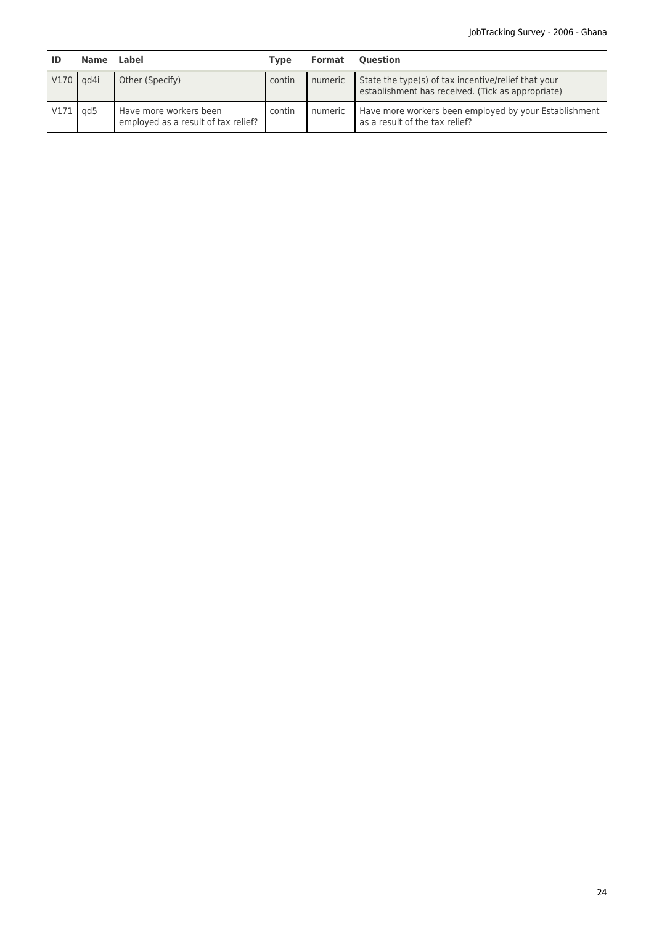|               | <b>Name</b>     | Label                                                         | <b>Type</b> | Format  | <b>Ouestion</b>                                                                                          |
|---------------|-----------------|---------------------------------------------------------------|-------------|---------|----------------------------------------------------------------------------------------------------------|
| $V170$ $qd4i$ |                 | Other (Specify)                                               | contin      | numeric | State the type(s) of tax incentive/relief that your<br>establishment has received. (Tick as appropriate) |
| V171          | ad <sub>5</sub> | Have more workers been<br>employed as a result of tax relief? | contin      | numeric | Have more workers been employed by your Establishment<br>as a result of the tax relief?                  |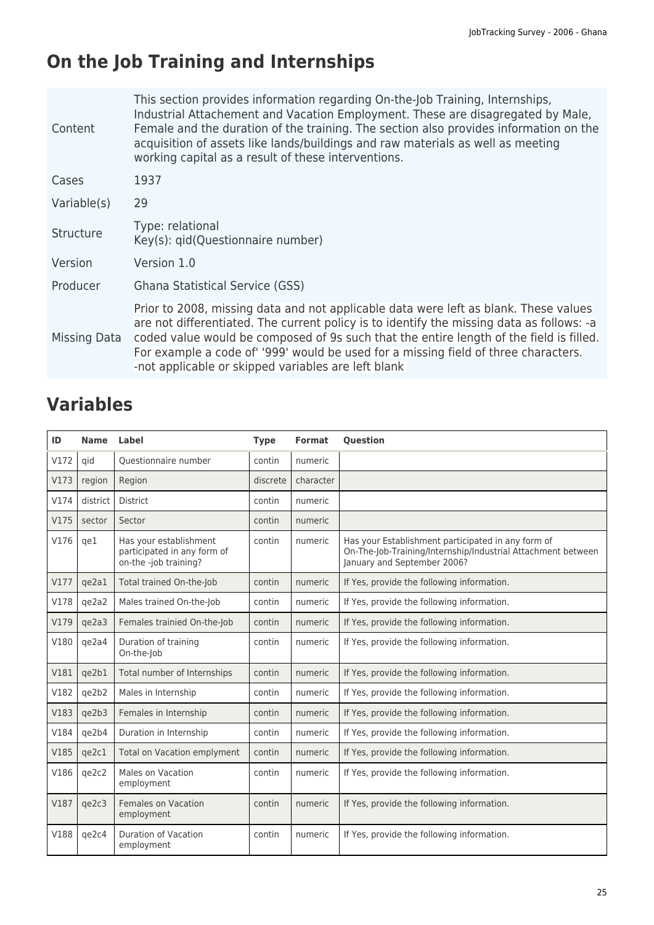# **On the Job Training and Internships**

| Content      | This section provides information regarding On-the-Job Training, Internships,<br>Industrial Attachement and Vacation Employment. These are disagregated by Male,<br>Female and the duration of the training. The section also provides information on the<br>acquisition of assets like lands/buildings and raw materials as well as meeting<br>working capital as a result of these interventions.                       |
|--------------|---------------------------------------------------------------------------------------------------------------------------------------------------------------------------------------------------------------------------------------------------------------------------------------------------------------------------------------------------------------------------------------------------------------------------|
| Cases        | 1937                                                                                                                                                                                                                                                                                                                                                                                                                      |
| Variable(s)  | 29                                                                                                                                                                                                                                                                                                                                                                                                                        |
| Structure    | Type: relational<br>Key(s): gid(Questionnaire number)                                                                                                                                                                                                                                                                                                                                                                     |
| Version      | Version 1.0                                                                                                                                                                                                                                                                                                                                                                                                               |
| Producer     | <b>Ghana Statistical Service (GSS)</b>                                                                                                                                                                                                                                                                                                                                                                                    |
| Missing Data | Prior to 2008, missing data and not applicable data were left as blank. These values<br>are not differentiated. The current policy is to identify the missing data as follows: -a<br>coded value would be composed of 9s such that the entire length of the field is filled.<br>For example a code of '999' would be used for a missing field of three characters.<br>-not applicable or skipped variables are left blank |

| ID   | <b>Name</b> | Label                                                                          | <b>Type</b> | <b>Format</b> | <b>Question</b>                                                                                                                                   |
|------|-------------|--------------------------------------------------------------------------------|-------------|---------------|---------------------------------------------------------------------------------------------------------------------------------------------------|
| V172 | qid         | Questionnaire number                                                           | contin      | numeric       |                                                                                                                                                   |
| V173 | region      | Region                                                                         | discrete    | character     |                                                                                                                                                   |
| V174 | district    | <b>District</b>                                                                | contin      | numeric       |                                                                                                                                                   |
| V175 | sector      | Sector                                                                         | contin      | numeric       |                                                                                                                                                   |
| V176 | qe1         | Has your establishment<br>participated in any form of<br>on-the -job training? | contin      | numeric       | Has your Establishment participated in any form of<br>On-The-Job-Training/Internship/Industrial Attachment between<br>January and September 2006? |
| V177 | ge2a1       | Total trained On-the-Job                                                       | contin      | numeric       | If Yes, provide the following information.                                                                                                        |
| V178 | qe2a2       | Males trained On-the-Job                                                       | contin      | numeric       | If Yes, provide the following information.                                                                                                        |
| V179 | qe2a3       | Females trainied On-the-Job                                                    | contin      | numeric       | If Yes, provide the following information.                                                                                                        |
| V180 | qe2a4       | Duration of training<br>On-the-Job                                             | contin      | numeric       | If Yes, provide the following information.                                                                                                        |
| V181 | qe2b1       | Total number of Internships                                                    | contin      | numeric       | If Yes, provide the following information.                                                                                                        |
| V182 | qe2b2       | Males in Internship                                                            | contin      | numeric       | If Yes, provide the following information.                                                                                                        |
| V183 | qe2b3       | Females in Internship                                                          | contin      | numeric       | If Yes, provide the following information.                                                                                                        |
| V184 | qe2b4       | Duration in Internship                                                         | contin      | numeric       | If Yes, provide the following information.                                                                                                        |
| V185 | qe2c1       | Total on Vacation emplyment                                                    | contin      | numeric       | If Yes, provide the following information.                                                                                                        |
| V186 | qe2c2       | Males on Vacation<br>employment                                                | contin      | numeric       | If Yes, provide the following information.                                                                                                        |
| V187 | qe2c3       | Females on Vacation<br>employment                                              | contin      | numeric       | If Yes, provide the following information.                                                                                                        |
| V188 | qe2c4       | <b>Duration of Vacation</b><br>employment                                      | contin      | numeric       | If Yes, provide the following information.                                                                                                        |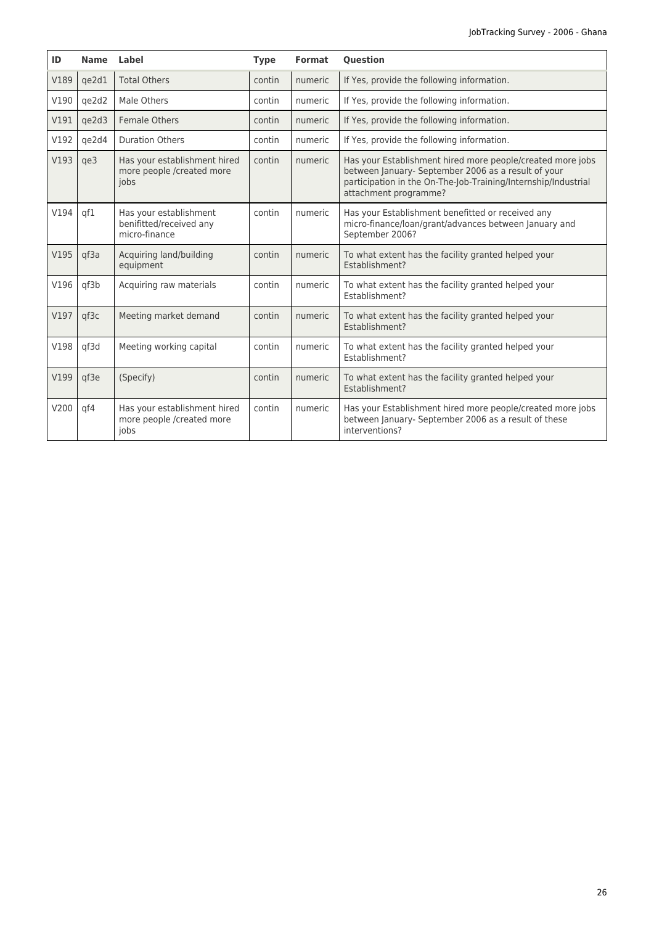| ID   | <b>Name</b> | Label                                                              | <b>Type</b> | Format  | <b>Ouestion</b>                                                                                                                                                                                              |
|------|-------------|--------------------------------------------------------------------|-------------|---------|--------------------------------------------------------------------------------------------------------------------------------------------------------------------------------------------------------------|
| V189 | qe2d1       | <b>Total Others</b>                                                | contin      | numeric | If Yes, provide the following information.                                                                                                                                                                   |
| V190 | ge2d2       | Male Others                                                        | contin      | numeric | If Yes, provide the following information.                                                                                                                                                                   |
| V191 | qe2d3       | Female Others                                                      | contin      | numeric | If Yes, provide the following information.                                                                                                                                                                   |
| V192 | qe2d4       | <b>Duration Others</b>                                             | contin      | numeric | If Yes, provide the following information.                                                                                                                                                                   |
| V193 | qe3         | Has your establishment hired<br>more people /created more<br>jobs  | contin      | numeric | Has your Establishment hired more people/created more jobs<br>between January- September 2006 as a result of your<br>participation in the On-The-Job-Training/Internship/Industrial<br>attachment programme? |
| V194 | qf1         | Has your establishment<br>benifitted/received any<br>micro-finance | contin      | numeric | Has your Establishment benefitted or received any<br>micro-finance/loan/grant/advances between January and<br>September 2006?                                                                                |
| V195 | qf3a        | Acquiring land/building<br>equipment                               | contin      | numeric | To what extent has the facility granted helped your<br>Establishment?                                                                                                                                        |
| V196 | qf3b        | Acquiring raw materials                                            | contin      | numeric | To what extent has the facility granted helped your<br>Establishment?                                                                                                                                        |
| V197 | qf3c        | Meeting market demand                                              | contin      | numeric | To what extent has the facility granted helped your<br>Establishment?                                                                                                                                        |
| V198 | qf3d        | Meeting working capital                                            | contin      | numeric | To what extent has the facility granted helped your<br>Establishment?                                                                                                                                        |
| V199 | qf3e        | (Specify)                                                          | contin      | numeric | To what extent has the facility granted helped your<br>Establishment?                                                                                                                                        |
| V200 | qf4         | Has your establishment hired<br>more people /created more<br>jobs  | contin      | numeric | Has your Establishment hired more people/created more jobs<br>between January- September 2006 as a result of these<br>interventions?                                                                         |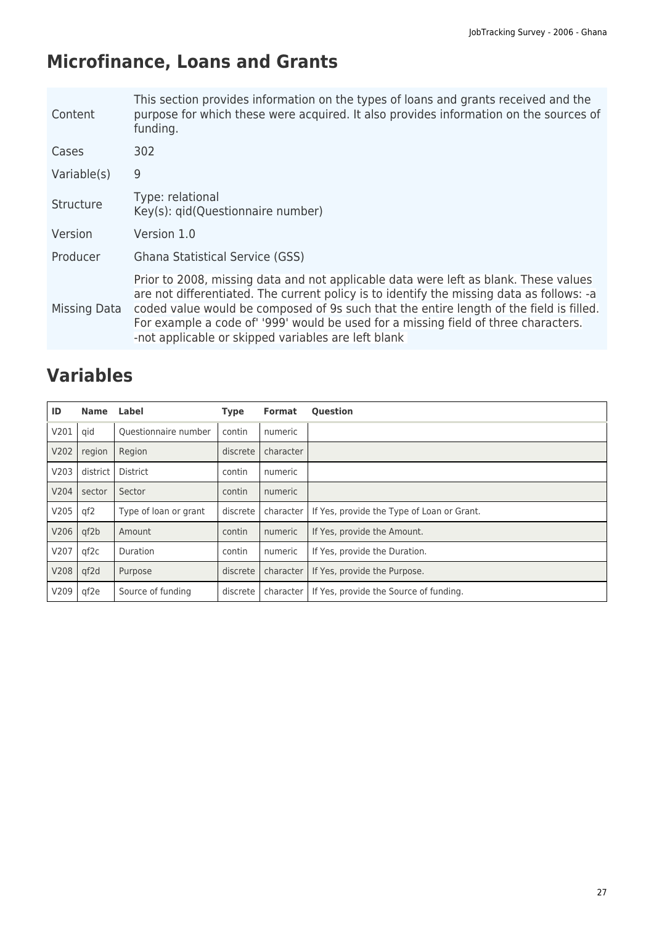# **Microfinance, Loans and Grants**

| Content      | This section provides information on the types of loans and grants received and the<br>purpose for which these were acquired. It also provides information on the sources of<br>funding.                                                                                                                                                                                                                                   |
|--------------|----------------------------------------------------------------------------------------------------------------------------------------------------------------------------------------------------------------------------------------------------------------------------------------------------------------------------------------------------------------------------------------------------------------------------|
| Cases        | 302                                                                                                                                                                                                                                                                                                                                                                                                                        |
| Variable(s)  | 9                                                                                                                                                                                                                                                                                                                                                                                                                          |
| Structure    | Type: relational<br>Key(s): gid(Questionnaire number)                                                                                                                                                                                                                                                                                                                                                                      |
| Version      | Version 1.0                                                                                                                                                                                                                                                                                                                                                                                                                |
| Producer     | Ghana Statistical Service (GSS)                                                                                                                                                                                                                                                                                                                                                                                            |
| Missing Data | Prior to 2008, missing data and not applicable data were left as blank. These values<br>are not differentiated. The current policy is to identify the missing data as follows: -a<br>coded value would be composed of 9s such that the entire length of the field is filled.<br>For example a code of' '999' would be used for a missing field of three characters.<br>-not applicable or skipped variables are left blank |

| ID   | <b>Name</b> | Label                 | <b>Type</b> | <b>Format</b> | <b>Question</b>                            |
|------|-------------|-----------------------|-------------|---------------|--------------------------------------------|
| V201 | qid         | Ouestionnaire number  | contin      | numeric       |                                            |
| V202 | region      | Region                | discrete    | character     |                                            |
| V203 | district    | District              | contin      | numeric       |                                            |
| V204 | sector      | Sector                | contin      | numeric       |                                            |
| V205 | qf2         | Type of loan or grant | discrete    | character     | If Yes, provide the Type of Loan or Grant. |
| V206 | qf2b        | Amount                | contin      | numeric       | If Yes, provide the Amount.                |
| V207 | qf2c        | Duration              | contin      | numeric       | If Yes, provide the Duration.              |
| V208 | qf2d        | Purpose               | discrete    | character     | If Yes, provide the Purpose.               |
| V209 | qf2e        | Source of funding     | discrete    | character     | If Yes, provide the Source of funding.     |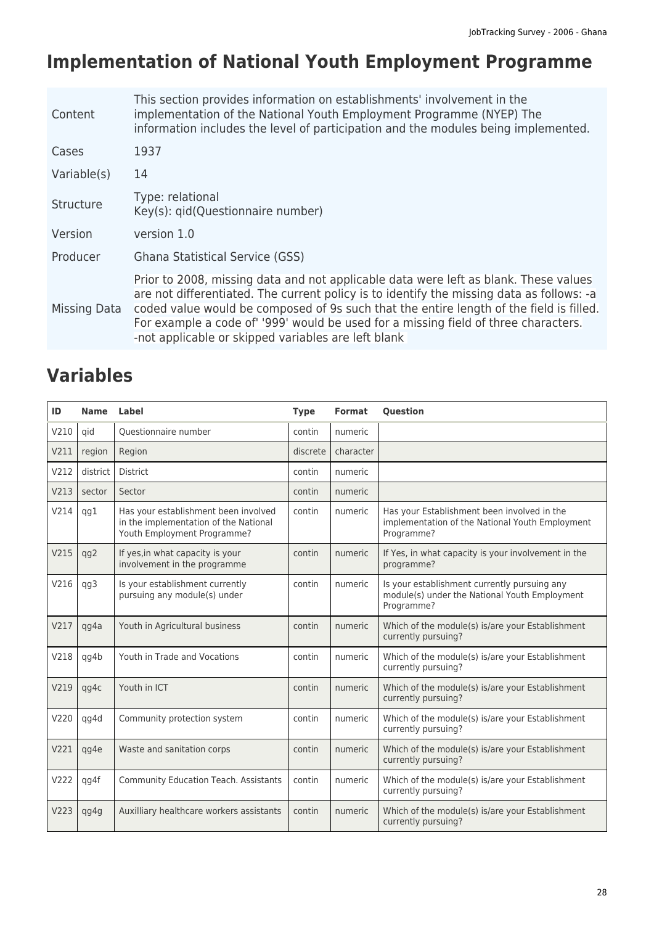# **Implementation of National Youth Employment Programme**

| Content      | This section provides information on establishments' involvement in the<br>implementation of the National Youth Employment Programme (NYEP) The<br>information includes the level of participation and the modules being implemented.                                                                                                                                                                                     |
|--------------|---------------------------------------------------------------------------------------------------------------------------------------------------------------------------------------------------------------------------------------------------------------------------------------------------------------------------------------------------------------------------------------------------------------------------|
| Cases        | 1937                                                                                                                                                                                                                                                                                                                                                                                                                      |
| Variable(s)  | 14                                                                                                                                                                                                                                                                                                                                                                                                                        |
| Structure    | Type: relational<br>Key(s): qid(Questionnaire number)                                                                                                                                                                                                                                                                                                                                                                     |
| Version      | version 1.0                                                                                                                                                                                                                                                                                                                                                                                                               |
| Producer     | Ghana Statistical Service (GSS)                                                                                                                                                                                                                                                                                                                                                                                           |
| Missing Data | Prior to 2008, missing data and not applicable data were left as blank. These values<br>are not differentiated. The current policy is to identify the missing data as follows: -a<br>coded value would be composed of 9s such that the entire length of the field is filled.<br>For example a code of '999' would be used for a missing field of three characters.<br>-not applicable or skipped variables are left blank |

| ID   | <b>Name</b> | <b>Label</b>                                                                                                 | <b>Type</b> | <b>Format</b> | <b>Question</b>                                                                                              |
|------|-------------|--------------------------------------------------------------------------------------------------------------|-------------|---------------|--------------------------------------------------------------------------------------------------------------|
| V210 | qid         | Ouestionnaire number                                                                                         | contin      | numeric       |                                                                                                              |
| V211 | region      | Region                                                                                                       | discrete    | character     |                                                                                                              |
| V212 | district    | <b>District</b>                                                                                              | contin      | numeric       |                                                                                                              |
| V213 | sector      | Sector                                                                                                       | contin      | numeric       |                                                                                                              |
| V214 | qg1         | Has your establishment been involved<br>in the implementation of the National<br>Youth Employment Programme? | contin      | numeric       | Has your Establishment been involved in the<br>implementation of the National Youth Employment<br>Programme? |
| V215 | qg2         | If yes, in what capacity is your<br>involvement in the programme                                             | contin      | numeric       | If Yes, in what capacity is your involvement in the<br>programme?                                            |
| V216 | qg3         | Is your establishment currently<br>pursuing any module(s) under                                              | contin      | numeric       | Is your establishment currently pursuing any<br>module(s) under the National Youth Employment<br>Programme?  |
| V217 | qg4a        | Youth in Agricultural business                                                                               | contin      | numeric       | Which of the module(s) is/are your Establishment<br>currently pursuing?                                      |
| V218 | qg4b        | Youth in Trade and Vocations                                                                                 | contin      | numeric       | Which of the module(s) is/are your Establishment<br>currently pursuing?                                      |
| V219 | qg4c        | Youth in ICT                                                                                                 | contin      | numeric       | Which of the module(s) is/are your Establishment<br>currently pursuing?                                      |
| V220 | qg4d        | Community protection system                                                                                  | contin      | numeric       | Which of the module(s) is/are your Establishment<br>currently pursuing?                                      |
| V221 | qg4e        | Waste and sanitation corps                                                                                   | contin      | numeric       | Which of the module(s) is/are your Establishment<br>currently pursuing?                                      |
| V222 | qg4f        | <b>Community Education Teach. Assistants</b>                                                                 | contin      | numeric       | Which of the module(s) is/are your Establishment<br>currently pursuing?                                      |
| V223 | qg4g        | Auxilliary healthcare workers assistants                                                                     | contin      | numeric       | Which of the module(s) is/are your Establishment<br>currently pursuing?                                      |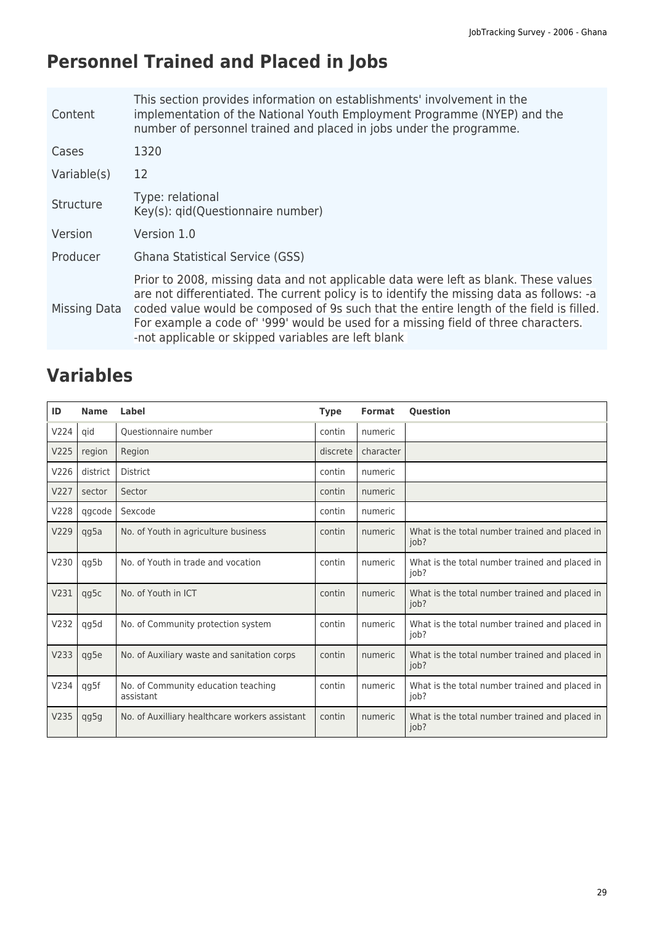# **Personnel Trained and Placed in Jobs**

| Content      | This section provides information on establishments' involvement in the<br>implementation of the National Youth Employment Programme (NYEP) and the<br>number of personnel trained and placed in jobs under the programme.                                                                                                                                                                                                 |
|--------------|----------------------------------------------------------------------------------------------------------------------------------------------------------------------------------------------------------------------------------------------------------------------------------------------------------------------------------------------------------------------------------------------------------------------------|
| Cases        | 1320                                                                                                                                                                                                                                                                                                                                                                                                                       |
| Variable(s)  | 12                                                                                                                                                                                                                                                                                                                                                                                                                         |
| Structure    | Type: relational<br>Key(s): gid(Questionnaire number)                                                                                                                                                                                                                                                                                                                                                                      |
| Version      | Version 1.0                                                                                                                                                                                                                                                                                                                                                                                                                |
| Producer     | Ghana Statistical Service (GSS)                                                                                                                                                                                                                                                                                                                                                                                            |
| Missing Data | Prior to 2008, missing data and not applicable data were left as blank. These values<br>are not differentiated. The current policy is to identify the missing data as follows: -a<br>coded value would be composed of 9s such that the entire length of the field is filled.<br>For example a code of' '999' would be used for a missing field of three characters.<br>-not applicable or skipped variables are left blank |

| ID   | <b>Name</b> | Label                                            | <b>Type</b> | <b>Format</b> | <b>Ouestion</b>                                        |
|------|-------------|--------------------------------------------------|-------------|---------------|--------------------------------------------------------|
| V224 | qid         | Ouestionnaire number                             | contin      | numeric       |                                                        |
| V225 | region      | Region                                           | discrete    | character     |                                                        |
| V226 | district    | <b>District</b>                                  | contin      | numeric       |                                                        |
| V227 | sector      | Sector                                           | contin      | numeric       |                                                        |
| V228 | qgcode      | Sexcode                                          | contin      | numeric       |                                                        |
| V229 | qg5a        | No. of Youth in agriculture business             | contin      | numeric       | What is the total number trained and placed in<br>job? |
| V230 | qg5b        | No. of Youth in trade and vocation               | contin      | numeric       | What is the total number trained and placed in<br>job? |
| V231 | qg5c        | No. of Youth in ICT                              | contin      | numeric       | What is the total number trained and placed in<br>job? |
| V232 | qg5d        | No. of Community protection system               | contin      | numeric       | What is the total number trained and placed in<br>job? |
| V233 | qg5e        | No. of Auxiliary waste and sanitation corps      | contin      | numeric       | What is the total number trained and placed in<br>job? |
| V234 | qg5f        | No. of Community education teaching<br>assistant | contin      | numeric       | What is the total number trained and placed in<br>job? |
| V235 | qg5g        | No. of Auxilliary healthcare workers assistant   | contin      | numeric       | What is the total number trained and placed in<br>iob? |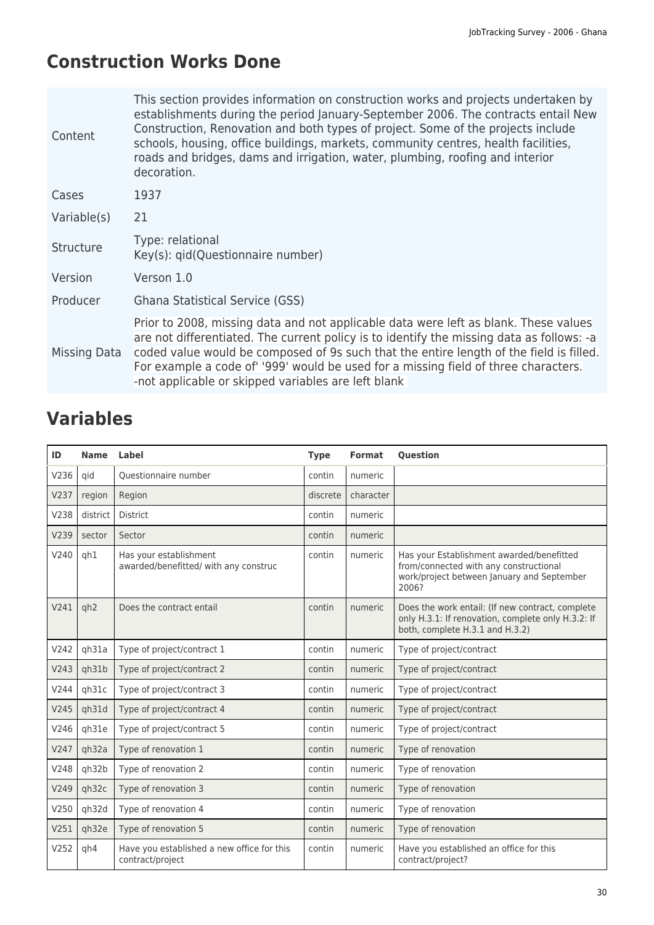# **Construction Works Done**

| Content      | This section provides information on construction works and projects undertaken by<br>establishments during the period January-September 2006. The contracts entail New<br>Construction, Renovation and both types of project. Some of the projects include<br>schools, housing, office buildings, markets, community centres, health facilities,<br>roads and bridges, dams and irrigation, water, plumbing, roofing and interior<br>decoration. |
|--------------|---------------------------------------------------------------------------------------------------------------------------------------------------------------------------------------------------------------------------------------------------------------------------------------------------------------------------------------------------------------------------------------------------------------------------------------------------|
| Cases        | 1937                                                                                                                                                                                                                                                                                                                                                                                                                                              |
| Variable(s)  | 21                                                                                                                                                                                                                                                                                                                                                                                                                                                |
| Structure    | Type: relational<br>Key(s): gid(Questionnaire number)                                                                                                                                                                                                                                                                                                                                                                                             |
| Version      | Verson 1.0                                                                                                                                                                                                                                                                                                                                                                                                                                        |
| Producer     | Ghana Statistical Service (GSS)                                                                                                                                                                                                                                                                                                                                                                                                                   |
| Missing Data | Prior to 2008, missing data and not applicable data were left as blank. These values<br>are not differentiated. The current policy is to identify the missing data as follows: -a<br>coded value would be composed of 9s such that the entire length of the field is filled.<br>For example a code of '999' would be used for a missing field of three characters.<br>-not applicable or skipped variables are left blank                         |

| ID   | <b>Name</b>     | Label                                                           | <b>Type</b> | <b>Format</b> | <b>Question</b>                                                                                                                            |
|------|-----------------|-----------------------------------------------------------------|-------------|---------------|--------------------------------------------------------------------------------------------------------------------------------------------|
| V236 | qid             | Questionnaire number                                            | contin      | numeric       |                                                                                                                                            |
| V237 | region          | Region                                                          | discrete    | character     |                                                                                                                                            |
| V238 | district        | <b>District</b>                                                 | contin      | numeric       |                                                                                                                                            |
| V239 | sector          | Sector                                                          | contin      | numeric       |                                                                                                                                            |
| V240 | gh1             | Has your establishment<br>awarded/benefitted/ with any construc | contin      | numeric       | Has your Establishment awarded/benefitted<br>from/connected with any constructional<br>work/project between January and September<br>2006? |
| V241 | qh <sub>2</sub> | Does the contract entail                                        | contin      | numeric       | Does the work entail: (If new contract, complete<br>only H.3.1: If renovation, complete only H.3.2: If<br>both, complete H.3.1 and H.3.2)  |
| V242 | qh31a           | Type of project/contract 1                                      | contin      | numeric       | Type of project/contract                                                                                                                   |
| V243 | qh31b           | Type of project/contract 2                                      | contin      | numeric       | Type of project/contract                                                                                                                   |
| V244 | qh31c           | Type of project/contract 3                                      | contin      | numeric       | Type of project/contract                                                                                                                   |
| V245 | qh31d           | Type of project/contract 4                                      | contin      | numeric       | Type of project/contract                                                                                                                   |
| V246 | gh31e           | Type of project/contract 5                                      | contin      | numeric       | Type of project/contract                                                                                                                   |
| V247 | qh32a           | Type of renovation 1                                            | contin      | numeric       | Type of renovation                                                                                                                         |
| V248 | qh32b           | Type of renovation 2                                            | contin      | numeric       | Type of renovation                                                                                                                         |
| V249 | qh32c           | Type of renovation 3                                            | contin      | numeric       | Type of renovation                                                                                                                         |
| V250 | qh32d           | Type of renovation 4                                            | contin      | numeric       | Type of renovation                                                                                                                         |
| V251 | qh32e           | Type of renovation 5                                            | contin      | numeric       | Type of renovation                                                                                                                         |
| V252 | qh4             | Have you established a new office for this<br>contract/project  | contin      | numeric       | Have you established an office for this<br>contract/project?                                                                               |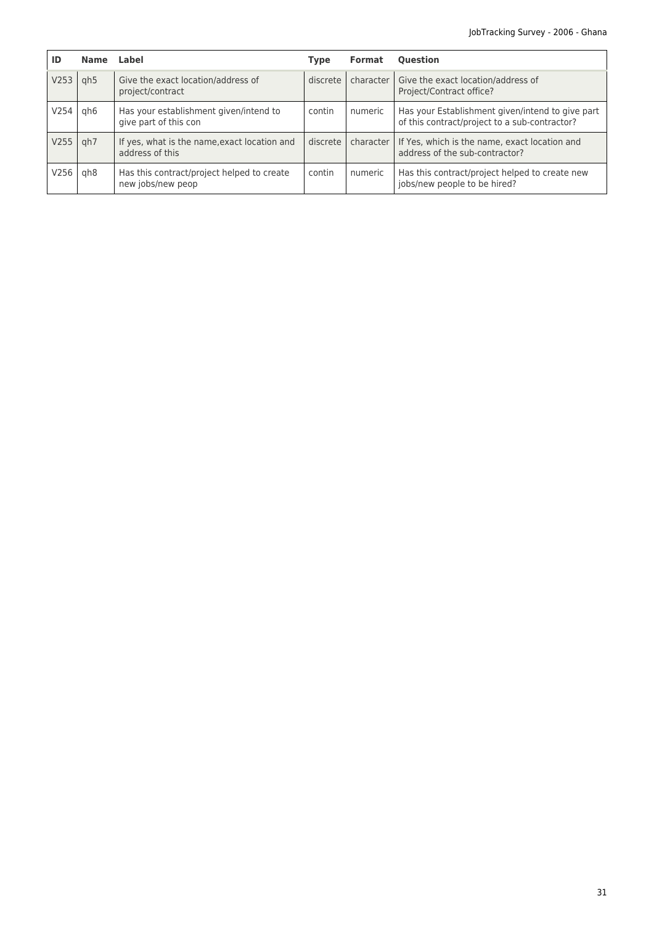| ID   | <b>Name</b>     | Label                                                           | <b>Type</b> | <b>Format</b> | <b>Ouestion</b>                                                                                   |
|------|-----------------|-----------------------------------------------------------------|-------------|---------------|---------------------------------------------------------------------------------------------------|
| V253 | gh <sub>5</sub> | Give the exact location/address of<br>project/contract          | discrete    | character     | Give the exact location/address of<br>Project/Contract office?                                    |
| V254 | gh6             | Has your establishment given/intend to<br>give part of this con | contin      | numeric       | Has your Establishment given/intend to give part<br>of this contract/project to a sub-contractor? |
| V255 | gh7             | If yes, what is the name, exact location and<br>address of this | discrete    | character     | If Yes, which is the name, exact location and<br>address of the sub-contractor?                   |
| V256 | gh8             | Has this contract/project helped to create<br>new jobs/new peop | contin      | numeric       | Has this contract/project helped to create new<br>jobs/new people to be hired?                    |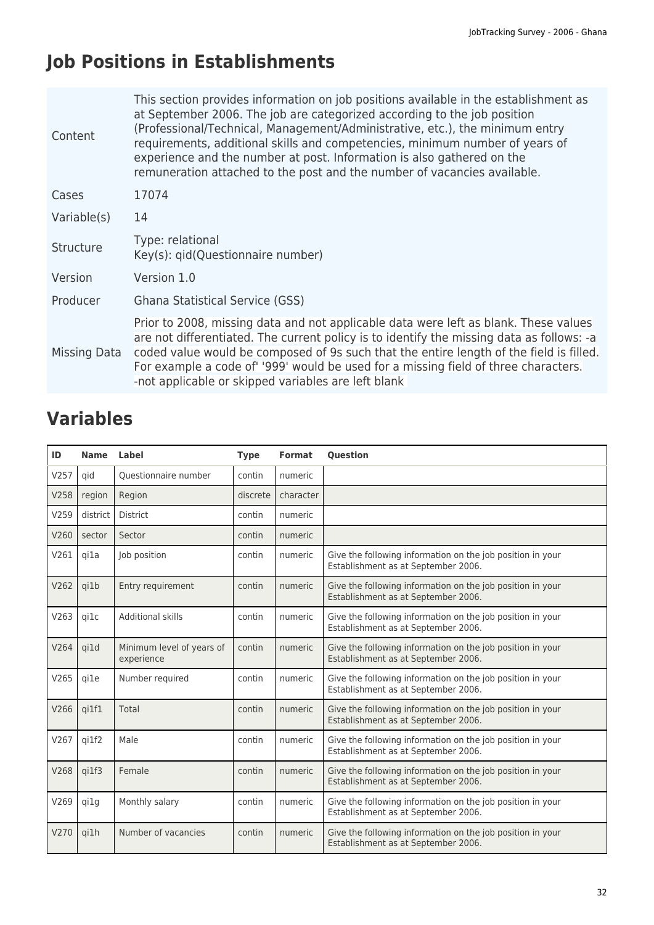# **Job Positions in Establishments**

| Content      | This section provides information on job positions available in the establishment as<br>at September 2006. The job are categorized according to the job position<br>(Professional/Technical, Management/Administrative, etc.), the minimum entry<br>requirements, additional skills and competencies, minimum number of years of<br>experience and the number at post. Information is also gathered on the<br>remuneration attached to the post and the number of vacancies available. |
|--------------|----------------------------------------------------------------------------------------------------------------------------------------------------------------------------------------------------------------------------------------------------------------------------------------------------------------------------------------------------------------------------------------------------------------------------------------------------------------------------------------|
| Cases        | 17074                                                                                                                                                                                                                                                                                                                                                                                                                                                                                  |
| Variable(s)  | 14                                                                                                                                                                                                                                                                                                                                                                                                                                                                                     |
| Structure    | Type: relational<br>Key(s): gid(Questionnaire number)                                                                                                                                                                                                                                                                                                                                                                                                                                  |
| Version      | Version 1.0                                                                                                                                                                                                                                                                                                                                                                                                                                                                            |
| Producer     | <b>Ghana Statistical Service (GSS)</b>                                                                                                                                                                                                                                                                                                                                                                                                                                                 |
| Missing Data | Prior to 2008, missing data and not applicable data were left as blank. These values<br>are not differentiated. The current policy is to identify the missing data as follows: -a<br>coded value would be composed of 9s such that the entire length of the field is filled.<br>For example a code of '999' would be used for a missing field of three characters.<br>-not applicable or skipped variables are left blank                                                              |

| ID   | <b>Name</b> | Label                                   | <b>Type</b> | <b>Format</b> | <b>Question</b>                                                                                   |
|------|-------------|-----------------------------------------|-------------|---------------|---------------------------------------------------------------------------------------------------|
| V257 | qid         | Questionnaire number                    | contin      | numeric       |                                                                                                   |
| V258 | region      | Region                                  | discrete    | character     |                                                                                                   |
| V259 | district    | <b>District</b>                         | contin      | numeric       |                                                                                                   |
| V260 | sector      | Sector                                  | contin      | numeric       |                                                                                                   |
| V261 | gi1a        | Job position                            | contin      | numeric       | Give the following information on the job position in your<br>Establishment as at September 2006. |
| V262 | qi1b        | Entry requirement                       | contin      | numeric       | Give the following information on the job position in your<br>Establishment as at September 2006. |
| V263 | gi1c        | Additional skills                       | contin      | numeric       | Give the following information on the job position in your<br>Establishment as at September 2006. |
| V264 | qi1d        | Minimum level of years of<br>experience | contin      | numeric       | Give the following information on the job position in your<br>Establishment as at September 2006. |
| V265 | gi1e        | Number required                         | contin      | numeric       | Give the following information on the job position in your<br>Establishment as at September 2006. |
| V266 | qi1f1       | Total                                   | contin      | numeric       | Give the following information on the job position in your<br>Establishment as at September 2006. |
| V267 | qi1f2       | Male                                    | contin      | numeric       | Give the following information on the job position in your<br>Establishment as at September 2006. |
| V268 | qi1f3       | Female                                  | contin      | numeric       | Give the following information on the job position in your<br>Establishment as at September 2006. |
| V269 | gi1g        | Monthly salary                          | contin      | numeric       | Give the following information on the job position in your<br>Establishment as at September 2006. |
| V270 | qi1h        | Number of vacancies                     | contin      | numeric       | Give the following information on the job position in your<br>Establishment as at September 2006. |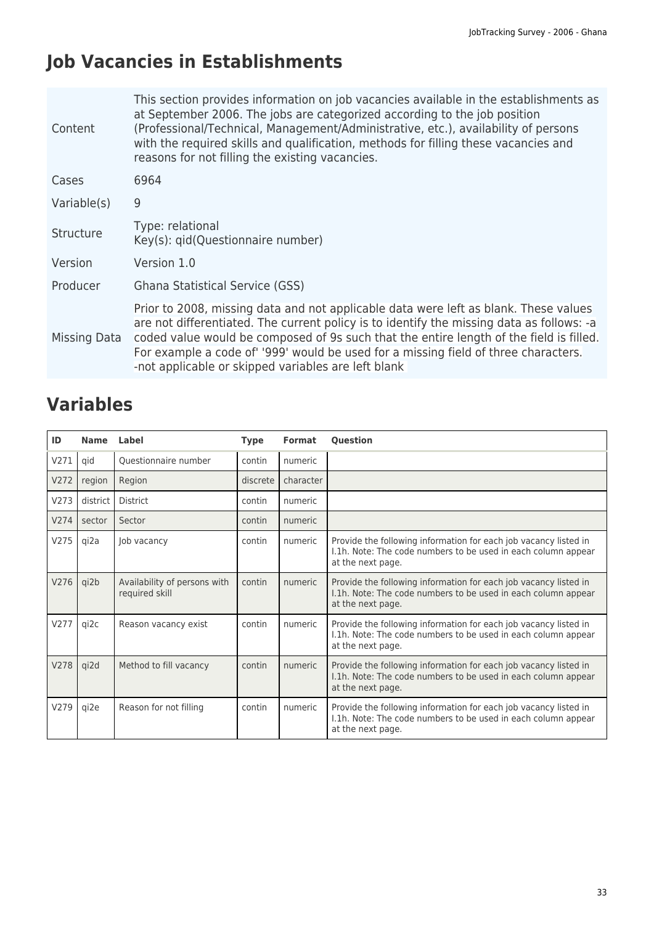# **Job Vacancies in Establishments**

| Content      | This section provides information on job vacancies available in the establishments as<br>at September 2006. The jobs are categorized according to the job position<br>(Professional/Technical, Management/Administrative, etc.), availability of persons<br>with the required skills and qualification, methods for filling these vacancies and<br>reasons for not filling the existing vacancies.                        |
|--------------|---------------------------------------------------------------------------------------------------------------------------------------------------------------------------------------------------------------------------------------------------------------------------------------------------------------------------------------------------------------------------------------------------------------------------|
| Cases        | 6964                                                                                                                                                                                                                                                                                                                                                                                                                      |
| Variable(s)  | 9                                                                                                                                                                                                                                                                                                                                                                                                                         |
| Structure    | Type: relational<br>Key(s): qid(Questionnaire number)                                                                                                                                                                                                                                                                                                                                                                     |
| Version      | Version 1.0                                                                                                                                                                                                                                                                                                                                                                                                               |
| Producer     | Ghana Statistical Service (GSS)                                                                                                                                                                                                                                                                                                                                                                                           |
| Missing Data | Prior to 2008, missing data and not applicable data were left as blank. These values<br>are not differentiated. The current policy is to identify the missing data as follows: -a<br>coded value would be composed of 9s such that the entire length of the field is filled.<br>For example a code of '999' would be used for a missing field of three characters.<br>-not applicable or skipped variables are left blank |

| ID   | <b>Name</b> | Label                                          | <b>Type</b> | <b>Format</b> | <b>Question</b>                                                                                                                                        |
|------|-------------|------------------------------------------------|-------------|---------------|--------------------------------------------------------------------------------------------------------------------------------------------------------|
| V271 | qid         | Questionnaire number                           | contin      | numeric       |                                                                                                                                                        |
| V272 | region      | Region                                         | discrete    | character     |                                                                                                                                                        |
| V273 | district    | <b>District</b>                                | contin      | numeric       |                                                                                                                                                        |
| V274 | sector      | Sector                                         | contin      | numeric       |                                                                                                                                                        |
| V275 | qi2a        | Job vacancy                                    | contin      | numeric       | Provide the following information for each job vacancy listed in<br>I.1h. Note: The code numbers to be used in each column appear<br>at the next page. |
| V276 | qi2b        | Availability of persons with<br>required skill | contin      | numeric       | Provide the following information for each job vacancy listed in<br>I.1h. Note: The code numbers to be used in each column appear<br>at the next page. |
| V277 | qi2c        | Reason vacancy exist                           | contin      | numeric       | Provide the following information for each job vacancy listed in<br>I.1h. Note: The code numbers to be used in each column appear<br>at the next page. |
| V278 | qi2d        | Method to fill vacancy                         | contin      | numeric       | Provide the following information for each job vacancy listed in<br>I.1h. Note: The code numbers to be used in each column appear<br>at the next page. |
| V279 | qi2e        | Reason for not filling                         | contin      | numeric       | Provide the following information for each job vacancy listed in<br>1.1h. Note: The code numbers to be used in each column appear<br>at the next page. |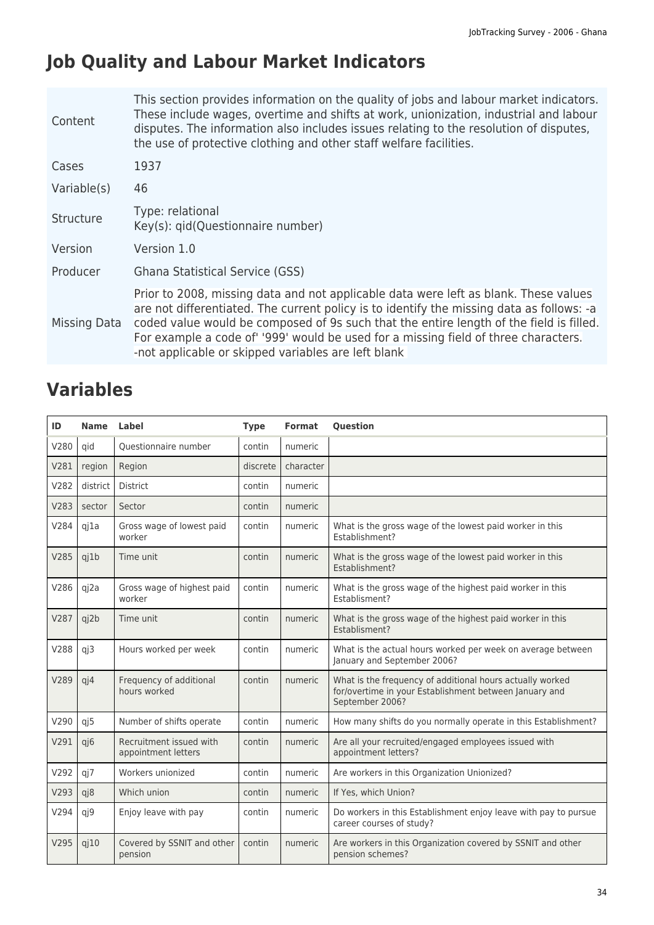# **Job Quality and Labour Market Indicators**

| Content          | This section provides information on the quality of jobs and labour market indicators.<br>These include wages, overtime and shifts at work, unionization, industrial and labour<br>disputes. The information also includes issues relating to the resolution of disputes,<br>the use of protective clothing and other staff welfare facilities.                                                                           |
|------------------|---------------------------------------------------------------------------------------------------------------------------------------------------------------------------------------------------------------------------------------------------------------------------------------------------------------------------------------------------------------------------------------------------------------------------|
| Cases            | 1937                                                                                                                                                                                                                                                                                                                                                                                                                      |
| Variable(s)      | 46                                                                                                                                                                                                                                                                                                                                                                                                                        |
| <b>Structure</b> | Type: relational<br>Key(s): gid(Questionnaire number)                                                                                                                                                                                                                                                                                                                                                                     |
| Version          | Version 1.0                                                                                                                                                                                                                                                                                                                                                                                                               |
| Producer         | Ghana Statistical Service (GSS)                                                                                                                                                                                                                                                                                                                                                                                           |
| Missing Data     | Prior to 2008, missing data and not applicable data were left as blank. These values<br>are not differentiated. The current policy is to identify the missing data as follows: -a<br>coded value would be composed of 9s such that the entire length of the field is filled.<br>For example a code of '999' would be used for a missing field of three characters.<br>-not applicable or skipped variables are left blank |

| ID   | <b>Name</b> | Label                                          | <b>Type</b> | <b>Format</b> | <b>Ouestion</b>                                                                                                                        |
|------|-------------|------------------------------------------------|-------------|---------------|----------------------------------------------------------------------------------------------------------------------------------------|
| V280 | qid         | Questionnaire number                           | contin      | numeric       |                                                                                                                                        |
| V281 | region      | Region                                         | discrete    | character     |                                                                                                                                        |
| V282 | district    | <b>District</b>                                | contin      | numeric       |                                                                                                                                        |
| V283 | sector      | Sector                                         | contin      | numeric       |                                                                                                                                        |
| V284 | qj1a        | Gross wage of lowest paid<br>worker            | contin      | numeric       | What is the gross wage of the lowest paid worker in this<br>Establishment?                                                             |
| V285 | qj1b        | Time unit                                      | contin      | numeric       | What is the gross wage of the lowest paid worker in this<br><b>Fstablishment?</b>                                                      |
| V286 | qj2a        | Gross wage of highest paid<br>worker           | contin      | numeric       | What is the gross wage of the highest paid worker in this<br><b>Fstablisment?</b>                                                      |
| V287 | qj2b        | Time unit                                      | contin      | numeric       | What is the gross wage of the highest paid worker in this<br>Establisment?                                                             |
| V288 | qj3         | Hours worked per week                          | contin      | numeric       | What is the actual hours worked per week on average between<br>January and September 2006?                                             |
| V289 | qj4         | Frequency of additional<br>hours worked        | contin      | numeric       | What is the frequency of additional hours actually worked<br>for/overtime in your Establishment between January and<br>September 2006? |
| V290 | qj5         | Number of shifts operate                       | contin      | numeric       | How many shifts do you normally operate in this Establishment?                                                                         |
| V291 | qj6         | Recruitment issued with<br>appointment letters | contin      | numeric       | Are all your recruited/engaged employees issued with<br>appointment letters?                                                           |
| V292 | qj7         | Workers unionized                              | contin      | numeric       | Are workers in this Organization Unionized?                                                                                            |
| V293 | qj8         | Which union                                    | contin      | numeric       | If Yes, which Union?                                                                                                                   |
| V294 | qj9         | Enjoy leave with pay                           | contin      | numeric       | Do workers in this Establishment enjoy leave with pay to pursue<br>career courses of study?                                            |
| V295 | $q$ $10$    | Covered by SSNIT and other<br>pension          | contin      | numeric       | Are workers in this Organization covered by SSNIT and other<br>pension schemes?                                                        |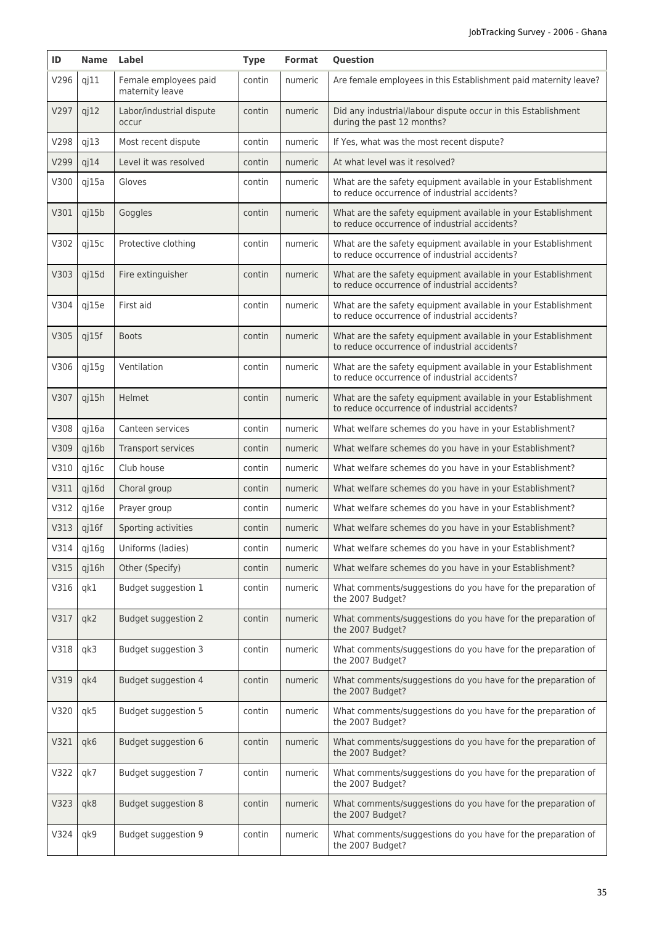| ID   | Name Label |                                          | <b>Type</b> | Format  | <b>Question</b>                                                                                                |
|------|------------|------------------------------------------|-------------|---------|----------------------------------------------------------------------------------------------------------------|
| V296 | $q$ j $11$ | Female employees paid<br>maternity leave | contin      | numeric | Are female employees in this Establishment paid maternity leave?                                               |
| V297 | qj12       | Labor/industrial dispute<br>occur        | contin      | numeric | Did any industrial/labour dispute occur in this Establishment<br>during the past 12 months?                    |
| V298 | qj13       | Most recent dispute                      | contin      | numeric | If Yes, what was the most recent dispute?                                                                      |
| V299 | qj14       | Level it was resolved                    | contin      | numeric | At what level was it resolved?                                                                                 |
| V300 | qj15a      | Gloves                                   | contin      | numeric | What are the safety equipment available in your Establishment<br>to reduce occurrence of industrial accidents? |
| V301 | qj15b      | Goggles                                  | contin      | numeric | What are the safety equipment available in your Establishment<br>to reduce occurrence of industrial accidents? |
| V302 | qj15c      | Protective clothing                      | contin      | numeric | What are the safety equipment available in your Establishment<br>to reduce occurrence of industrial accidents? |
| V303 | qj15d      | Fire extinguisher                        | contin      | numeric | What are the safety equipment available in your Establishment<br>to reduce occurrence of industrial accidents? |
| V304 | qj15e      | First aid                                | contin      | numeric | What are the safety equipment available in your Establishment<br>to reduce occurrence of industrial accidents? |
| V305 | qj15f      | <b>Boots</b>                             | contin      | numeric | What are the safety equipment available in your Establishment<br>to reduce occurrence of industrial accidents? |
| V306 | qj15q      | Ventilation                              | contin      | numeric | What are the safety equipment available in your Establishment<br>to reduce occurrence of industrial accidents? |
| V307 | qj15h      | Helmet                                   | contin      | numeric | What are the safety equipment available in your Establishment<br>to reduce occurrence of industrial accidents? |
| V308 | qj16a      | Canteen services                         | contin      | numeric | What welfare schemes do you have in your Establishment?                                                        |
| V309 | q16b       | Transport services                       | contin      | numeric | What welfare schemes do you have in your Establishment?                                                        |
| V310 | qj16c      | Club house                               | contin      | numeric | What welfare schemes do you have in your Establishment?                                                        |
| V311 | q16d       | Choral group                             | contin      | numeric | What welfare schemes do you have in your Establishment?                                                        |
| V312 | qj16e      | Prayer group                             | contin      | numeric | What welfare schemes do you have in your Establishment?                                                        |
| V313 | $q$ i 16f  | Sporting activities                      | contin      | numeric | What welfare schemes do you have in your Establishment?                                                        |
| V314 | qj16g      | Uniforms (ladies)                        | contin      | numeric | What welfare schemes do you have in your Establishment?                                                        |
| V315 | qj16h      | Other (Specify)                          | contin      | numeric | What welfare schemes do you have in your Establishment?                                                        |
| V316 | qk1        | Budget suggestion 1                      | contin      | numeric | What comments/suggestions do you have for the preparation of<br>the 2007 Budget?                               |
| V317 | qk2        | <b>Budget suggestion 2</b>               | contin      | numeric | What comments/suggestions do you have for the preparation of<br>the 2007 Budget?                               |
| V318 | qk3        | Budget suggestion 3                      | contin      | numeric | What comments/suggestions do you have for the preparation of<br>the 2007 Budget?                               |
| V319 | qk4        | Budget suggestion 4                      | contin      | numeric | What comments/suggestions do you have for the preparation of<br>the 2007 Budget?                               |
| V320 | qk5        | Budget suggestion 5                      | contin      | numeric | What comments/suggestions do you have for the preparation of<br>the 2007 Budget?                               |
| V321 | qk6        | Budget suggestion 6                      | contin      | numeric | What comments/suggestions do you have for the preparation of<br>the 2007 Budget?                               |
| V322 | qk7        | Budget suggestion 7                      | contin      | numeric | What comments/suggestions do you have for the preparation of<br>the 2007 Budget?                               |
| V323 | qk8        | Budget suggestion 8                      | contin      | numeric | What comments/suggestions do you have for the preparation of<br>the 2007 Budget?                               |
| V324 | qk9        | Budget suggestion 9                      | contin      | numeric | What comments/suggestions do you have for the preparation of<br>the 2007 Budget?                               |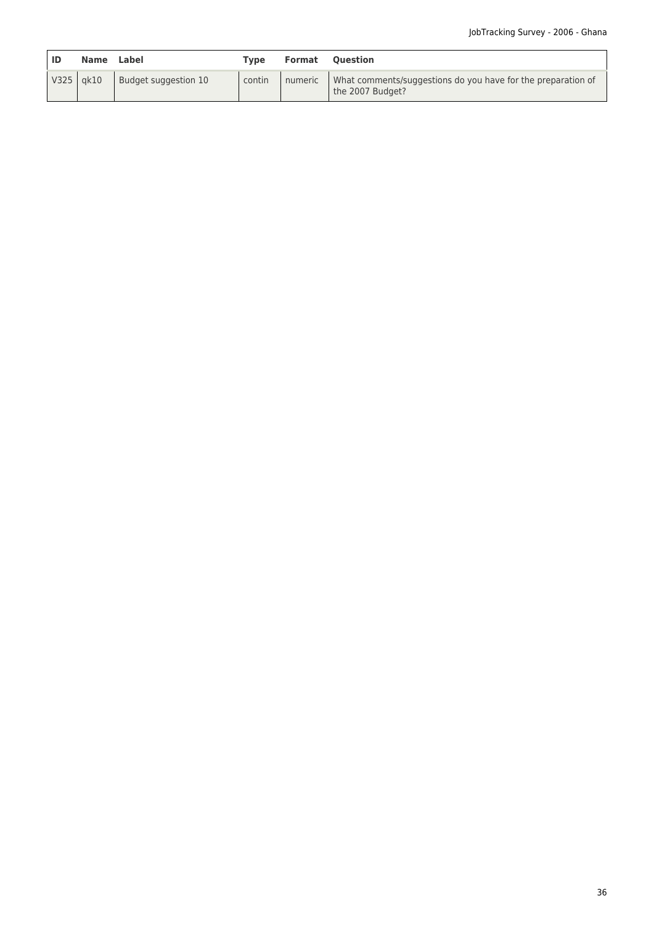| ID | <b>Name</b> | Label                | Tvpe   | <b>Format</b> | <b>Ouestion</b>                                                                          |
|----|-------------|----------------------|--------|---------------|------------------------------------------------------------------------------------------|
|    | V325 gk10   | Budget suggestion 10 | contin |               | numeric What comments/suggestions do you have for the preparation of<br>the 2007 Budget? |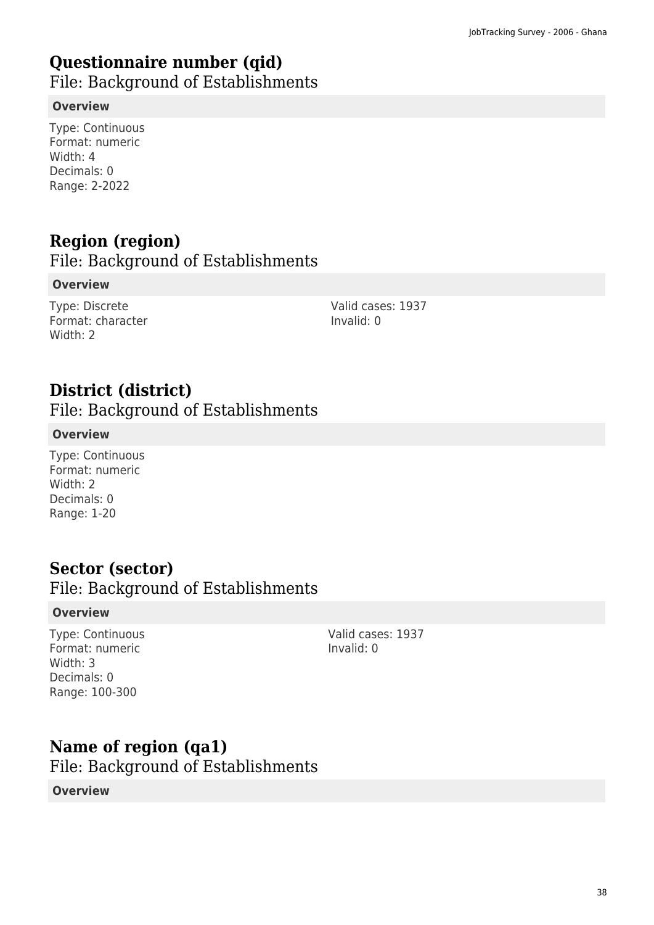# **Questionnaire number (qid)**

File: Background of Establishments

#### **Overview**

Type: Continuous Format: numeric Width: 4 Decimals: 0 Range: 2-2022

# **Region (region)**

File: Background of Establishments

#### **Overview**

Type: Discrete Format: character Width: 2

Valid cases: 1937 Invalid: 0

# **District (district)**

File: Background of Establishments

### **Overview**

Type: Continuous Format: numeric Width: 2 Decimals: 0 Range: 1-20

### **Sector (sector)**

File: Background of Establishments

#### **Overview**

Type: Continuous Format: numeric Width: 3 Decimals: 0 Range: 100-300

Valid cases: 1937 Invalid: 0

## **Name of region (qa1)**

File: Background of Establishments

### **Overview**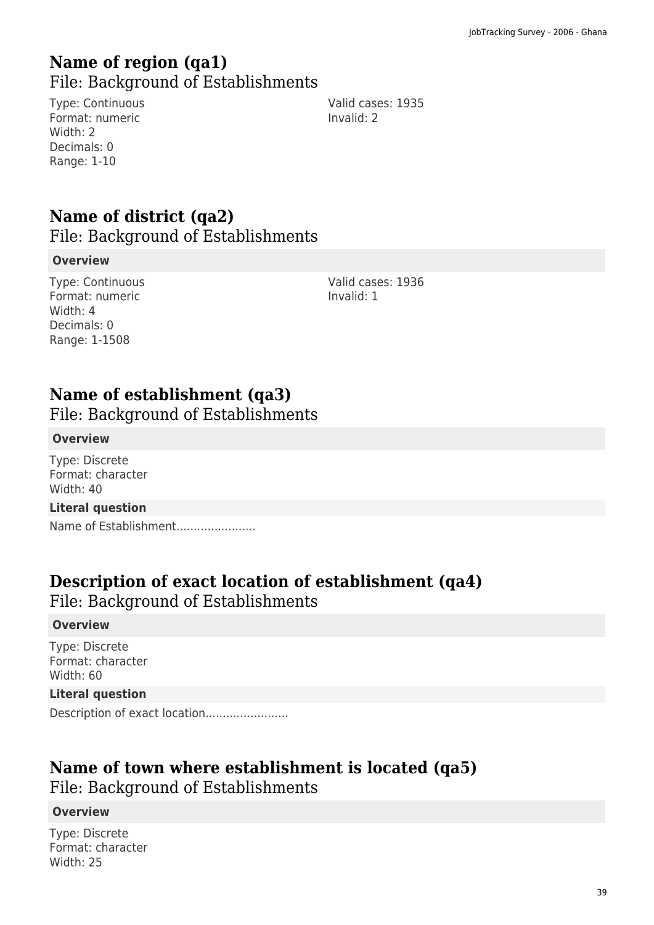### **Name of region (qa1)**  File: Background of Establishments

Type: Continuous Format: numeric Width: 2 Decimals: 0 Range: 1-10

Valid cases: 1935 Invalid: 2

# **Name of district (qa2)**

File: Background of Establishments

#### **Overview**

Type: Continuous Format: numeric Width: 4 Decimals: 0 Range: 1-1508

Valid cases: 1936 Invalid: 1

## **Name of establishment (qa3)**

File: Background of Establishments

#### **Overview**

Type: Discrete Format: character Width: 40

#### **Literal question**

Name of Establishment.......................

### **Description of exact location of establishment (qa4)**

File: Background of Establishments

#### **Overview**

Type: Discrete Format: character Width: 60

#### **Literal question**

Description of exact location.......................

### **Name of town where establishment is located (qa5)**

File: Background of Establishments

#### **Overview**

Type: Discrete Format: character Width: 25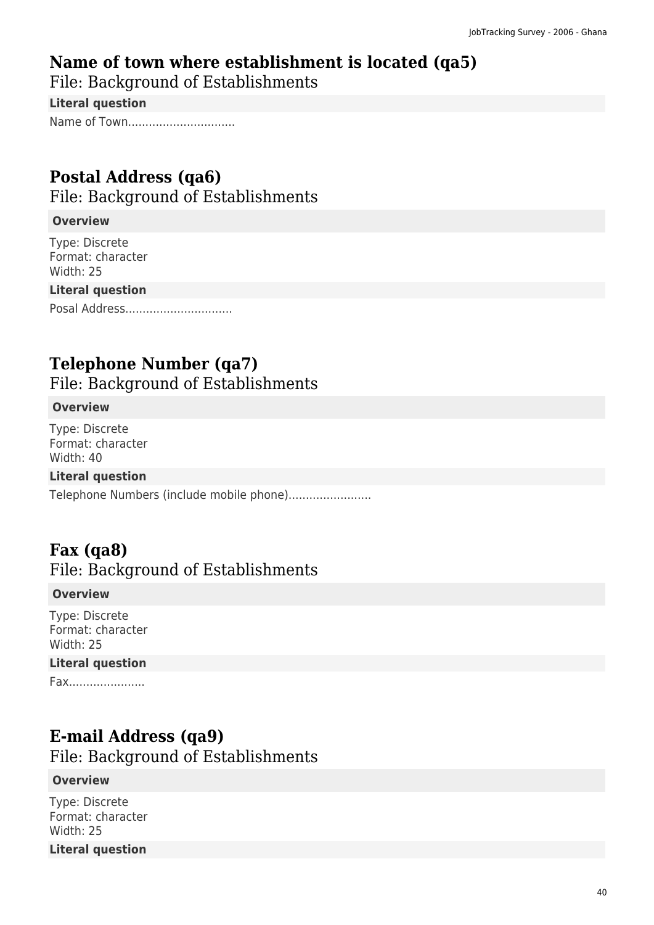# **Name of town where establishment is located (qa5)**

File: Background of Establishments

**Literal question**

Name of Town.................................

# **Postal Address (qa6)**

File: Background of Establishments

### **Overview**

Type: Discrete Format: character Width: 25

### **Literal question**

Posal Address...............................

# **Telephone Number (qa7)**

File: Background of Establishments

### **Overview**

Type: Discrete Format: character Width: 40

### **Literal question**

Telephone Numbers (include mobile phone).......................

# **Fax (qa8)**

### File: Background of Establishments

### **Overview**

Type: Discrete Format: character Width: 25

### **Literal question**

Fax......................

## **E-mail Address (qa9)**

File: Background of Establishments

### **Overview**

Type: Discrete Format: character Width: 25

### **Literal question**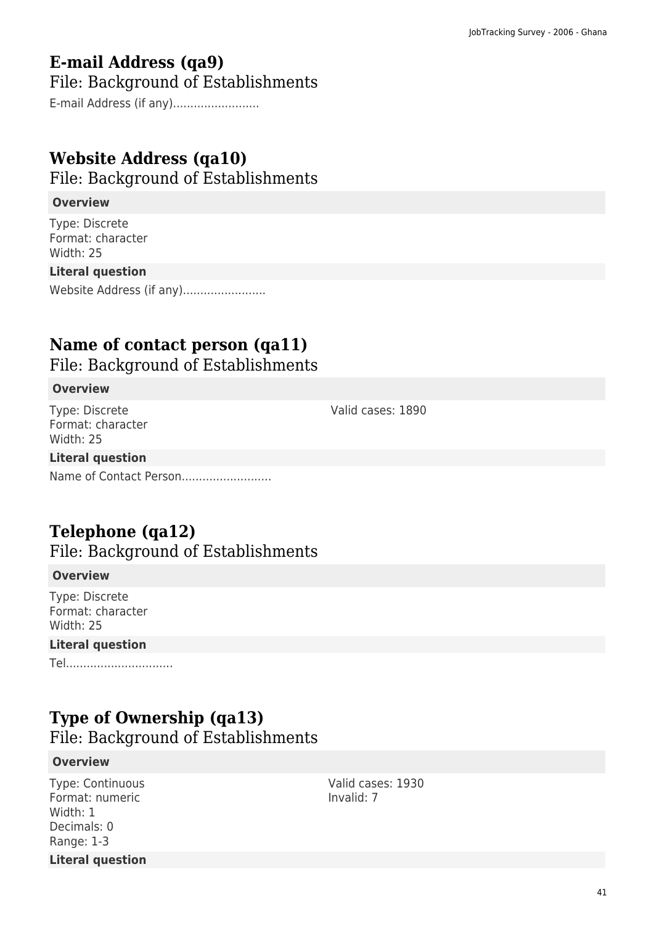# **E-mail Address (qa9)**

File: Background of Establishments

E-mail Address (if any).........................

# **Website Address (qa10)**

File: Background of Establishments

#### **Overview**

Type: Discrete Format: character Width: 25

#### **Literal question**

Website Address (if any)........................

# **Name of contact person (qa11)**

File: Background of Establishments

#### **Overview**

Type: Discrete Format: character Width: 25

### **Literal question**

Name of Contact Person..........................

## **Telephone (qa12)**

File: Background of Establishments

#### **Overview**

Type: Discrete Format: character Width: 25

#### **Literal question**

Tel...............................

## **Type of Ownership (qa13)**

File: Background of Establishments

#### **Overview**

Type: Continuous Format: numeric Width: 1 Decimals: 0 Range: 1-3 **Literal question** Valid cases: 1930 Invalid: 7

Valid cases: 1890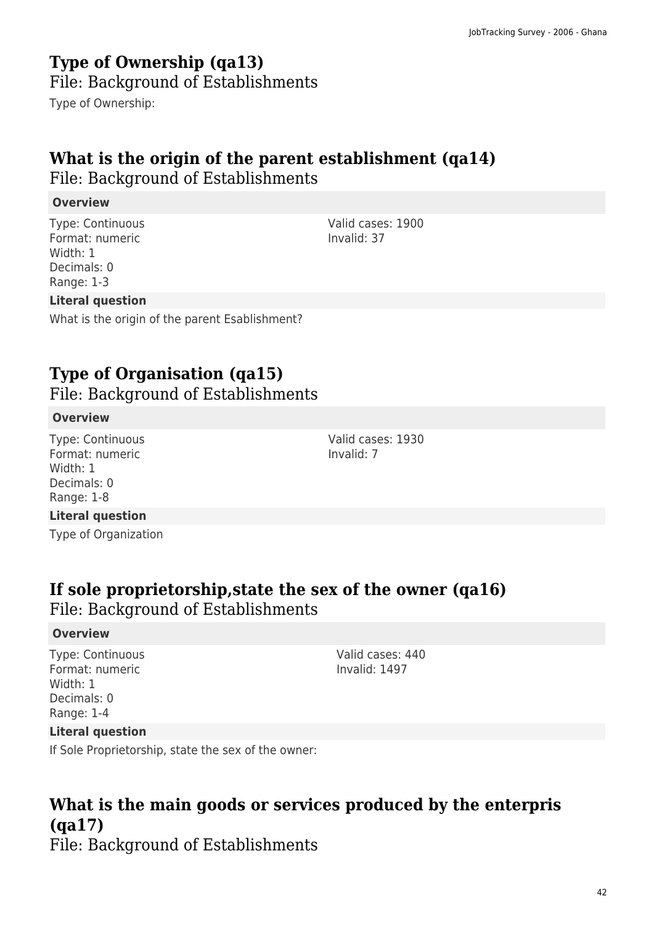# **Type of Ownership (qa13)**

File: Background of Establishments

Type of Ownership:

# **What is the origin of the parent establishment (qa14)**

File: Background of Establishments

### **Overview**

Type: Continuous Format: numeric Width: 1 Decimals: 0 Range: 1-3

### **Literal question**

What is the origin of the parent Esablishment?

# **Type of Organisation (qa15)**

File: Background of Establishments

#### **Overview**

Type: Continuous Format: numeric Width: 1 Decimals: 0 Range: 1-8

#### **Literal question**

Type of Organization

## **If sole proprietorship,state the sex of the owner (qa16)**

File: Background of Establishments

#### **Overview**

Type: Continuous Format: numeric Width: 1 Decimals: 0 Range: 1-4

Valid cases: 440 Invalid: 1497

### **Literal question**

If Sole Proprietorship, state the sex of the owner:

# **What is the main goods or services produced by the enterpris (qa17)**

File: Background of Establishments

Valid cases: 1900 Invalid: 37

Valid cases: 1930 Invalid: 7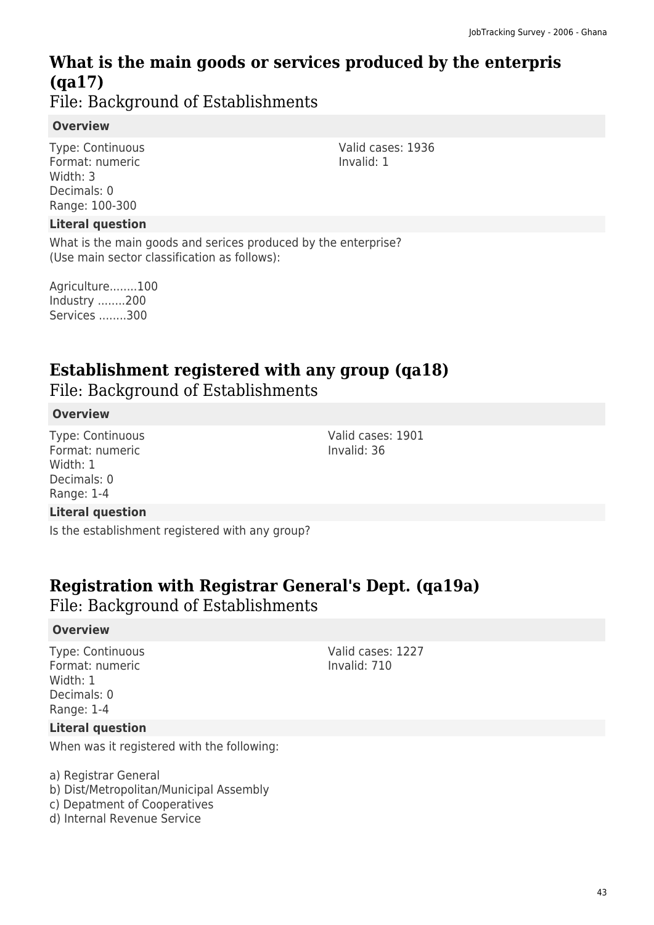# **What is the main goods or services produced by the enterpris (qa17)**

File: Background of Establishments

### **Overview**

Type: Continuous Format: numeric Width: 3 Decimals: 0 Range: 100-300

### **Literal question**

What is the main goods and serices produced by the enterprise? (Use main sector classification as follows):

Agriculture........100 Industry ........200 Services ........300

# **Establishment registered with any group (qa18)**

File: Background of Establishments

### **Overview**

Type: Continuous Format: numeric Width: 1 Decimals: 0 Range: 1-4

### **Literal question**

Is the establishment registered with any group?

## **Registration with Registrar General's Dept. (qa19a)**

File: Background of Establishments

### **Overview**

Type: Continuous Format: numeric Width: 1 Decimals: 0 Range: 1-4

Valid cases: 1227 Invalid: 710

Valid cases: 1901

Invalid: 36

#### **Literal question**

When was it registered with the following:

- a) Registrar General
- b) Dist/Metropolitan/Municipal Assembly
- c) Depatment of Cooperatives
- d) Internal Revenue Service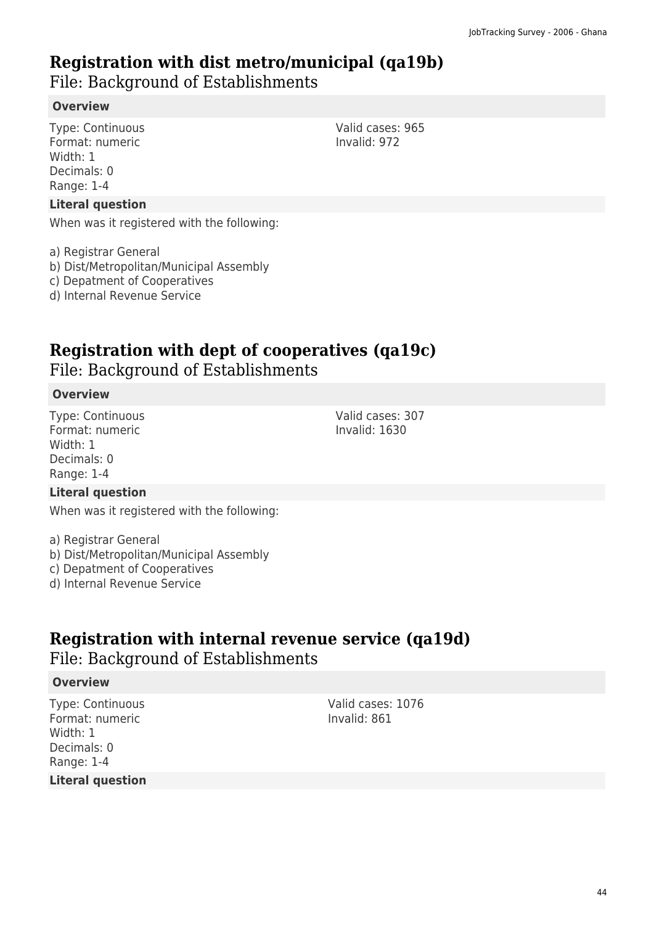### **Registration with dist metro/municipal (qa19b)**

File: Background of Establishments

### **Overview**

Type: Continuous Format: numeric Width: 1 Decimals: 0 Range: 1-4

#### **Literal question**

When was it registered with the following:

a) Registrar General

- b) Dist/Metropolitan/Municipal Assembly
- c) Depatment of Cooperatives
- d) Internal Revenue Service

# **Registration with dept of cooperatives (qa19c)**

File: Background of Establishments

#### **Overview**

Type: Continuous Format: numeric Width: 1 Decimals: 0 Range: 1-4

### **Literal question**

When was it registered with the following:

a) Registrar General

- b) Dist/Metropolitan/Municipal Assembly
- c) Depatment of Cooperatives
- d) Internal Revenue Service

# **Registration with internal revenue service (qa19d)**

File: Background of Establishments

### **Overview**

Type: Continuous Format: numeric Width: 1 Decimals: 0 Range: 1-4

**Literal question**

Valid cases: 1076 Invalid: 861

Valid cases: 965 Invalid: 972

Valid cases: 307 Invalid: 1630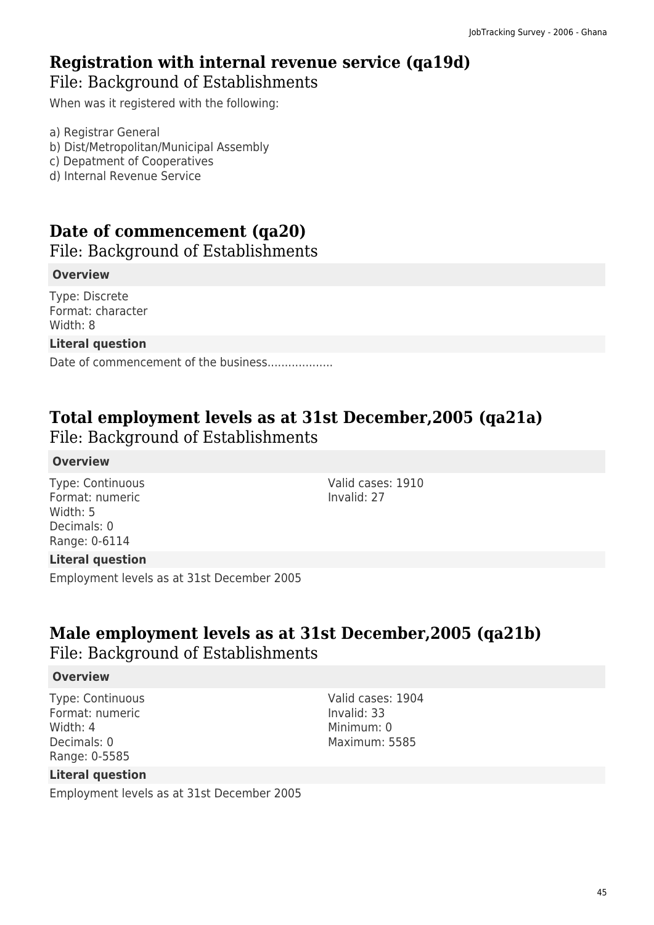### **Registration with internal revenue service (qa19d)**  File: Background of Establishments

When was it registered with the following:

a) Registrar General

- b) Dist/Metropolitan/Municipal Assembly
- c) Depatment of Cooperatives
- d) Internal Revenue Service

# **Date of commencement (qa20)**

File: Background of Establishments

#### **Overview**

Type: Discrete Format: character Width: 8

#### **Literal question**

Date of commencement of the business..................

# **Total employment levels as at 31st December,2005 (qa21a)**

File: Background of Establishments

#### **Overview**

Type: Continuous Format: numeric Width: 5 Decimals: 0 Range: 0-6114

Valid cases: 1910 Invalid: 27

#### **Literal question**

Employment levels as at 31st December 2005

## **Male employment levels as at 31st December,2005 (qa21b)**  File: Background of Establishments

#### **Overview**

Type: Continuous Format: numeric Width: 4 Decimals: 0 Range: 0-5585

Valid cases: 1904 Invalid: 33 Minimum: 0 Maximum: 5585

### **Literal question**

Employment levels as at 31st December 2005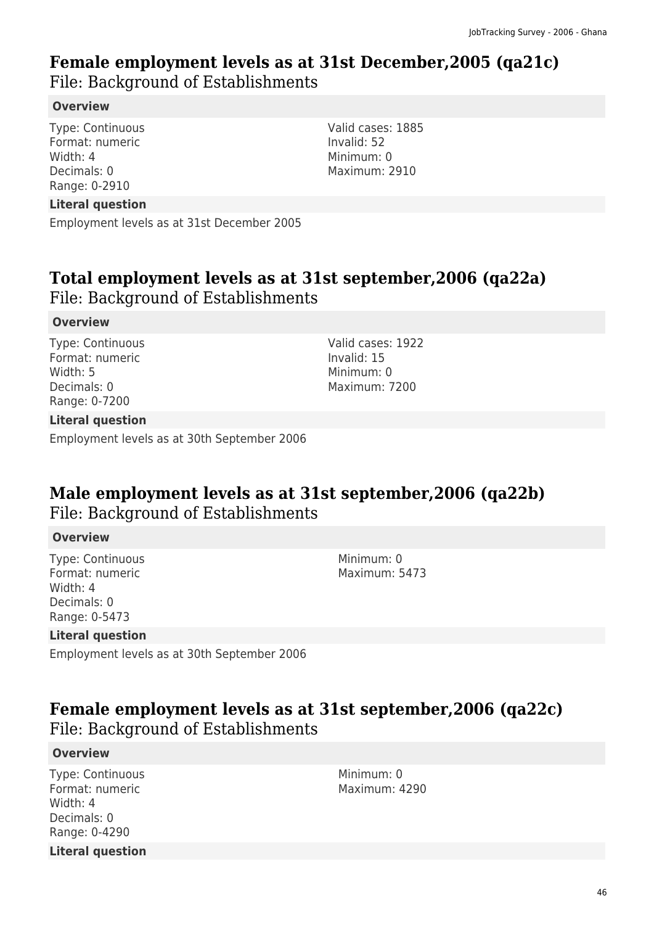# **Female employment levels as at 31st December,2005 (qa21c)**

File: Background of Establishments

### **Overview**

Type: Continuous Format: numeric Width: 4 Decimals: 0 Range: 0-2910

**Literal question**

Employment levels as at 31st December 2005

# **Total employment levels as at 31st september,2006 (qa22a)**

File: Background of Establishments

### **Overview**

Type: Continuous Format: numeric Width: 5 Decimals: 0 Range: 0-7200

Valid cases: 1922 Invalid: 15 Minimum: 0 Maximum: 7200

Valid cases: 1885

Invalid: 52 Minimum: 0 Maximum: 2910

### **Literal question**

Employment levels as at 30th September 2006

# **Male employment levels as at 31st september,2006 (qa22b)**  File: Background of Establishments

#### **Overview**

Type: Continuous Format: numeric Width: 4 Decimals: 0 Range: 0-5473

Minimum: 0 Maximum: 5473

### **Literal question**

Employment levels as at 30th September 2006

### **Female employment levels as at 31st september,2006 (qa22c)**  File: Background of Establishments

#### **Overview**

Type: Continuous Format: numeric Width: 4 Decimals: 0 Range: 0-4290 **Literal question** Minimum: 0 Maximum: 4290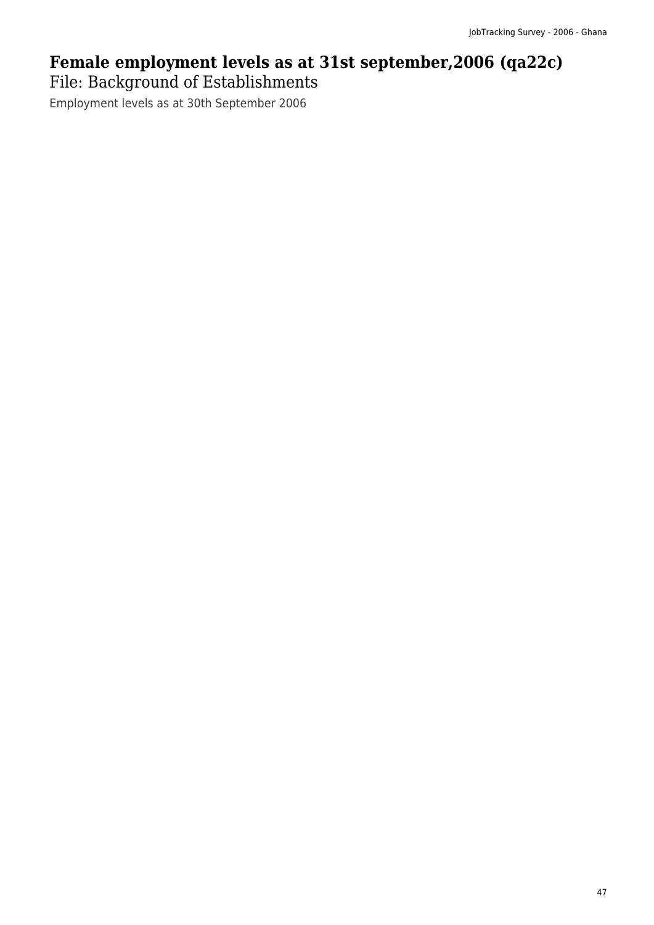# **Female employment levels as at 31st september,2006 (qa22c)**  File: Background of Establishments

Employment levels as at 30th September 2006

47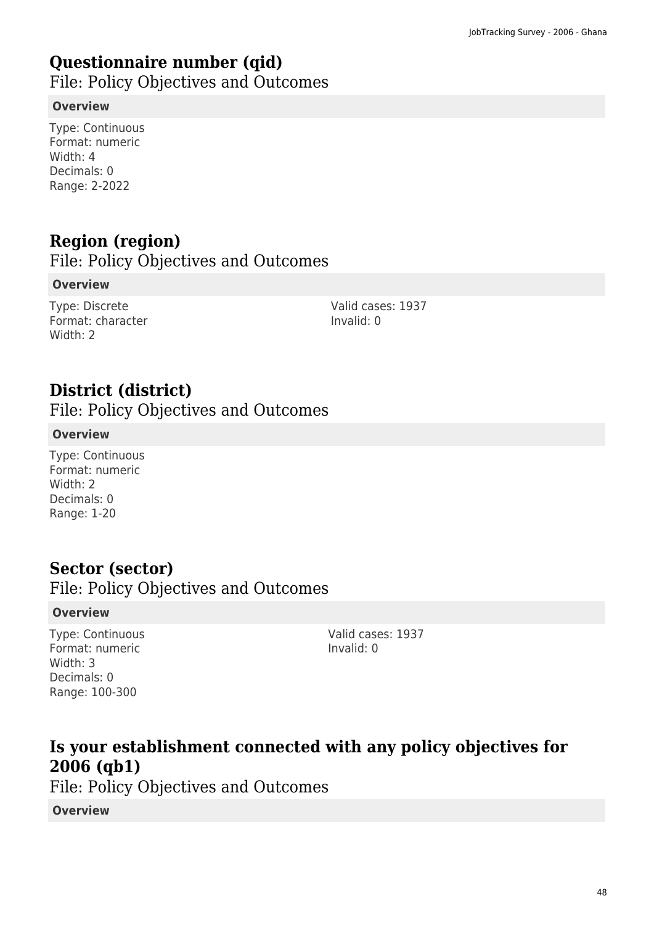# **Questionnaire number (qid)**

File: Policy Objectives and Outcomes

### **Overview**

Type: Continuous Format: numeric Width: 4 Decimals: 0 Range: 2-2022

# **Region (region)**

File: Policy Objectives and Outcomes

### **Overview**

Type: Discrete Format: character Width: 2

Valid cases: 1937 Invalid: 0

# **District (district)**

File: Policy Objectives and Outcomes

### **Overview**

Type: Continuous Format: numeric Width: 2 Decimals: 0 Range: 1-20

## **Sector (sector)**

File: Policy Objectives and Outcomes

### **Overview**

Type: Continuous Format: numeric Width: 3 Decimals: 0 Range: 100-300

Valid cases: 1937 Invalid: 0

# **Is your establishment connected with any policy objectives for 2006 (qb1)**

File: Policy Objectives and Outcomes

**Overview**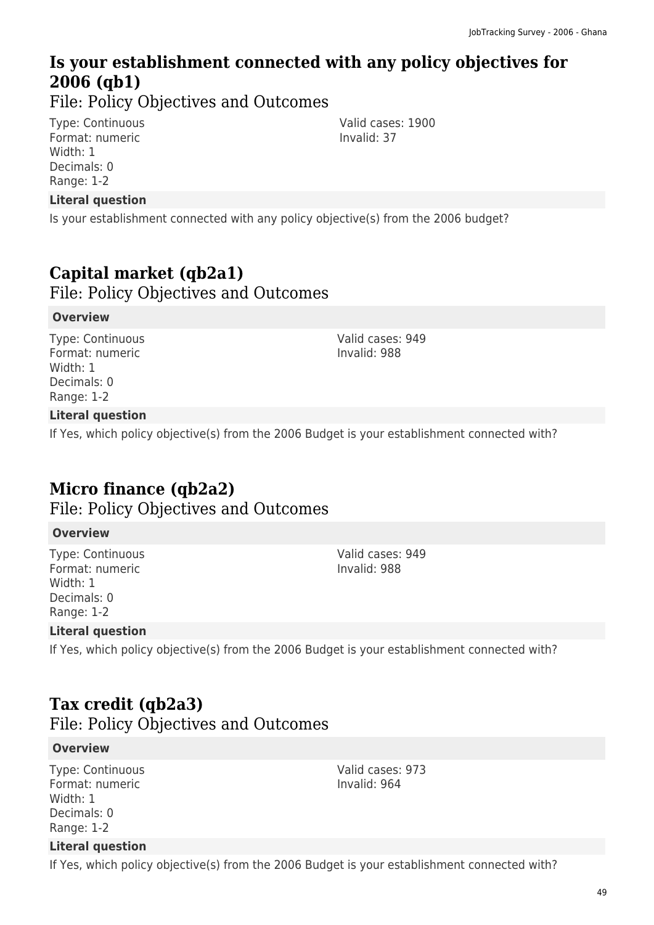# **Is your establishment connected with any policy objectives for 2006 (qb1)**

File: Policy Objectives and Outcomes

Type: Continuous Format: numeric Width: 1 Decimals: 0 Range: 1-2

### **Literal question**

Is your establishment connected with any policy objective(s) from the 2006 budget?

## **Capital market (qb2a1)**

File: Policy Objectives and Outcomes

#### **Overview**

Type: Continuous Format: numeric Width: 1 Decimals: 0 Range: 1-2

Valid cases: 949 Invalid: 988

Valid cases: 1900

Invalid: 37

### **Literal question**

If Yes, which policy objective(s) from the 2006 Budget is your establishment connected with?

## **Micro finance (qb2a2)**

File: Policy Objectives and Outcomes

#### **Overview**

Type: Continuous Format: numeric Width: 1 Decimals: 0 Range: 1-2

Valid cases: 949 Invalid: 988

### **Literal question**

If Yes, which policy objective(s) from the 2006 Budget is your establishment connected with?

# **Tax credit (qb2a3)**

File: Policy Objectives and Outcomes

#### **Overview**

Type: Continuous Format: numeric Width: 1 Decimals: 0 Range: 1-2

Valid cases: 973 Invalid: 964

### **Literal question**

If Yes, which policy objective(s) from the 2006 Budget is your establishment connected with?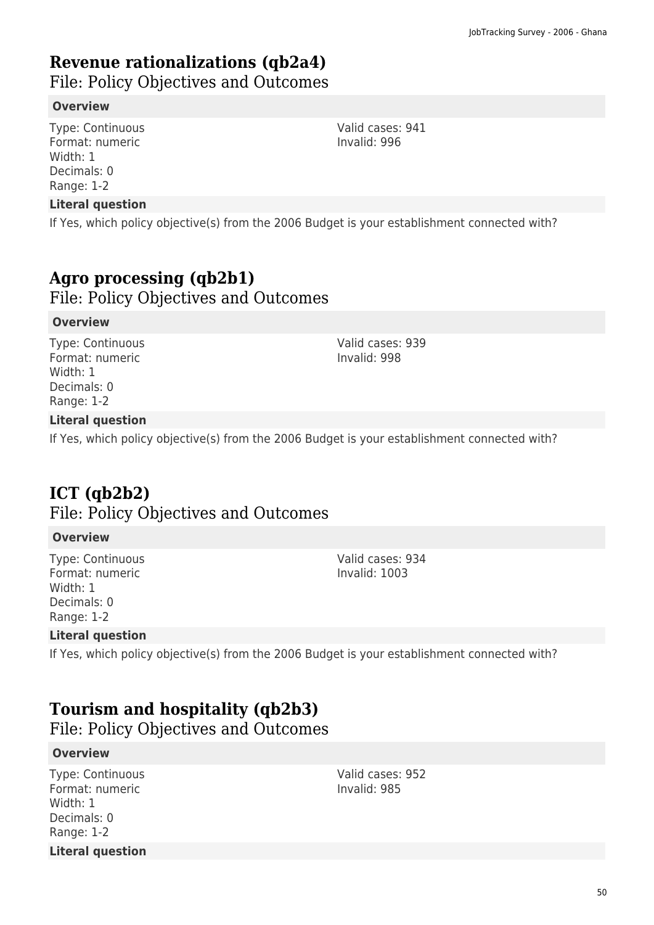# **Revenue rationalizations (qb2a4)**

File: Policy Objectives and Outcomes

#### **Overview**

Type: Continuous Format: numeric Width: 1 Decimals: 0 Range: 1-2

#### **Literal question**

If Yes, which policy objective(s) from the 2006 Budget is your establishment connected with?

# **Agro processing (qb2b1)**

File: Policy Objectives and Outcomes

#### **Overview**

Type: Continuous Format: numeric Width: 1 Decimals: 0 Range: 1-2

Valid cases: 939 Invalid: 998

### **Literal question**

If Yes, which policy objective(s) from the 2006 Budget is your establishment connected with?

# **ICT (qb2b2)**

File: Policy Objectives and Outcomes

#### **Overview**

Type: Continuous Format: numeric Width: 1 Decimals: 0 Range: 1-2

Valid cases: 934 Invalid: 1003

### **Literal question**

If Yes, which policy objective(s) from the 2006 Budget is your establishment connected with?

# **Tourism and hospitality (qb2b3)**

File: Policy Objectives and Outcomes

#### **Overview**

Type: Continuous Format: numeric Width: 1 Decimals: 0 Range: 1-2 **Literal question** Valid cases: 952 Invalid: 985

Valid cases: 941 Invalid: 996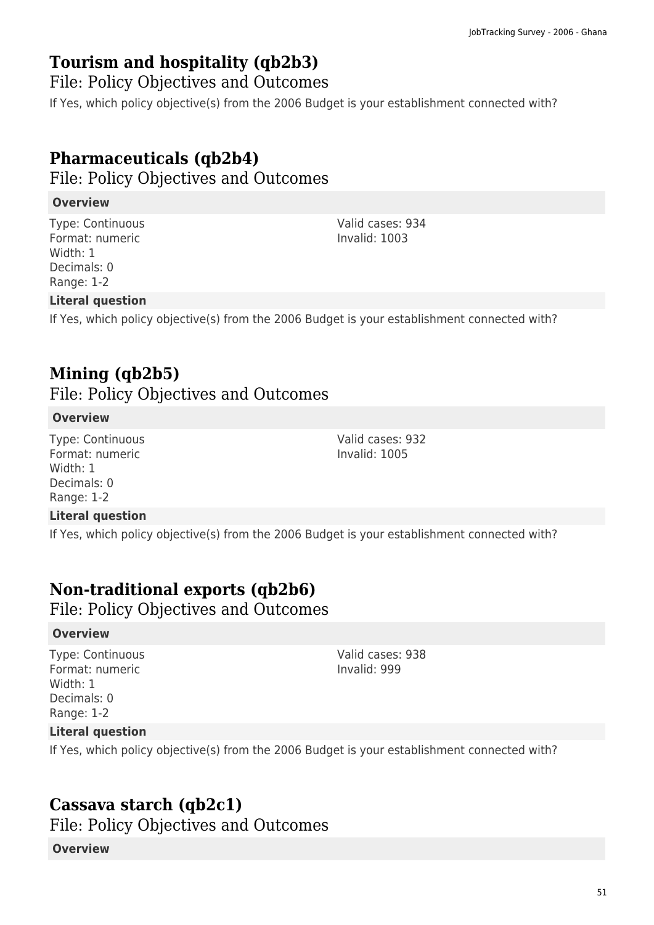# **Tourism and hospitality (qb2b3)**

File: Policy Objectives and Outcomes

If Yes, which policy objective(s) from the 2006 Budget is your establishment connected with?

# **Pharmaceuticals (qb2b4)**

File: Policy Objectives and Outcomes

### **Overview**

Type: Continuous Format: numeric Width: 1 Decimals: 0 Range: 1-2

### **Literal question**

If Yes, which policy objective(s) from the 2006 Budget is your establishment connected with?

# **Mining (qb2b5)**

File: Policy Objectives and Outcomes

### **Overview**

Type: Continuous Format: numeric Width: 1 Decimals: 0 Range: 1-2

### **Literal question**

If Yes, which policy objective(s) from the 2006 Budget is your establishment connected with?

# **Non-traditional exports (qb2b6)**

File: Policy Objectives and Outcomes

### **Overview**

Type: Continuous Format: numeric Width: 1 Decimals: 0 Range: 1-2

Valid cases: 938 Invalid: 999

### **Literal question**

If Yes, which policy objective(s) from the 2006 Budget is your establishment connected with?

# **Cassava starch (qb2c1)**

File: Policy Objectives and Outcomes

#### **Overview**

Valid cases: 934 Invalid: 1003

Valid cases: 932 Invalid: 1005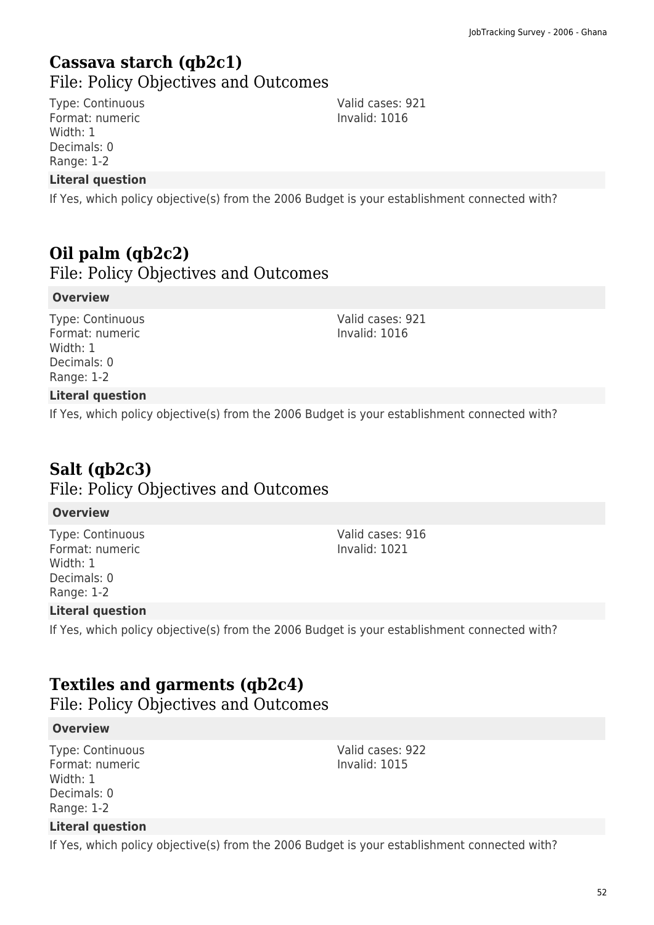### **Cassava starch (qb2c1)**  File: Policy Objectives and Outcomes

Type: Continuous Format: numeric Width: 1 Decimals: 0 Range: 1-2

### **Literal question**

If Yes, which policy objective(s) from the 2006 Budget is your establishment connected with?

## **Oil palm (qb2c2)**

File: Policy Objectives and Outcomes

#### **Overview**

Type: Continuous Format: numeric Width: 1 Decimals: 0 Range: 1-2

Valid cases: 921 Invalid: 1016

### **Literal question**

If Yes, which policy objective(s) from the 2006 Budget is your establishment connected with?

# **Salt (qb2c3)**

### File: Policy Objectives and Outcomes

#### **Overview**

Type: Continuous Format: numeric Width: 1 Decimals: 0 Range: 1-2

Valid cases: 916 Invalid: 1021

Valid cases: 922 Invalid: 1015

#### **Literal question**

If Yes, which policy objective(s) from the 2006 Budget is your establishment connected with?

## **Textiles and garments (qb2c4)**

File: Policy Objectives and Outcomes

#### **Overview**

Type: Continuous Format: numeric Width: 1 Decimals: 0 Range: 1-2

#### **Literal question**

If Yes, which policy objective(s) from the 2006 Budget is your establishment connected with?

Valid cases: 921 Invalid: 1016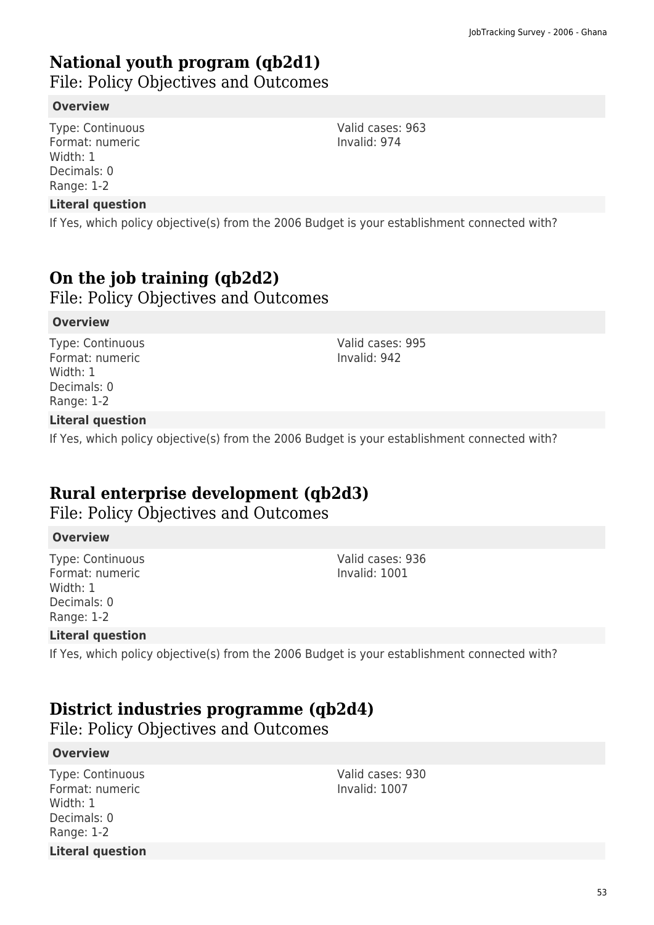# **National youth program (qb2d1)**

File: Policy Objectives and Outcomes

#### **Overview**

Type: Continuous Format: numeric Width: 1 Decimals: 0 Range: 1-2

#### **Literal question**

If Yes, which policy objective(s) from the 2006 Budget is your establishment connected with?

# **On the job training (qb2d2)**

File: Policy Objectives and Outcomes

#### **Overview**

Type: Continuous Format: numeric Width: 1 Decimals: 0 Range: 1-2

Valid cases: 995 Invalid: 942

### **Literal question**

If Yes, which policy objective(s) from the 2006 Budget is your establishment connected with?

# **Rural enterprise development (qb2d3)**

File: Policy Objectives and Outcomes

#### **Overview**

Type: Continuous Format: numeric Width: 1 Decimals: 0 Range: 1-2

Valid cases: 936 Invalid: 1001

### **Literal question**

If Yes, which policy objective(s) from the 2006 Budget is your establishment connected with?

## **District industries programme (qb2d4)**

File: Policy Objectives and Outcomes

#### **Overview**

Type: Continuous Format: numeric Width: 1 Decimals: 0 Range: 1-2 **Literal question** Valid cases: 930 Invalid: 1007

Valid cases: 963 Invalid: 974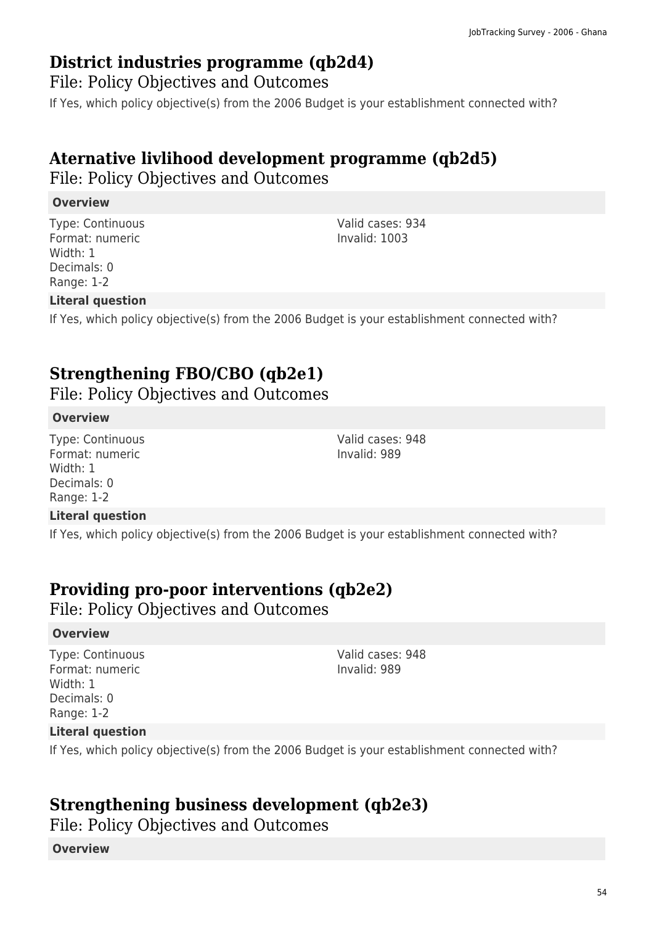### **District industries programme (qb2d4)**

File: Policy Objectives and Outcomes

If Yes, which policy objective(s) from the 2006 Budget is your establishment connected with?

# **Aternative livlihood development programme (qb2d5)**

File: Policy Objectives and Outcomes

### **Overview**

Type: Continuous Format: numeric Width: 1 Decimals: 0 Range: 1-2

### Valid cases: 934 Invalid: 1003

### **Literal question**

If Yes, which policy objective(s) from the 2006 Budget is your establishment connected with?

# **Strengthening FBO/CBO (qb2e1)**

File: Policy Objectives and Outcomes

#### **Overview**

Type: Continuous Format: numeric Width: 1 Decimals: 0 Range: 1-2

#### Valid cases: 948 Invalid: 989

### **Literal question**

If Yes, which policy objective(s) from the 2006 Budget is your establishment connected with?

# **Providing pro-poor interventions (qb2e2)**

File: Policy Objectives and Outcomes

#### **Overview**

Type: Continuous Format: numeric Width: 1 Decimals: 0 Range: 1-2

Valid cases: 948 Invalid: 989

### **Literal question**

If Yes, which policy objective(s) from the 2006 Budget is your establishment connected with?

## **Strengthening business development (qb2e3)**

File: Policy Objectives and Outcomes

#### **Overview**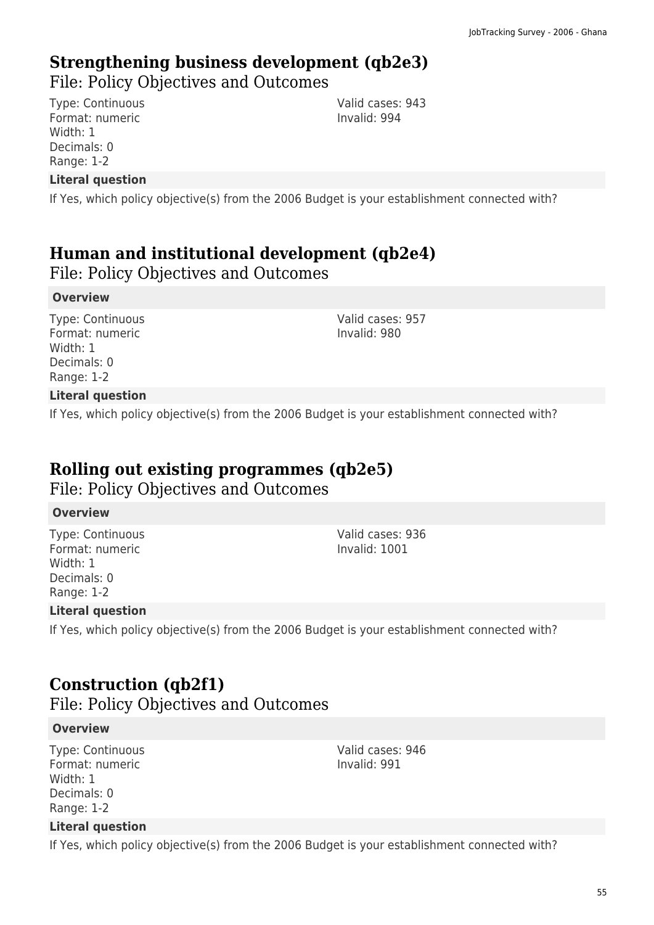# **Strengthening business development (qb2e3)**

File: Policy Objectives and Outcomes

Type: Continuous Format: numeric Width: 1 Decimals: 0 Range: 1-2

**Literal question**

If Yes, which policy objective(s) from the 2006 Budget is your establishment connected with?

# **Human and institutional development (qb2e4)**

File: Policy Objectives and Outcomes

### **Overview**

Type: Continuous Format: numeric Width: 1 Decimals: 0 Range: 1-2

Valid cases: 957 Invalid: 980

Valid cases: 943 Invalid: 994

### **Literal question**

If Yes, which policy objective(s) from the 2006 Budget is your establishment connected with?

### **Rolling out existing programmes (qb2e5)**

File: Policy Objectives and Outcomes

#### **Overview**

Type: Continuous Format: numeric Width: 1 Decimals: 0 Range: 1-2

Valid cases: 936 Invalid: 1001

### **Literal question**

If Yes, which policy objective(s) from the 2006 Budget is your establishment connected with?

# **Construction (qb2f1)**

File: Policy Objectives and Outcomes

#### **Overview**

Type: Continuous Format: numeric Width: 1 Decimals: 0 Range: 1-2

#### **Literal question**

If Yes, which policy objective(s) from the 2006 Budget is your establishment connected with?

55

Valid cases: 946 Invalid: 991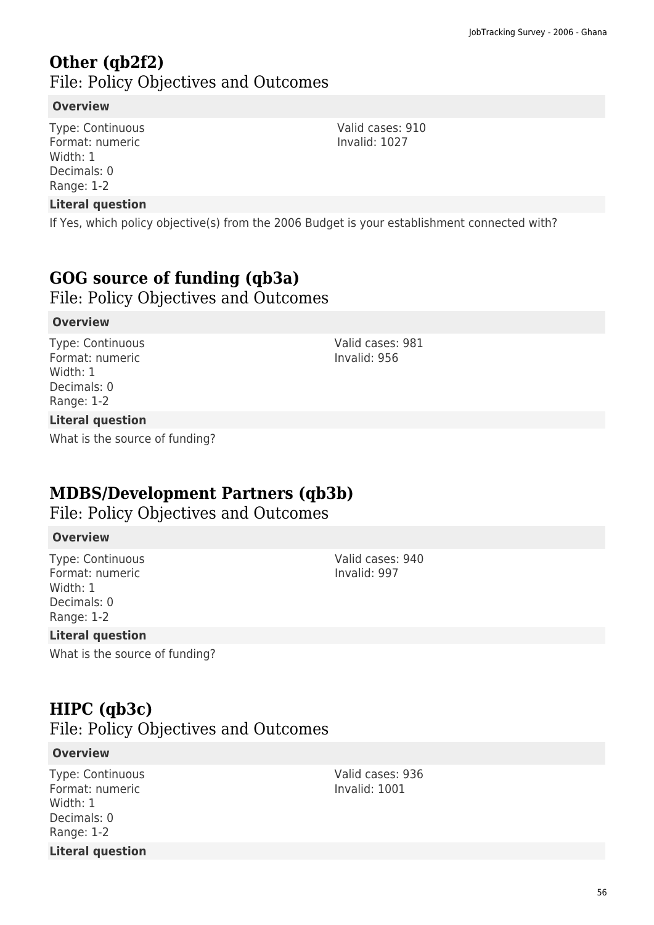### **Other (qb2f2)**  File: Policy Objectives and Outcomes

#### **Overview**

Type: Continuous Format: numeric Width: 1 Decimals: 0 Range: 1-2

#### **Literal question**

If Yes, which policy objective(s) from the 2006 Budget is your establishment connected with?

### **GOG source of funding (qb3a)**

File: Policy Objectives and Outcomes

#### **Overview**

Type: Continuous Format: numeric Width: 1 Decimals: 0 Range: 1-2

#### **Literal question**

What is the source of funding?

### **MDBS/Development Partners (qb3b)**

File: Policy Objectives and Outcomes

#### **Overview**

Type: Continuous Format: numeric Width: 1 Decimals: 0 Range: 1-2

#### **Literal question**

What is the source of funding?

### **HIPC (qb3c)**

File: Policy Objectives and Outcomes

#### **Overview**

Type: Continuous Format: numeric Width: 1 Decimals: 0 Range: 1-2 **Literal question** Valid cases: 936 Invalid: 1001

Valid cases: 981

Invalid: 956

Valid cases: 940 Invalid: 997

Valid cases: 910 Invalid: 1027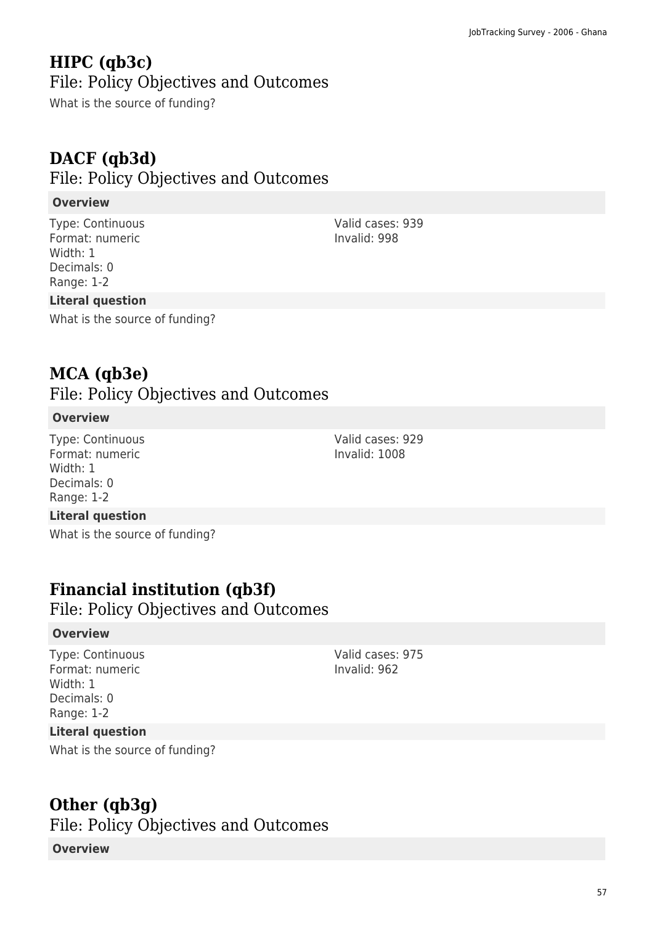### **HIPC (qb3c)**  File: Policy Objectives and Outcomes

What is the source of funding?

# **DACF (qb3d)**

### File: Policy Objectives and Outcomes

### **Overview**

Type: Continuous Format: numeric Width: 1 Decimals: 0 Range: 1-2

### **Literal question**

What is the source of funding?

### **MCA (qb3e)**

File: Policy Objectives and Outcomes

#### **Overview**

Type: Continuous Format: numeric Width: 1 Decimals: 0 Range: 1-2

#### **Literal question**

What is the source of funding?

## **Financial institution (qb3f)**

File: Policy Objectives and Outcomes

#### **Overview**

Type: Continuous Format: numeric Width: 1 Decimals: 0 Range: 1-2

Valid cases: 975 Invalid: 962

### **Literal question**

What is the source of funding?

## **Other (qb3g)**

File: Policy Objectives and Outcomes

#### **Overview**

Valid cases: 939 Invalid: 998

Valid cases: 929 Invalid: 1008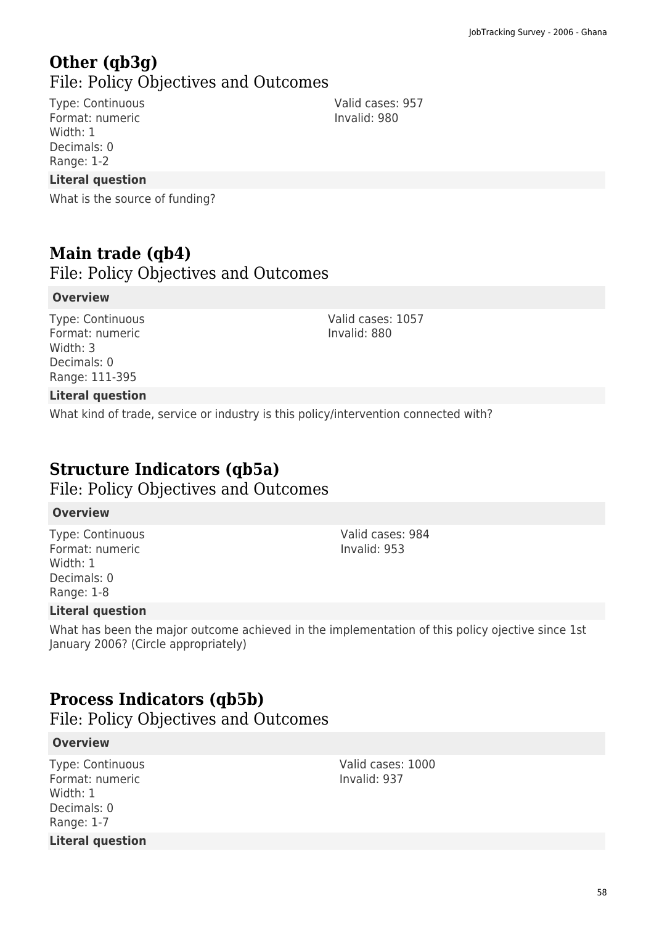## **Other (qb3g)**  File: Policy Objectives and Outcomes

Type: Continuous Format: numeric Width: 1 Decimals: 0 Range: 1-2

### **Literal question**

What is the source of funding?

## **Main trade (qb4)**

File: Policy Objectives and Outcomes

#### **Overview**

Type: Continuous Format: numeric Width: 3 Decimals: 0 Range: 111-395

Valid cases: 1057 Invalid: 880

### **Literal question**

What kind of trade, service or industry is this policy/intervention connected with?

## **Structure Indicators (qb5a)**

File: Policy Objectives and Outcomes

#### **Overview**

Type: Continuous Format: numeric Width: 1 Decimals: 0 Range: 1-8

Valid cases: 984 Invalid: 953

#### **Literal question**

What has been the major outcome achieved in the implementation of this policy ojective since 1st January 2006? (Circle appropriately)

## **Process Indicators (qb5b)**

File: Policy Objectives and Outcomes

#### **Overview**

Type: Continuous Format: numeric Width: 1 Decimals: 0 Range: 1-7 **Literal question** Valid cases: 1000 Invalid: 937

Valid cases: 957 Invalid: 980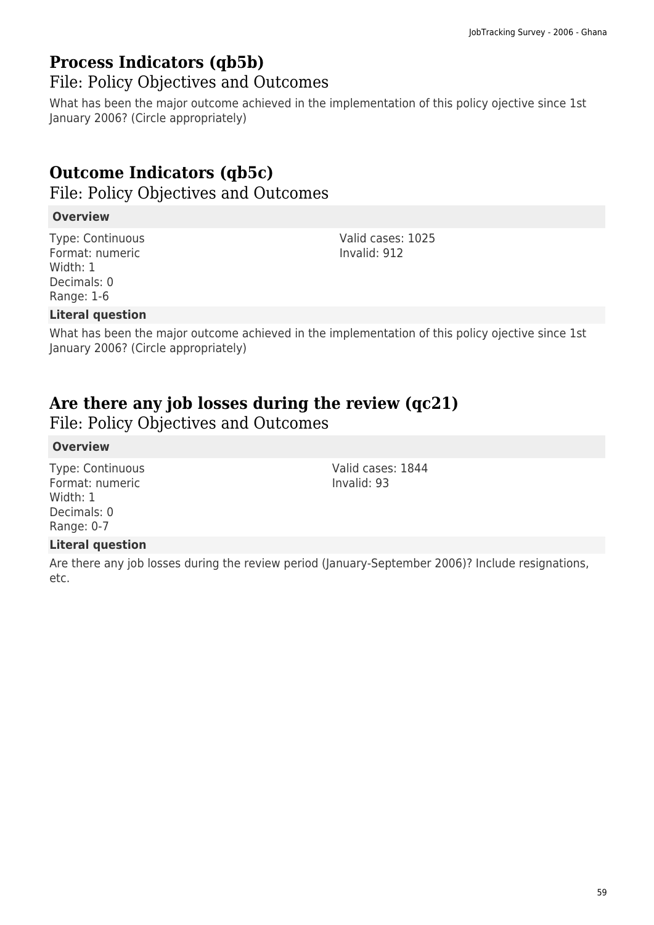# **Process Indicators (qb5b)**

File: Policy Objectives and Outcomes

What has been the major outcome achieved in the implementation of this policy ojective since 1st January 2006? (Circle appropriately)

# **Outcome Indicators (qb5c)**

File: Policy Objectives and Outcomes

### **Overview**

Type: Continuous Format: numeric Width: 1 Decimals: 0 Range: 1-6

Valid cases: 1025 Invalid: 912

Valid cases: 1844

Invalid: 93

### **Literal question**

What has been the major outcome achieved in the implementation of this policy ojective since 1st January 2006? (Circle appropriately)

# **Are there any job losses during the review (qc21)**

File: Policy Objectives and Outcomes

### **Overview**

Type: Continuous Format: numeric Width: 1 Decimals: 0 Range: 0-7

### **Literal question**

Are there any job losses during the review period (January-September 2006)? Include resignations, etc.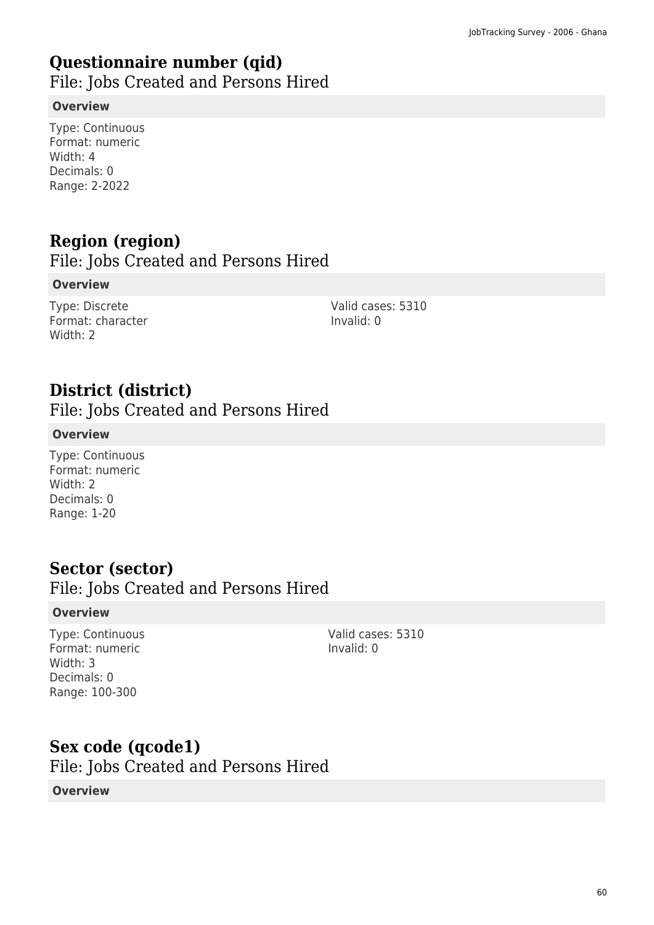# **Questionnaire number (qid)**

File: Jobs Created and Persons Hired

### **Overview**

Type: Continuous Format: numeric Width: 4 Decimals: 0 Range: 2-2022

# **Region (region)**

File: Jobs Created and Persons Hired

### **Overview**

Type: Discrete Format: character Width: 2

Valid cases: 5310 Invalid: 0

# **District (district)**

File: Jobs Created and Persons Hired

### **Overview**

Type: Continuous Format: numeric Width: 2 Decimals: 0 Range: 1-20

## **Sector (sector)**

### File: Jobs Created and Persons Hired

#### **Overview**

Type: Continuous Format: numeric Width: 3 Decimals: 0 Range: 100-300

Valid cases: 5310 Invalid: 0

### **Sex code (qcode1)**

File: Jobs Created and Persons Hired

### **Overview**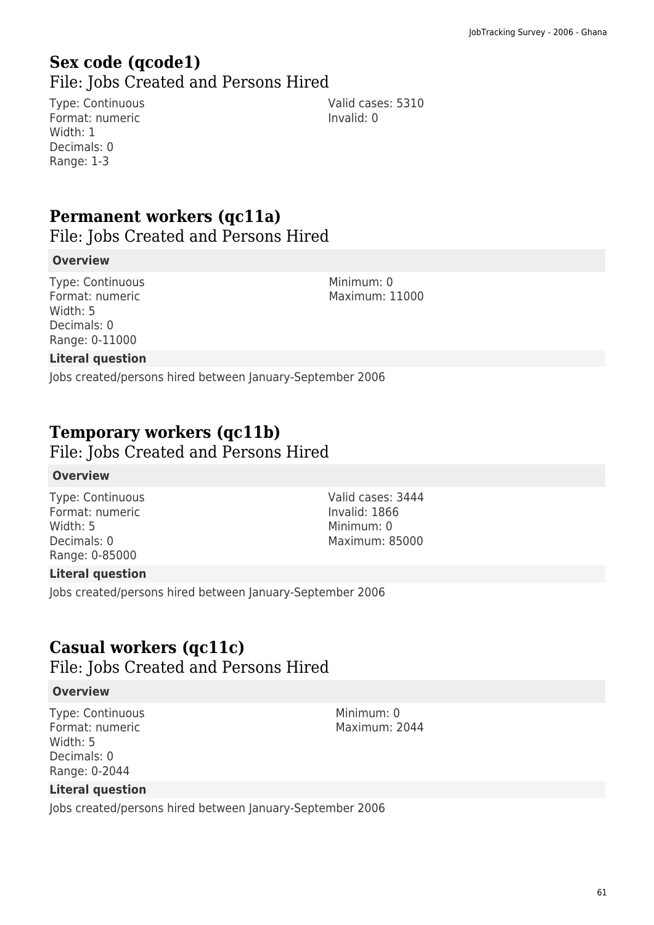# **Sex code (qcode1)**

File: Jobs Created and Persons Hired

Type: Continuous Format: numeric Width: 1 Decimals: 0 Range: 1-3

Valid cases: 5310 Invalid: 0

# **Permanent workers (qc11a)**

File: Jobs Created and Persons Hired

#### **Overview**

Type: Continuous Format: numeric Width: 5 Decimals: 0 Range: 0-11000

Minimum: 0 Maximum: 11000

### **Literal question**

Jobs created/persons hired between January-September 2006

### **Temporary workers (qc11b)**

File: Jobs Created and Persons Hired

#### **Overview**

Type: Continuous Format: numeric Width: 5 Decimals: 0 Range: 0-85000

Valid cases: 3444 Invalid: 1866 Minimum: 0 Maximum: 85000

### **Literal question**

Jobs created/persons hired between January-September 2006

## **Casual workers (qc11c)**

File: Jobs Created and Persons Hired

#### **Overview**

Type: Continuous Format: numeric Width: 5 Decimals: 0 Range: 0-2044

Minimum: 0 Maximum: 2044

### **Literal question**

Jobs created/persons hired between January-September 2006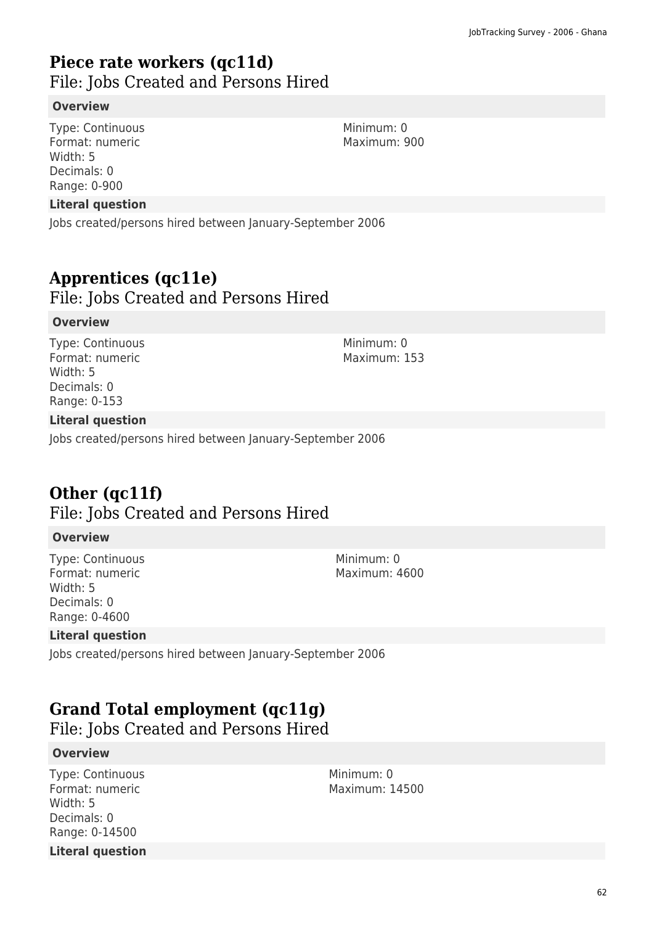## **Piece rate workers (qc11d)**

File: Jobs Created and Persons Hired

#### **Overview**

Type: Continuous Format: numeric Width: 5 Decimals: 0 Range: 0-900

#### **Literal question**

Jobs created/persons hired between January-September 2006

### **Apprentices (qc11e)**

File: Jobs Created and Persons Hired

#### **Overview**

Type: Continuous Format: numeric Width: 5 Decimals: 0 Range: 0-153

#### **Literal question**

Jobs created/persons hired between January-September 2006

## **Other (qc11f)**

### File: Jobs Created and Persons Hired

#### **Overview**

Type: Continuous Format: numeric Width: 5 Decimals: 0 Range: 0-4600

Minimum: 0 Maximum: 4600

#### **Literal question**

Jobs created/persons hired between January-September 2006

# **Grand Total employment (qc11g)**

File: Jobs Created and Persons Hired

#### **Overview**

Type: Continuous Format: numeric Width: 5 Decimals: 0 Range: 0-14500 **Literal question** Minimum: 0 Maximum: 14500

Minimum: 0 Maximum: 900

Minimum: 0 Maximum: 153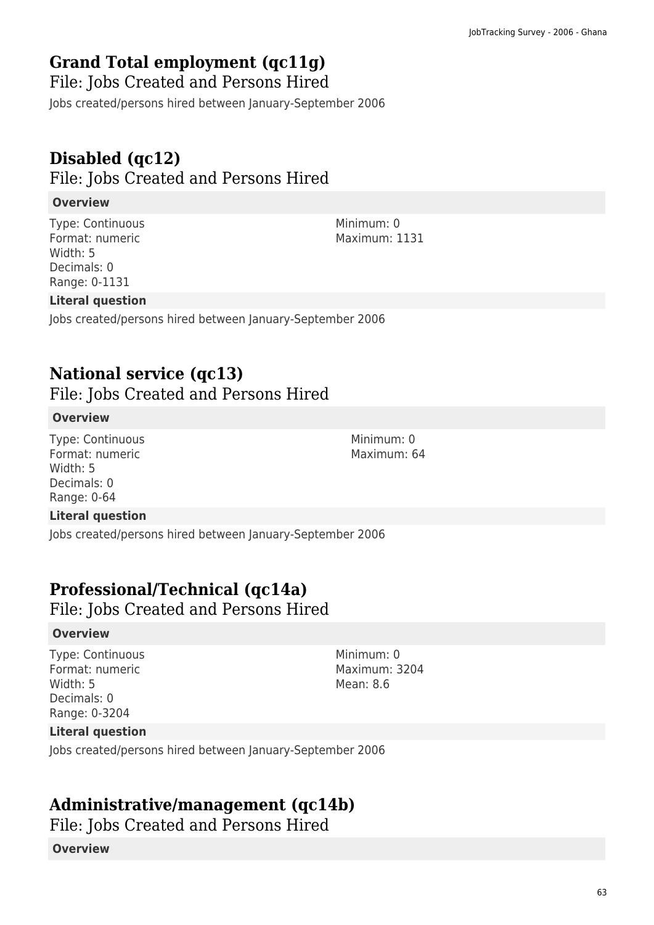# **Grand Total employment (qc11g)**

File: Jobs Created and Persons Hired

Jobs created/persons hired between January-September 2006

# **Disabled (qc12)**

File: Jobs Created and Persons Hired

### **Overview**

Type: Continuous Format: numeric Width: 5 Decimals: 0 Range: 0-1131

Minimum: 0 Maximum: 1131

### **Literal question**

Jobs created/persons hired between January-September 2006

### **National service (qc13)**

File: Jobs Created and Persons Hired

### **Overview**

Type: Continuous Format: numeric Width: 5 Decimals: 0 Range: 0-64

#### **Literal question**

Jobs created/persons hired between January-September 2006

# **Professional/Technical (qc14a)**

File: Jobs Created and Persons Hired

#### **Overview**

Type: Continuous Format: numeric Width: 5 Decimals: 0 Range: 0-3204

Minimum: 0 Maximum: 3204 Mean: 8.6

Minimum: 0 Maximum: 64

### **Literal question**

Jobs created/persons hired between January-September 2006

## **Administrative/management (qc14b)**

File: Jobs Created and Persons Hired

#### **Overview**

63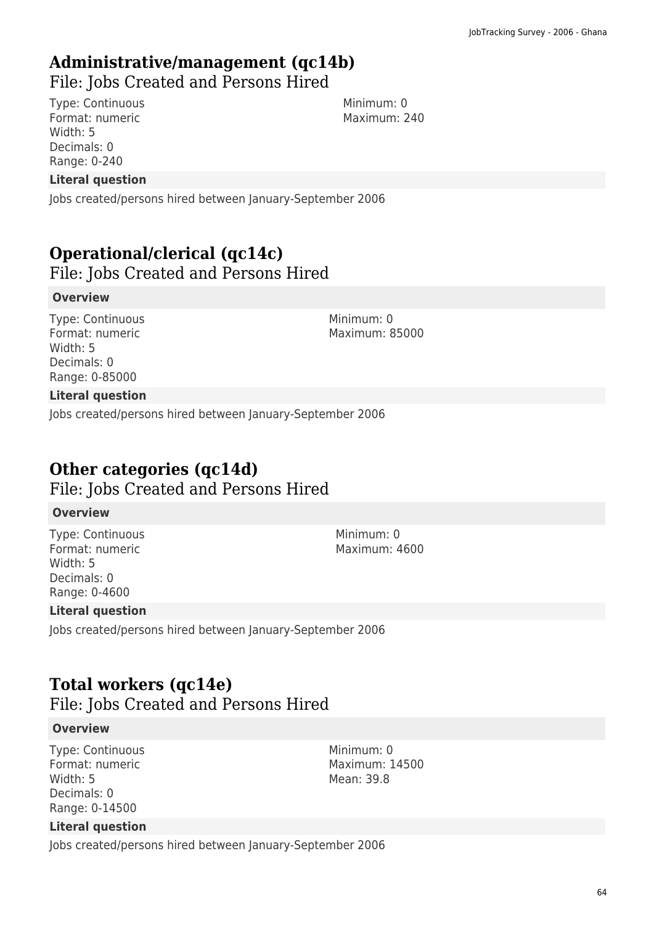# **Administrative/management (qc14b)**

File: Jobs Created and Persons Hired

Type: Continuous Format: numeric Width: 5 Decimals: 0 Range: 0-240

Minimum: 0 Maximum: 240

### **Literal question**

Jobs created/persons hired between January-September 2006

# **Operational/clerical (qc14c)**

File: Jobs Created and Persons Hired

### **Overview**

Type: Continuous Format: numeric Width: 5 Decimals: 0 Range: 0-85000

Minimum: 0 Maximum: 85000

### **Literal question**

Jobs created/persons hired between January-September 2006

# **Other categories (qc14d)**

File: Jobs Created and Persons Hired

#### **Overview**

Type: Continuous Format: numeric Width: 5 Decimals: 0 Range: 0-4600

Minimum: 0 Maximum: 4600

### **Literal question**

Jobs created/persons hired between January-September 2006

## **Total workers (qc14e)**

File: Jobs Created and Persons Hired

#### **Overview**

Type: Continuous Format: numeric Width: 5 Decimals: 0 Range: 0-14500

#### Minimum: 0 Maximum: 14500 Mean: 39.8

### **Literal question**

Jobs created/persons hired between January-September 2006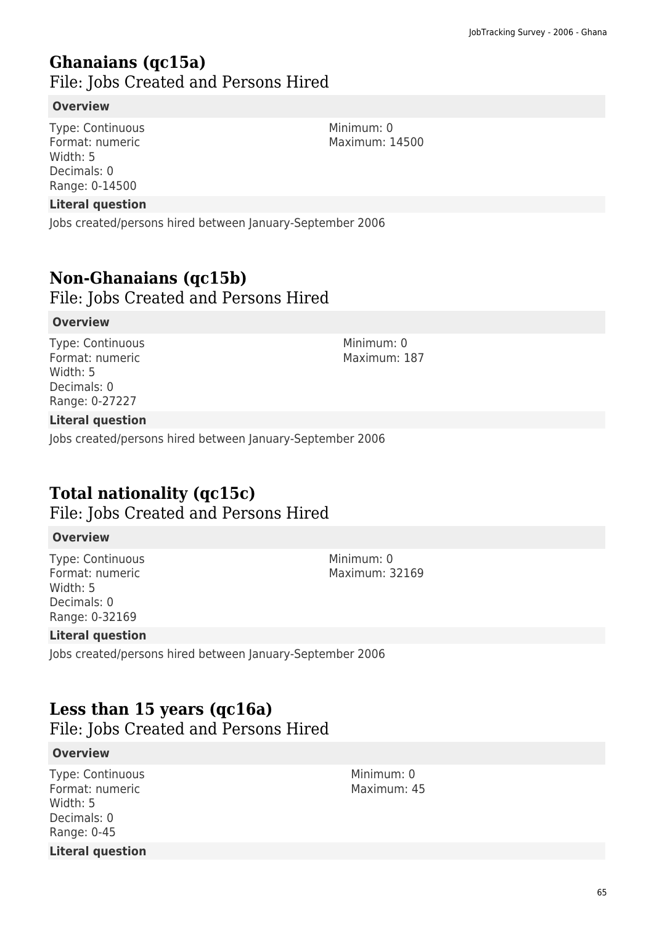### **Ghanaians (qc15a)**  File: Jobs Created and Persons Hired

#### **Overview**

Type: Continuous Format: numeric Width: 5 Decimals: 0 Range: 0-14500

#### **Literal question**

Jobs created/persons hired between January-September 2006

### **Non-Ghanaians (qc15b)**

File: Jobs Created and Persons Hired

#### **Overview**

Type: Continuous Format: numeric Width: 5 Decimals: 0 Range: 0-27227

#### Minimum: 0 Maximum: 187

### **Literal question**

Jobs created/persons hired between January-September 2006

## **Total nationality (qc15c)**

File: Jobs Created and Persons Hired

#### **Overview**

Type: Continuous Format: numeric Width: 5 Decimals: 0 Range: 0-32169

#### **Literal question**

Jobs created/persons hired between January-September 2006

## **Less than 15 years (qc16a)**

File: Jobs Created and Persons Hired

#### **Overview**

Type: Continuous Format: numeric Width: 5 Decimals: 0 Range: 0-45 **Literal question** Minimum: 0 Maximum: 45

Minimum: 0 Maximum: 32169

Minimum: 0 Maximum: 14500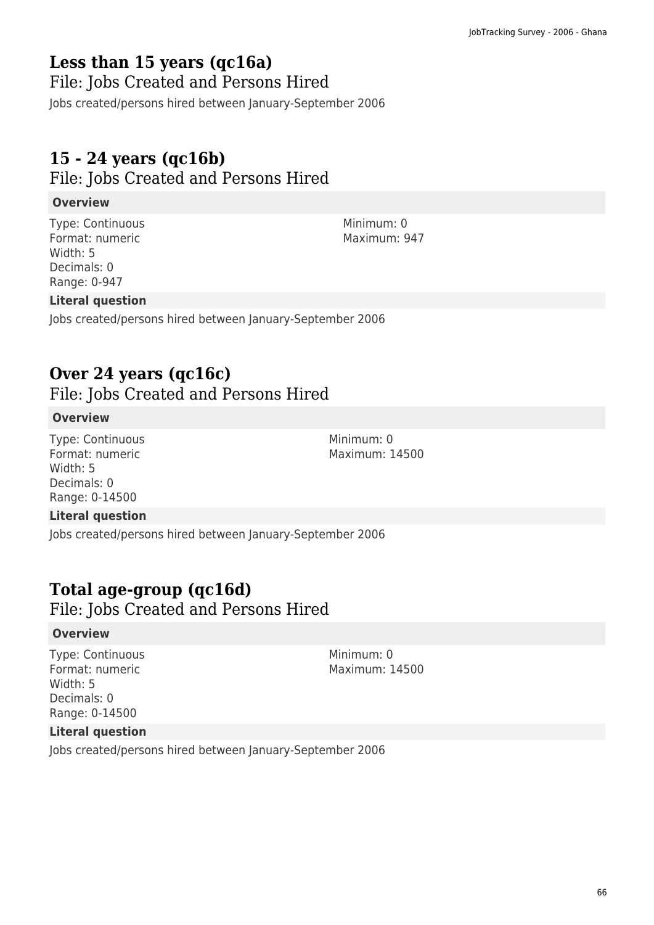# **Less than 15 years (qc16a)**

File: Jobs Created and Persons Hired

Jobs created/persons hired between January-September 2006

# **15 - 24 years (qc16b)**

File: Jobs Created and Persons Hired

### **Overview**

Type: Continuous Format: numeric Width: 5 Decimals: 0 Range: 0-947

### **Literal question**

Jobs created/persons hired between January-September 2006

### **Over 24 years (qc16c)**

File: Jobs Created and Persons Hired

### **Overview**

Type: Continuous Format: numeric Width: 5 Decimals: 0 Range: 0-14500

#### **Literal question**

Jobs created/persons hired between January-September 2006

## **Total age-group (qc16d)**

File: Jobs Created and Persons Hired

#### **Overview**

Type: Continuous Format: numeric Width: 5 Decimals: 0 Range: 0-14500

Minimum: 0 Maximum: 14500

Minimum: 0 Maximum: 14500

### **Literal question**

Jobs created/persons hired between January-September 2006

Minimum: 0 Maximum: 947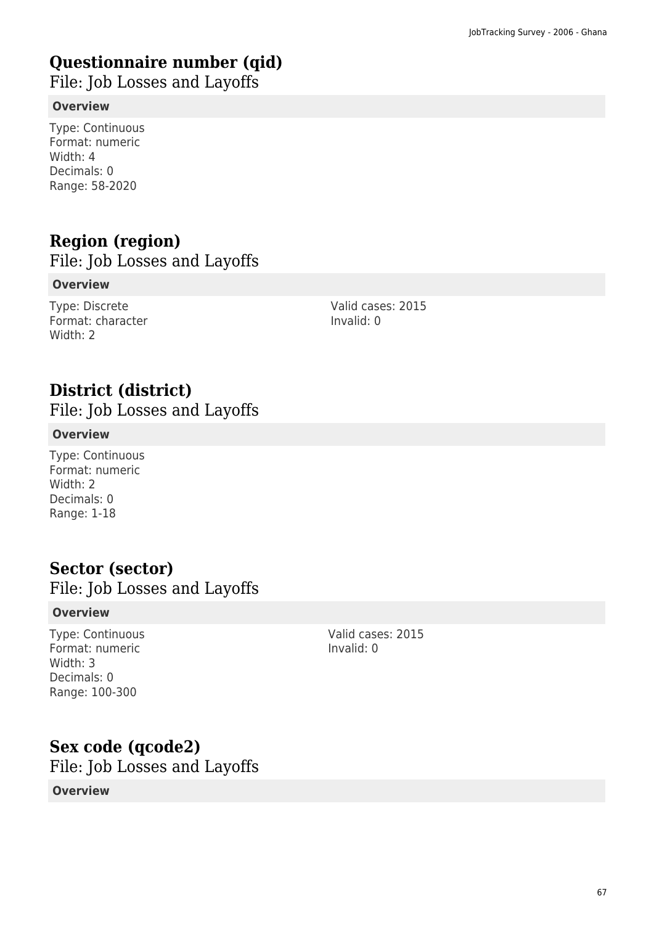# **Questionnaire number (qid)**

File: Job Losses and Layoffs

### **Overview**

Type: Continuous Format: numeric Width: 4 Decimals: 0 Range: 58-2020

# **Region (region)**

File: Job Losses and Layoffs

### **Overview**

Type: Discrete Format: character Width: 2

Valid cases: 2015 Invalid: 0

# **District (district)**

File: Job Losses and Layoffs

### **Overview**

Type: Continuous Format: numeric Width: 2 Decimals: 0 Range: 1-18

## **Sector (sector)**

File: Job Losses and Layoffs

### **Overview**

Type: Continuous Format: numeric Width: 3 Decimals: 0 Range: 100-300

Valid cases: 2015 Invalid: 0

## **Sex code (qcode2)**

File: Job Losses and Layoffs

### **Overview**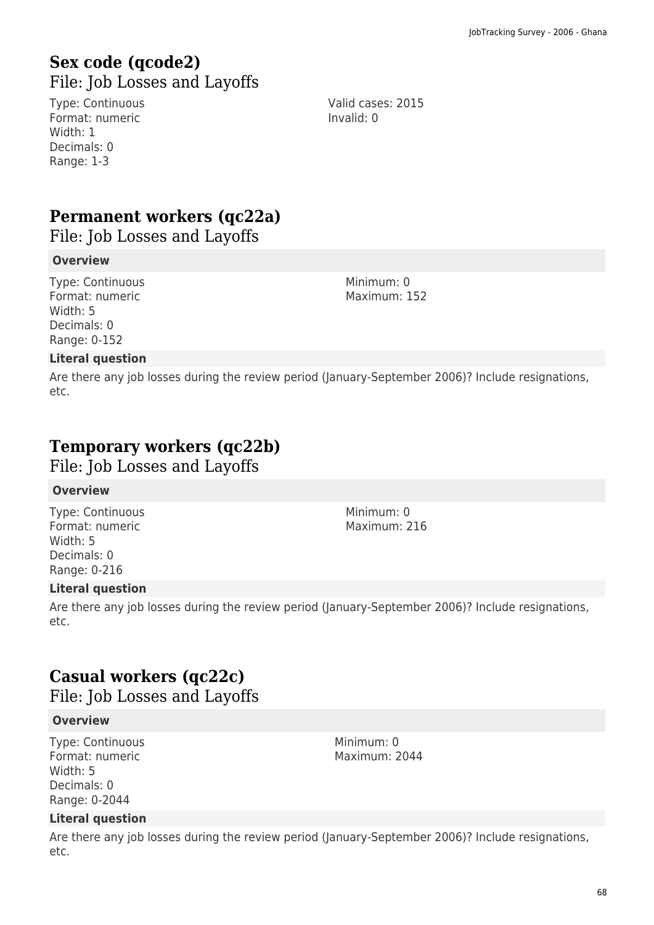### **Sex code (qcode2)**  File: Job Losses and Layoffs

Type: Continuous Format: numeric Width: 1 Decimals: 0 Range: 1-3

Valid cases: 2015 Invalid: 0

# **Permanent workers (qc22a)**

File: Job Losses and Layoffs

#### **Overview**

Type: Continuous Format: numeric Width: 5 Decimals: 0 Range: 0-152

Minimum: 0 Maximum: 152

### **Literal question**

Are there any job losses during the review period (January-September 2006)? Include resignations, etc.

# **Temporary workers (qc22b)**

File: Job Losses and Layoffs

#### **Overview**

Type: Continuous Format: numeric Width: 5 Decimals: 0 Range: 0-216

Minimum: 0 Maximum: 216

Minimum: 0 Maximum: 2044

### **Literal question**

Are there any job losses during the review period (January-September 2006)? Include resignations, etc.

# **Casual workers (qc22c)**

File: Job Losses and Layoffs

#### **Overview**

Type: Continuous Format: numeric Width: 5 Decimals: 0 Range: 0-2044

#### **Literal question**

Are there any job losses during the review period (January-September 2006)? Include resignations, etc.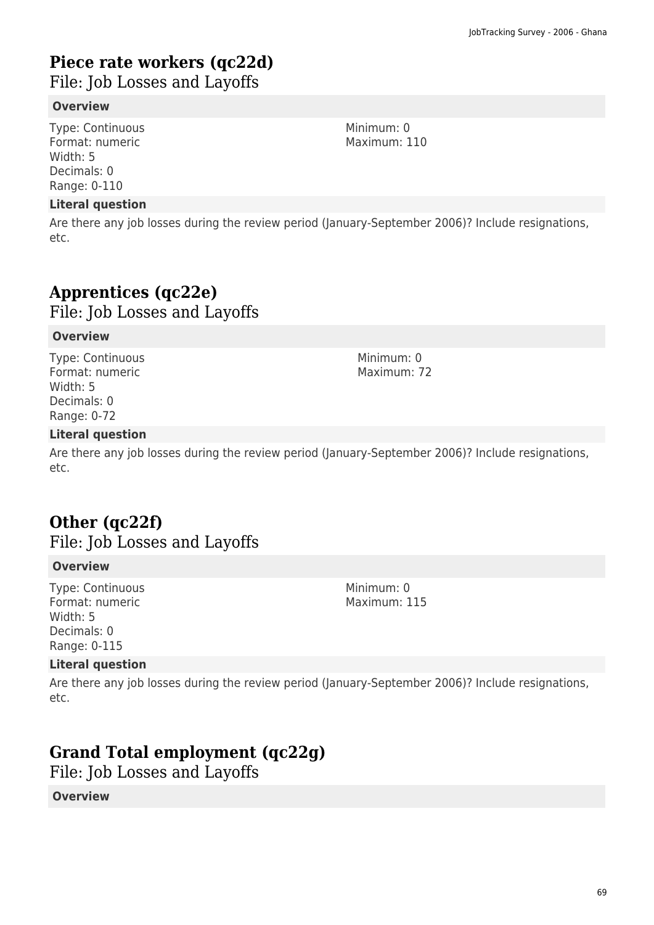# **Piece rate workers (qc22d)**

File: Job Losses and Layoffs

#### **Overview**

Type: Continuous Format: numeric Width: 5 Decimals: 0 Range: 0-110

#### **Literal question**

Are there any job losses during the review period (January-September 2006)? Include resignations, etc.

# **Apprentices (qc22e)**  File: Job Losses and Layoffs

### **Overview**

Type: Continuous Format: numeric Width: 5 Decimals: 0 Range: 0-72

#### Minimum: 0 Maximum: 72

### **Literal question**

Are there any job losses during the review period (January-September 2006)? Include resignations, etc.

## **Other (qc22f)**

File: Job Losses and Layoffs

#### **Overview**

Type: Continuous Format: numeric Width: 5 Decimals: 0 Range: 0-115

### Minimum: 0 Maximum: 115

#### **Literal question**

Are there any job losses during the review period (January-September 2006)? Include resignations, etc.

# **Grand Total employment (qc22g)**

File: Job Losses and Layoffs

#### **Overview**

69

Minimum: 0 Maximum: 110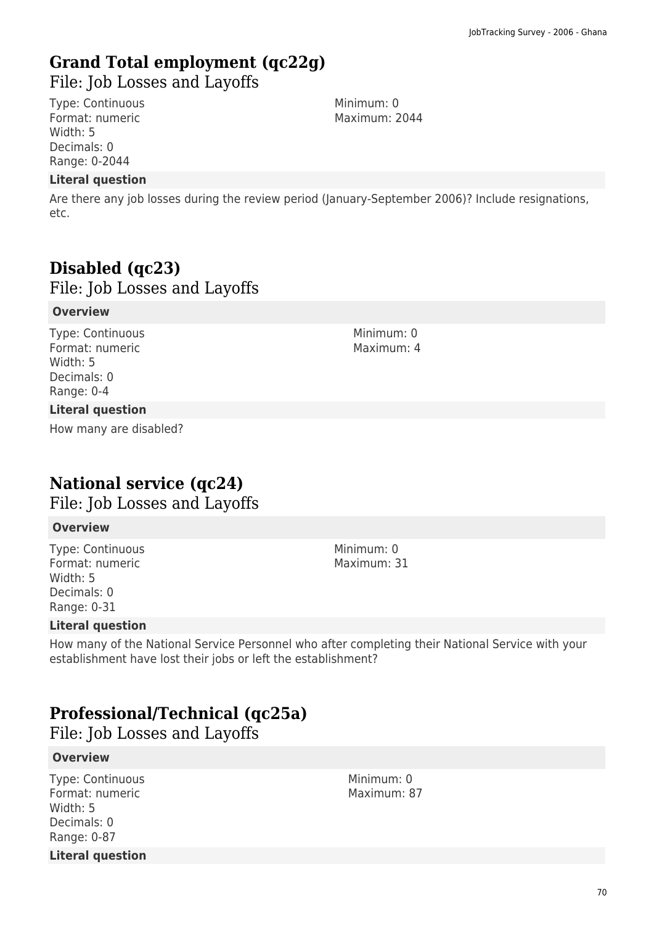# **Grand Total employment (qc22g)**

File: Job Losses and Layoffs

Type: Continuous Format: numeric Width: 5 Decimals: 0 Range: 0-2044

#### **Literal question**

Are there any job losses during the review period (January-September 2006)? Include resignations, etc.

# **Disabled (qc23)**

File: Job Losses and Layoffs

#### **Overview**

Type: Continuous Format: numeric Width: 5 Decimals: 0 Range: 0-4

#### **Literal question**

How many are disabled?

### **National service (qc24)**

File: Job Losses and Layoffs

#### **Overview**

Type: Continuous Format: numeric Width: 5 Decimals: 0 Range: 0-31

#### **Literal question**

How many of the National Service Personnel who after completing their National Service with your establishment have lost their jobs or left the establishment?

## **Professional/Technical (qc25a)**

File: Job Losses and Layoffs

#### **Overview**

Type: Continuous Format: numeric Width: 5 Decimals: 0 Range: 0-87 **Literal question** Minimum: 0 Maximum: 87

Minimum: 0 Maximum: 2044

> Minimum: 0 Maximum: 4

Minimum: 0

Maximum: 31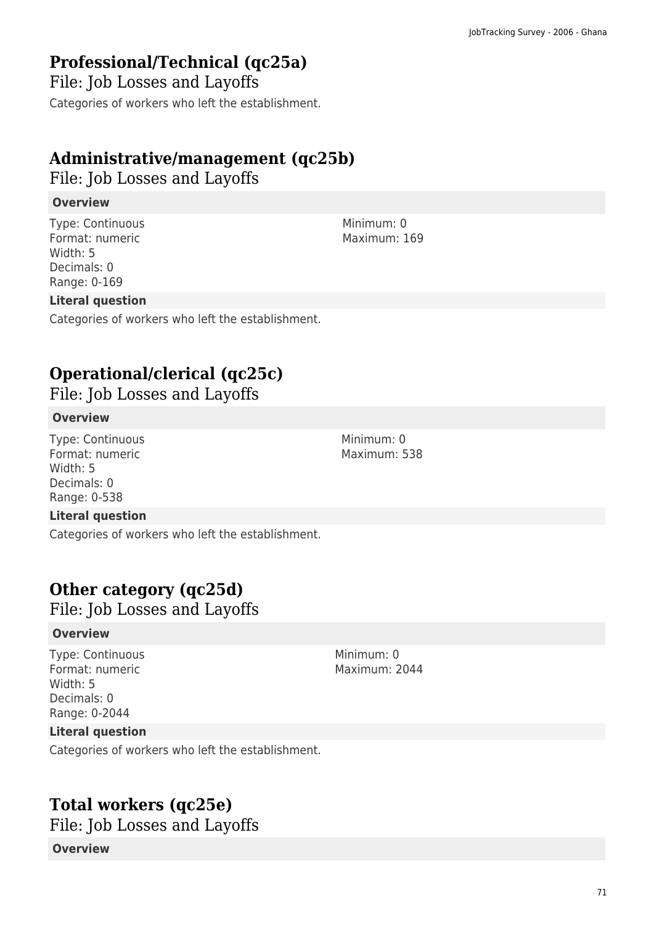# **Professional/Technical (qc25a)**

File: Job Losses and Layoffs Categories of workers who left the establishment.

# **Administrative/management (qc25b)**

File: Job Losses and Layoffs

### **Overview**

Type: Continuous Format: numeric Width: 5 Decimals: 0 Range: 0-169

### **Literal question**

Categories of workers who left the establishment.

# **Operational/clerical (qc25c)**

File: Job Losses and Layoffs

### **Overview**

Type: Continuous Format: numeric Width: 5 Decimals: 0 Range: 0-538

### **Literal question**

Categories of workers who left the establishment.

# **Other category (qc25d)**

File: Job Losses and Layoffs

### **Overview**

Type: Continuous Format: numeric Width: 5 Decimals: 0 Range: 0-2044

Minimum: 0 Maximum: 2044

### **Literal question**

Categories of workers who left the establishment.

# **Total workers (qc25e)**

File: Job Losses and Layoffs

### **Overview**

Minimum: 0 Maximum: 169

Minimum: 0 Maximum: 538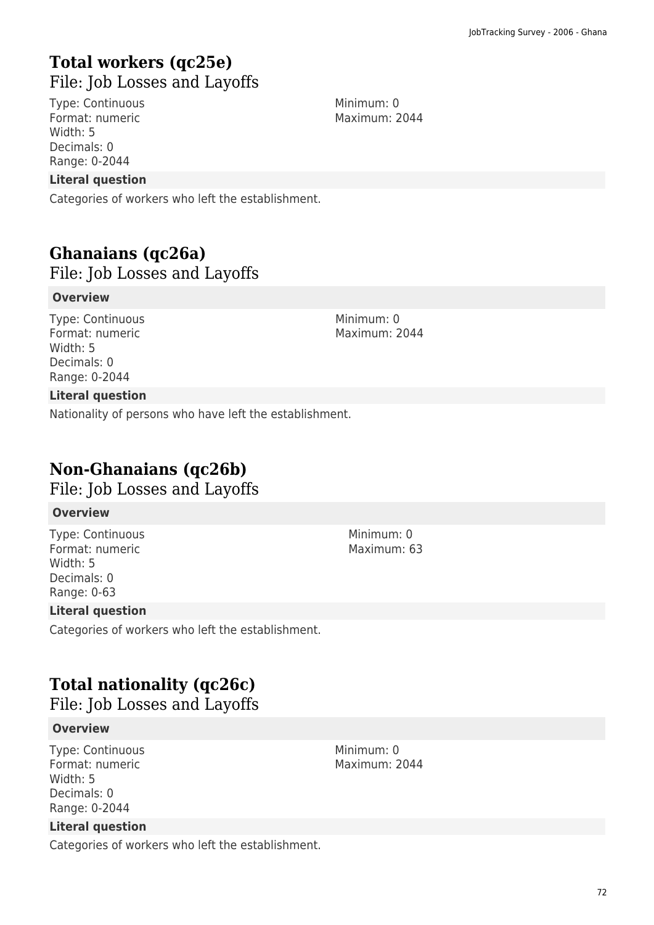# **Total workers (qc25e)**  File: Job Losses and Layoffs

Type: Continuous Format: numeric Width: 5 Decimals: 0 Range: 0-2044

#### **Literal question**

Categories of workers who left the establishment.

### **Ghanaians (qc26a)**  File: Job Losses and Layoffs

#### **Overview**

Type: Continuous Format: numeric Width: 5 Decimals: 0 Range: 0-2044

**Literal question**

Nationality of persons who have left the establishment.

## **Non-Ghanaians (qc26b)**

File: Job Losses and Layoffs

#### **Overview**

Type: Continuous Format: numeric Width: 5 Decimals: 0 Range: 0-63

#### **Literal question**

Categories of workers who left the establishment.

## **Total nationality (qc26c)**

File: Job Losses and Layoffs

#### **Overview**

Type: Continuous Format: numeric Width: 5 Decimals: 0 Range: 0-2044

#### **Literal question**

Categories of workers who left the establishment.

Minimum: 0 Maximum: 2044

Minimum: 0 Maximum: 2044

> Minimum: 0 Maximum: 63

Minimum: 0 Maximum: 2044

72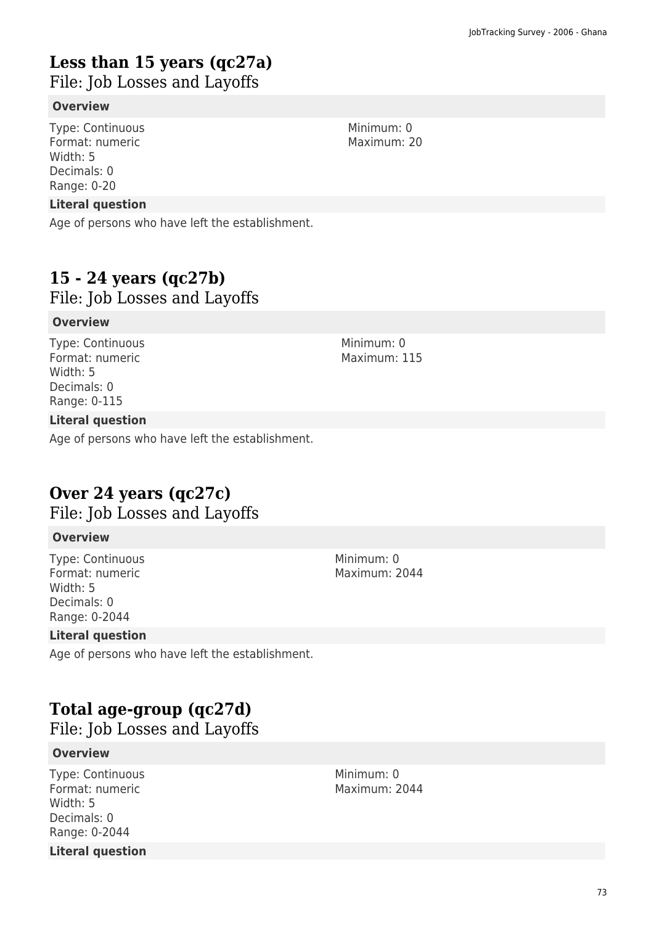# **Less than 15 years (qc27a)**

File: Job Losses and Layoffs

#### **Overview**

Type: Continuous Format: numeric Width: 5 Decimals: 0 Range: 0-20

#### **Literal question**

Age of persons who have left the establishment.

### **15 - 24 years (qc27b)**

File: Job Losses and Layoffs

#### **Overview**

Type: Continuous Format: numeric Width: 5 Decimals: 0 Range: 0-115

#### **Literal question**

Age of persons who have left the establishment.

# **Over 24 years (qc27c)**

File: Job Losses and Layoffs

#### **Overview**

Type: Continuous Format: numeric Width: 5 Decimals: 0 Range: 0-2044

#### **Literal question**

Age of persons who have left the establishment.

# **Total age-group (qc27d)**

File: Job Losses and Layoffs

#### **Overview**

Type: Continuous Format: numeric Width: 5 Decimals: 0 Range: 0-2044 **Literal question** Minimum: 0 Maximum: 2044

Minimum: 0 Maximum: 20

Minimum: 0 Maximum: 2044

Minimum: 0 Maximum: 115

73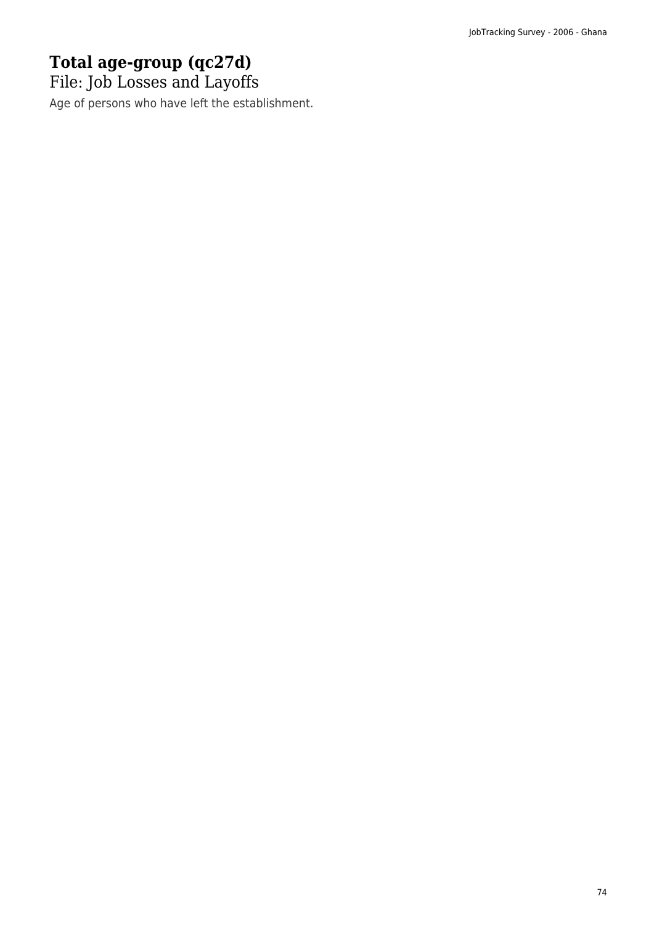# **Total age-group (qc27d)**

File: Job Losses and Layoffs

Age of persons who have left the establishment.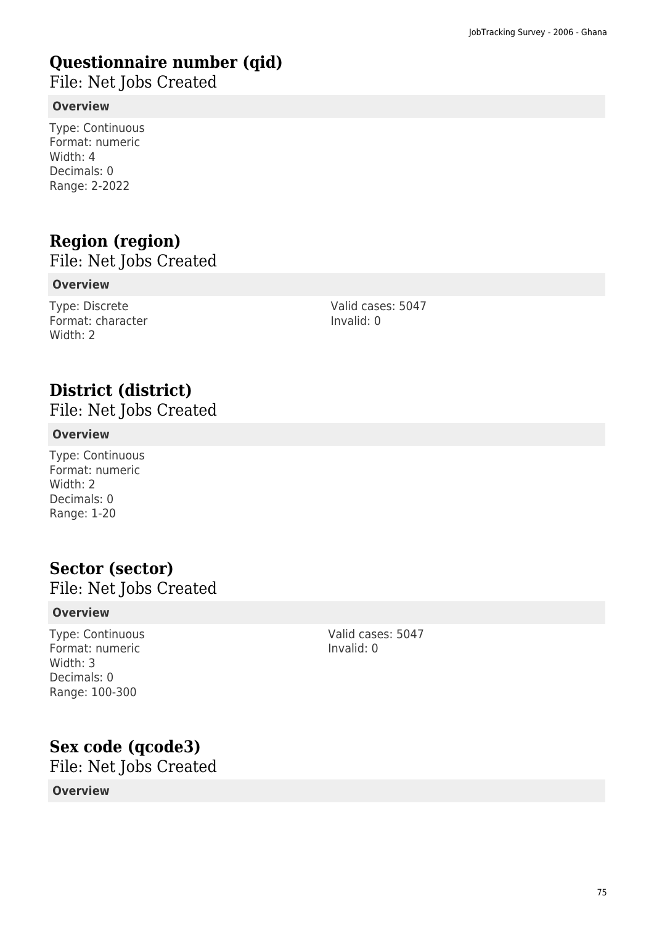# **Questionnaire number (qid)**

File: Net Jobs Created

#### **Overview**

Type: Continuous Format: numeric Width: 4 Decimals: 0 Range: 2-2022

# **Region (region)**

File: Net Jobs Created

#### **Overview**

Type: Discrete Format: character Width: 2

Valid cases: 5047 Invalid: 0

# **District (district)**

File: Net Jobs Created

#### **Overview**

Type: Continuous Format: numeric Width: 2 Decimals: 0 Range: 1-20

### **Sector (sector)**

File: Net Jobs Created

#### **Overview**

Type: Continuous Format: numeric Width: 3 Decimals: 0 Range: 100-300

Valid cases: 5047 Invalid: 0

### **Sex code (qcode3)**

File: Net Jobs Created

#### **Overview**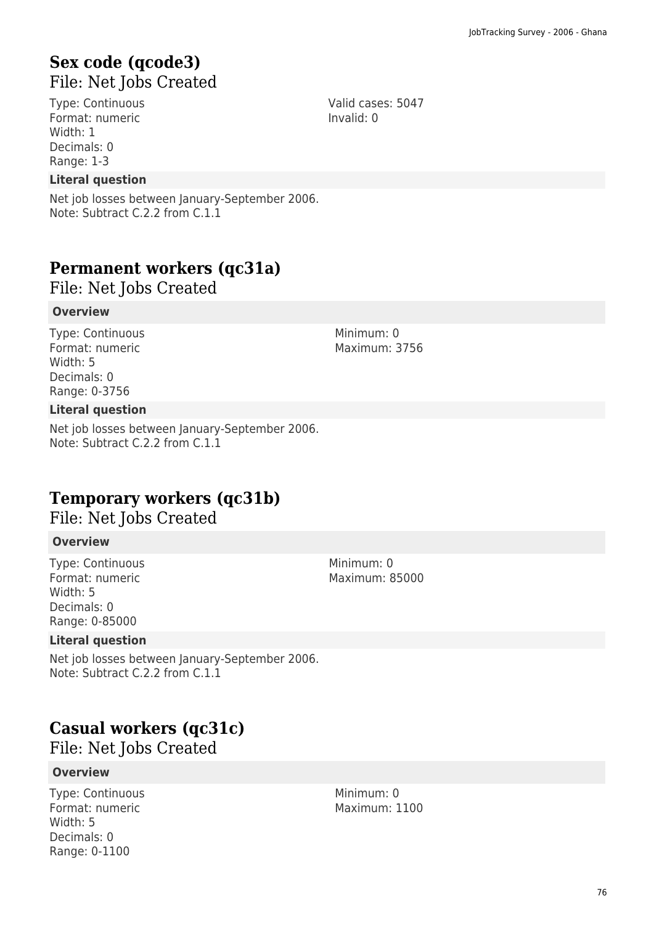### **Sex code (qcode3)**  File: Net Jobs Created

Type: Continuous Format: numeric Width: 1 Decimals: 0 Range: 1-3

#### **Literal question**

Net job losses between January-September 2006. Note: Subtract C.2.2 from C.1.1

### **Permanent workers (qc31a)**

File: Net Jobs Created

#### **Overview**

Type: Continuous Format: numeric Width: 5 Decimals: 0 Range: 0-3756

#### **Literal question**

Net job losses between January-September 2006. Note: Subtract C.2.2 from C.1.1

### **Temporary workers (qc31b)**

File: Net Jobs Created

#### **Overview**

Type: Continuous Format: numeric Width: 5 Decimals: 0 Range: 0-85000

#### **Literal question**

Net job losses between January-September 2006. Note: Subtract C.2.2 from C.1.1

### **Casual workers (qc31c)**

File: Net Jobs Created

#### **Overview**

Type: Continuous Format: numeric Width: 5 Decimals: 0 Range: 0-1100

Valid cases: 5047 Invalid: 0

Minimum: 0

Maximum: 3756

Minimum: 0 Maximum: 85000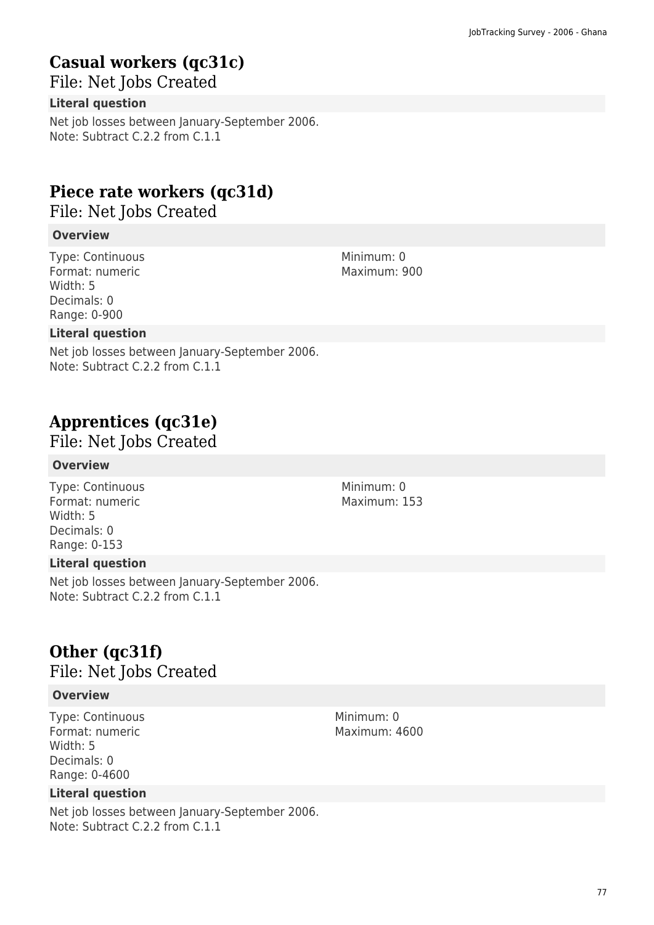# **Casual workers (qc31c)**

File: Net Jobs Created

### **Literal question**

Net job losses between January-September 2006. Note: Subtract C.2.2 from C.1.1

# **Piece rate workers (qc31d)**

File: Net Jobs Created

### **Overview**

Type: Continuous Format: numeric Width: 5 Decimals: 0 Range: 0-900

### **Literal question**

Net job losses between January-September 2006. Note: Subtract C.2.2 from C.1.1

# **Apprentices (qc31e)**

File: Net Jobs Created

#### **Overview**

Type: Continuous Format: numeric Width: 5 Decimals: 0 Range: 0-153

#### **Literal question**

Net job losses between January-September 2006. Note: Subtract C.2.2 from C.1.1

# **Other (qc31f)**

File: Net Jobs Created

#### **Overview**

Type: Continuous Format: numeric Width: 5 Decimals: 0 Range: 0-4600

#### **Literal question**

Net job losses between January-September 2006. Note: Subtract C.2.2 from C.1.1

Minimum: 0 Maximum: 900

Minimum: 0 Maximum: 153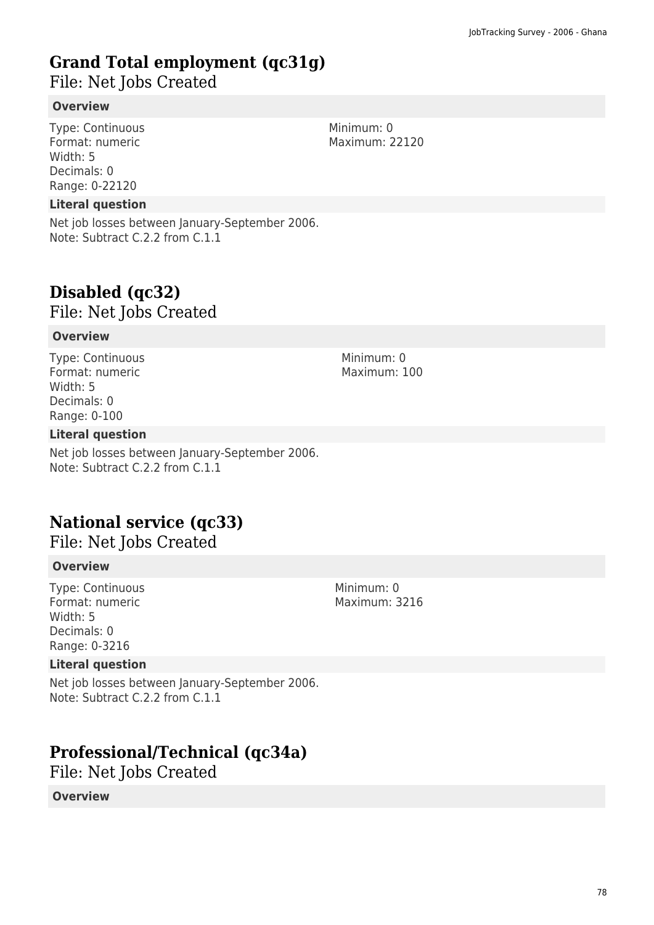# **Grand Total employment (qc31g)**

File: Net Jobs Created

#### **Overview**

Type: Continuous Format: numeric Width: 5 Decimals: 0 Range: 0-22120

#### **Literal question**

Net job losses between January-September 2006. Note: Subtract C.2.2 from C.1.1

# **Disabled (qc32)**

File: Net Jobs Created

#### **Overview**

Type: Continuous Format: numeric Width: 5 Decimals: 0 Range: 0-100

#### **Literal question**

Net job losses between January-September 2006. Note: Subtract C.2.2 from C.1.1

### **National service (qc33)**

File: Net Jobs Created

#### **Overview**

Type: Continuous Format: numeric Width: 5 Decimals: 0 Range: 0-3216

#### **Literal question**

Net job losses between January-September 2006. Note: Subtract C.2.2 from C.1.1

### **Professional/Technical (qc34a)**

File: Net Jobs Created

#### **Overview**

Minimum: 0 Maximum: 3216

Minimum: 0 Maximum: 22120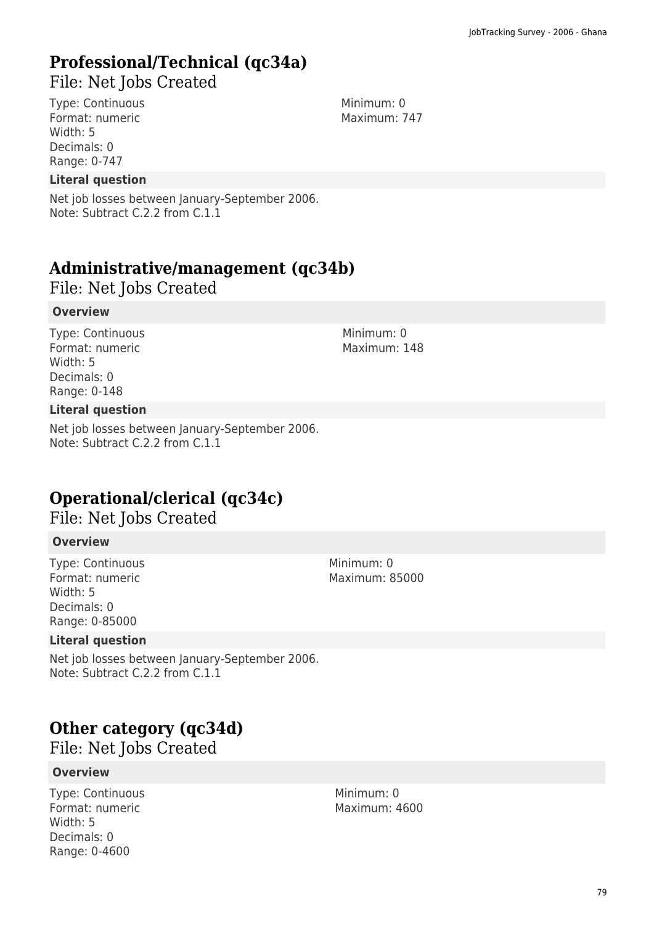### **Professional/Technical (qc34a)**

File: Net Jobs Created

Type: Continuous Format: numeric Width: 5 Decimals: 0 Range: 0-747

#### **Literal question**

Net job losses between January-September 2006. Note: Subtract C.2.2 from C.1.1

### **Administrative/management (qc34b)**

File: Net Jobs Created

#### **Overview**

Type: Continuous Format: numeric Width: 5 Decimals: 0 Range: 0-148

#### **Literal question**

Net job losses between January-September 2006. Note: Subtract C.2.2 from C.1.1

### **Operational/clerical (qc34c)**

File: Net Jobs Created

#### **Overview**

Type: Continuous Format: numeric Width: 5 Decimals: 0 Range: 0-85000

#### **Literal question**

Net job losses between January-September 2006. Note: Subtract C.2.2 from C.1.1

### **Other category (qc34d)**

File: Net Jobs Created

#### **Overview**

Type: Continuous Format: numeric Width: 5 Decimals: 0 Range: 0-4600

Minimum: 0 Maximum: 747

Minimum: 0 Maximum: 148

Minimum: 0 Maximum: 85000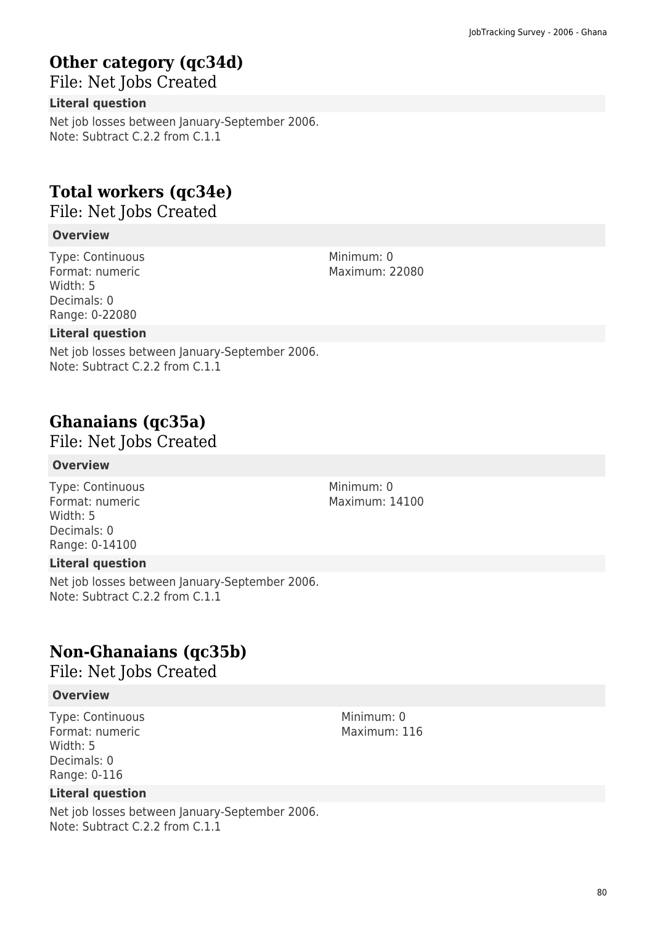# **Other category (qc34d)**

File: Net Jobs Created

#### **Literal question**

Net job losses between January-September 2006. Note: Subtract C.2.2 from C.1.1

# **Total workers (qc34e)**

File: Net Jobs Created

#### **Overview**

Type: Continuous Format: numeric Width: 5 Decimals: 0 Range: 0-22080

#### **Literal question**

Net job losses between January-September 2006. Note: Subtract C.2.2 from C.1.1

# **Ghanaians (qc35a)**

File: Net Jobs Created

#### **Overview**

Type: Continuous Format: numeric Width: 5 Decimals: 0 Range: 0-14100

#### **Literal question**

Net job losses between January-September 2006. Note: Subtract C.2.2 from C.1.1

### **Non-Ghanaians (qc35b)**

File: Net Jobs Created

#### **Overview**

Type: Continuous Format: numeric Width: 5 Decimals: 0 Range: 0-116

#### **Literal question**

Net job losses between January-September 2006. Note: Subtract C.2.2 from C.1.1

Minimum: 0 Maximum: 22080

Minimum: 0 Maximum: 14100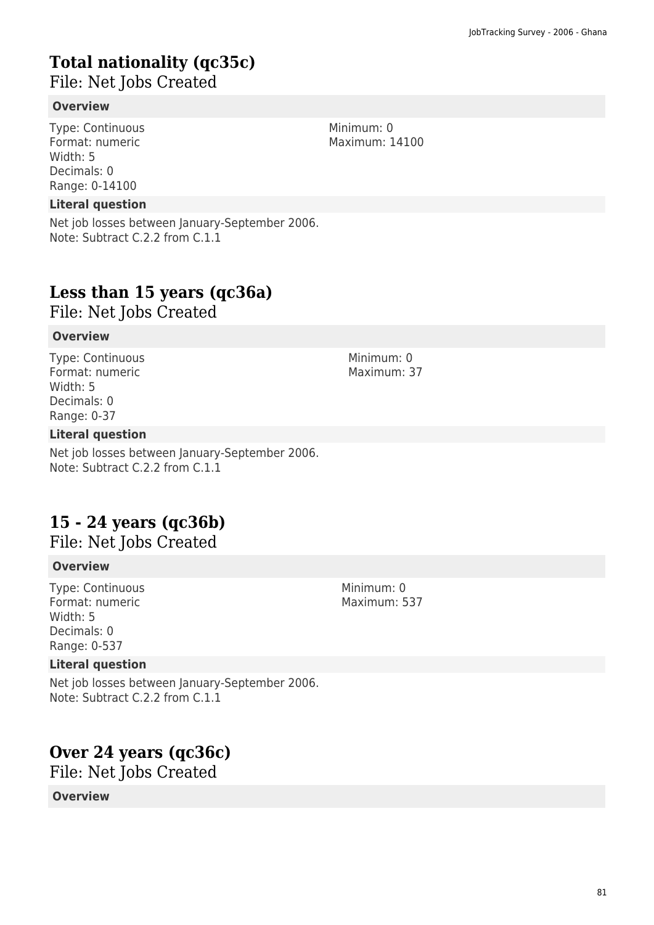# **Total nationality (qc35c)**

File: Net Jobs Created

### **Overview**

Type: Continuous Format: numeric Width: 5 Decimals: 0 Range: 0-14100

#### **Literal question**

Net job losses between January-September 2006. Note: Subtract C.2.2 from C.1.1

# **Less than 15 years (qc36a)**

File: Net Jobs Created

### **Overview**

Type: Continuous Format: numeric Width: 5 Decimals: 0 Range: 0-37

#### **Literal question**

Net job losses between January-September 2006. Note: Subtract C.2.2 from C.1.1

# **15 - 24 years (qc36b)**

File: Net Jobs Created

#### **Overview**

Type: Continuous Format: numeric Width: 5 Decimals: 0 Range: 0-537

#### **Literal question**

Net job losses between January-September 2006. Note: Subtract C.2.2 from C.1.1

# **Over 24 years (qc36c)**

File: Net Jobs Created

#### **Overview**

Minimum: 0 Maximum: 14100

> Minimum: 0 Maximum: 37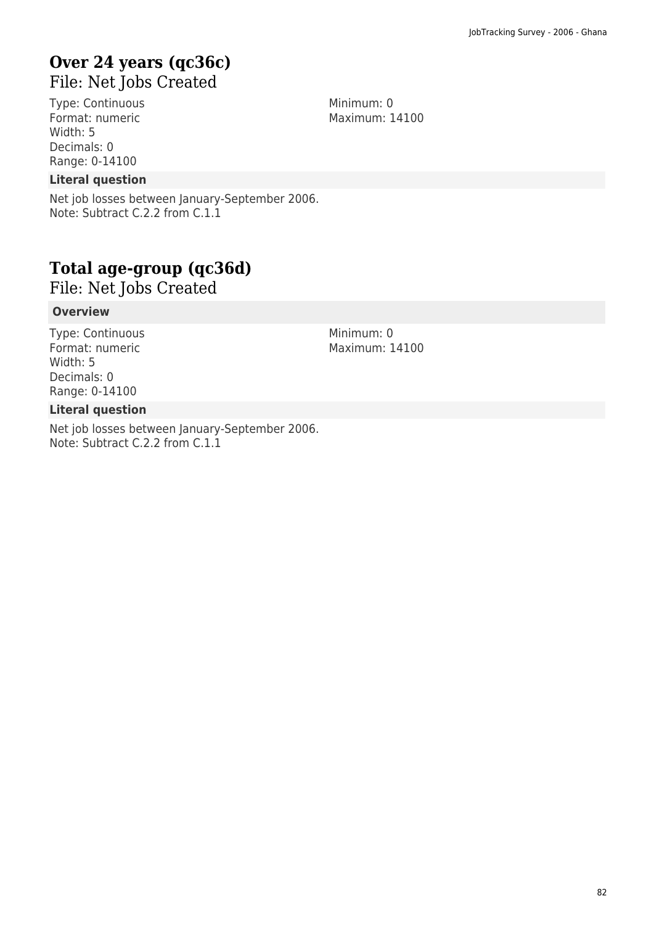### **Over 24 years (qc36c)**  File: Net Jobs Created

Type: Continuous Format: numeric Width: 5 Decimals: 0 Range: 0-14100

**Literal question**

Net job losses between January-September 2006. Note: Subtract C.2.2 from C.1.1

# **Total age-group (qc36d)**

File: Net Jobs Created

#### **Overview**

Type: Continuous Format: numeric Width: 5 Decimals: 0 Range: 0-14100

#### **Literal question**

Net job losses between January-September 2006. Note: Subtract C.2.2 from C.1.1

Minimum: 0 Maximum: 14100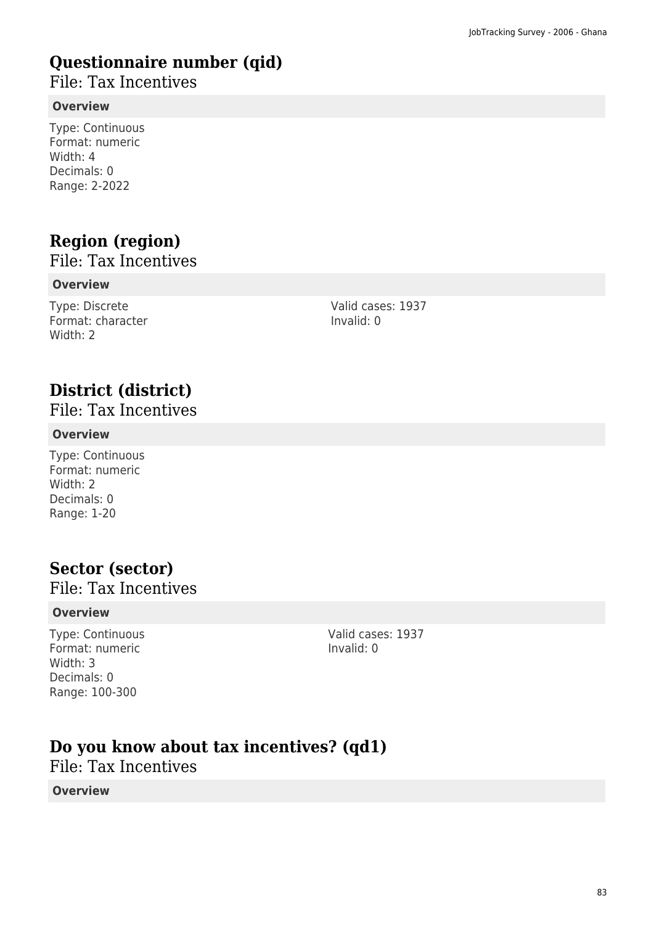# **Questionnaire number (qid)**

File: Tax Incentives

#### **Overview**

Type: Continuous Format: numeric Width: 4 Decimals: 0 Range: 2-2022

# **Region (region)**

File: Tax Incentives

#### **Overview**

Type: Discrete Format: character Width: 2

Valid cases: 1937 Invalid: 0

# **District (district)**

File: Tax Incentives

#### **Overview**

Type: Continuous Format: numeric Width: 2 Decimals: 0 Range: 1-20

### **Sector (sector)**

File: Tax Incentives

#### **Overview**

Type: Continuous Format: numeric Width: 3 Decimals: 0 Range: 100-300

Valid cases: 1937 Invalid: 0

### **Do you know about tax incentives? (qd1)**

File: Tax Incentives

#### **Overview**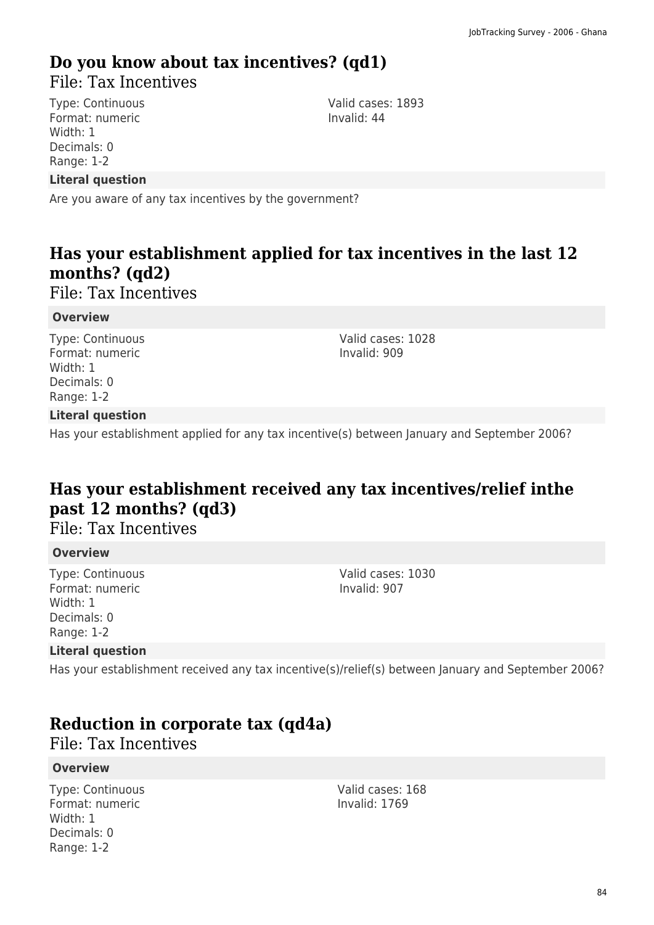# **Do you know about tax incentives? (qd1)**

File: Tax Incentives

Type: Continuous Format: numeric Width: 1 Decimals: 0 Range: 1-2

Valid cases: 1893 Invalid: 44

#### **Literal question**

Are you aware of any tax incentives by the government?

### **Has your establishment applied for tax incentives in the last 12 months? (qd2)**

File: Tax Incentives

#### **Overview**

Type: Continuous Format: numeric Width: 1 Decimals: 0 Range: 1-2

Valid cases: 1028 Invalid: 909

#### **Literal question**

Has your establishment applied for any tax incentive(s) between January and September 2006?

### **Has your establishment received any tax incentives/relief inthe past 12 months? (qd3)**

### File: Tax Incentives

#### **Overview**

Type: Continuous Format: numeric Width: 1 Decimals: 0 Range: 1-2

Valid cases: 1030 Invalid: 907

#### **Literal question**

Has your establishment received any tax incentive(s)/relief(s) between January and September 2006?

### **Reduction in corporate tax (qd4a)**

File: Tax Incentives

#### **Overview**

Type: Continuous Format: numeric Width: 1 Decimals: 0 Range: 1-2

Valid cases: 168 Invalid: 1769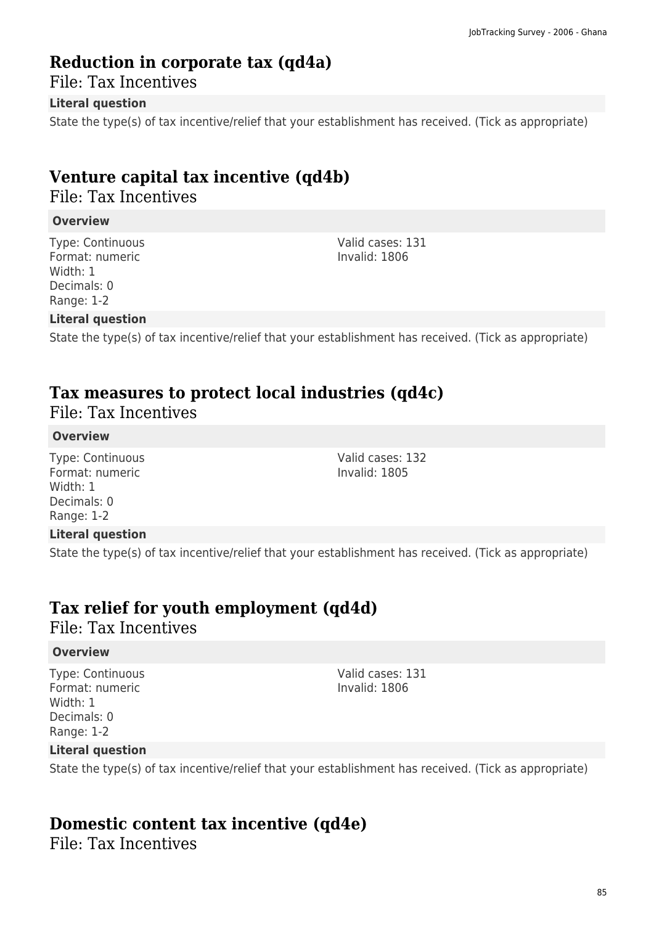### **Reduction in corporate tax (qd4a)**

File: Tax Incentives

#### **Literal question**

State the type(s) of tax incentive/relief that your establishment has received. (Tick as appropriate)

# **Venture capital tax incentive (qd4b)**

File: Tax Incentives

#### **Overview**

Type: Continuous Format: numeric Width: 1 Decimals: 0 Range: 1-2

Valid cases: 131 Invalid: 1806

Valid cases: 132 Invalid: 1805

#### **Literal question**

State the type(s) of tax incentive/relief that your establishment has received. (Tick as appropriate)

### **Tax measures to protect local industries (qd4c)**

File: Tax Incentives

#### **Overview**

Type: Continuous Format: numeric Width: 1 Decimals: 0 Range: 1-2

#### **Literal question**

State the type(s) of tax incentive/relief that your establishment has received. (Tick as appropriate)

### **Tax relief for youth employment (qd4d)**

File: Tax Incentives

#### **Overview**

Type: Continuous Format: numeric Width: 1 Decimals: 0 Range: 1-2

Valid cases: 131 Invalid: 1806

#### **Literal question**

State the type(s) of tax incentive/relief that your establishment has received. (Tick as appropriate)

### **Domestic content tax incentive (qd4e)**

File: Tax Incentives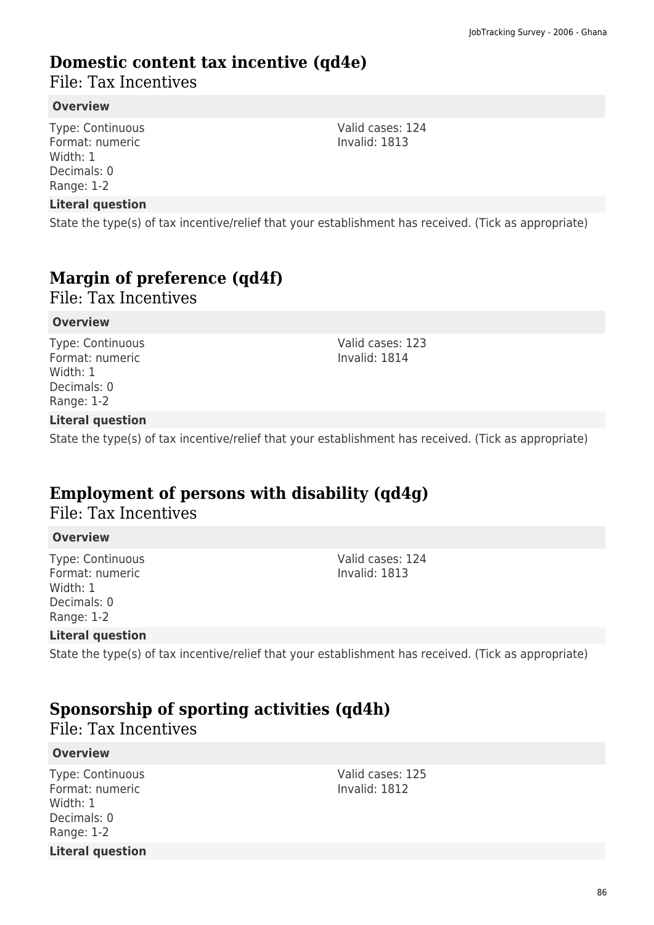### **Domestic content tax incentive (qd4e)**

File: Tax Incentives

#### **Overview**

Type: Continuous Format: numeric Width: 1 Decimals: 0 Range: 1-2

#### **Literal question**

State the type(s) of tax incentive/relief that your establishment has received. (Tick as appropriate)

# **Margin of preference (qd4f)**

File: Tax Incentives

#### **Overview**

Type: Continuous Format: numeric Width: 1 Decimals: 0 Range: 1-2

Valid cases: 123 Invalid: 1814

#### **Literal question**

State the type(s) of tax incentive/relief that your establishment has received. (Tick as appropriate)

### **Employment of persons with disability (qd4g)**

### File: Tax Incentives

#### **Overview**

Type: Continuous Format: numeric Width: 1 Decimals: 0 Range: 1-2

Valid cases: 124 Invalid: 1813

#### **Literal question**

State the type(s) of tax incentive/relief that your establishment has received. (Tick as appropriate)

### **Sponsorship of sporting activities (qd4h)**

File: Tax Incentives

#### **Overview**

Type: Continuous Format: numeric Width: 1 Decimals: 0 Range: 1-2 **Literal question** Valid cases: 125 Invalid: 1812

Valid cases: 124 Invalid: 1813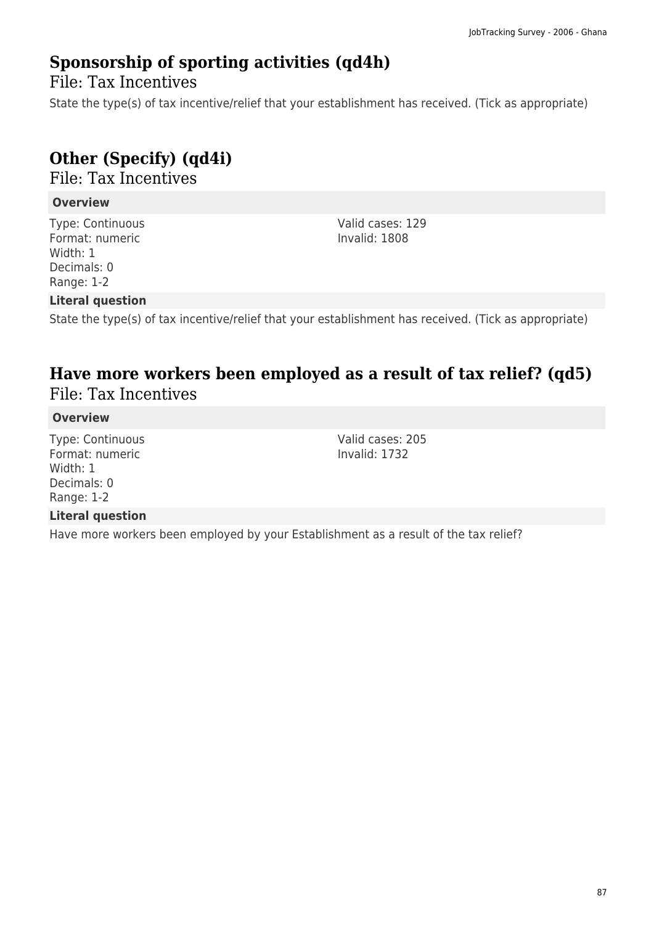### **Sponsorship of sporting activities (qd4h)**

File: Tax Incentives

State the type(s) of tax incentive/relief that your establishment has received. (Tick as appropriate)

# **Other (Specify) (qd4i)**

File: Tax Incentives

#### **Overview**

Type: Continuous Format: numeric Width: 1 Decimals: 0 Range: 1-2

Valid cases: 129 Invalid: 1808

#### **Literal question**

State the type(s) of tax incentive/relief that your establishment has received. (Tick as appropriate)

### **Have more workers been employed as a result of tax relief? (qd5)**  File: Tax Incentives

#### **Overview**

Type: Continuous Format: numeric Width: 1 Decimals: 0 Range: 1-2

#### Valid cases: 205 Invalid: 1732

#### **Literal question**

Have more workers been employed by your Establishment as a result of the tax relief?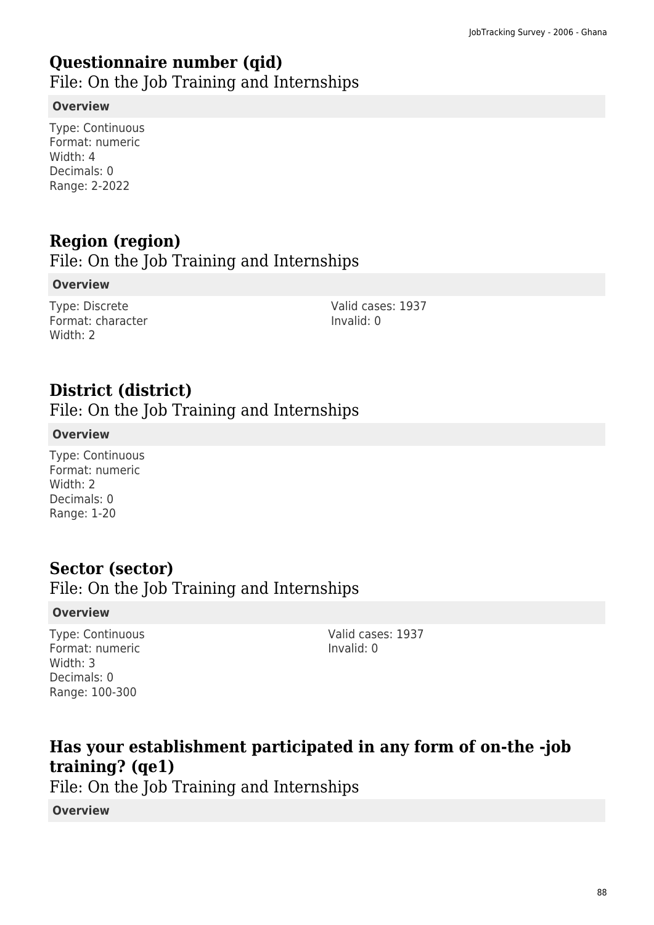### **Questionnaire number (qid)**

File: On the Job Training and Internships

#### **Overview**

Type: Continuous Format: numeric Width: 4 Decimals: 0 Range: 2-2022

# **Region (region)**

File: On the Job Training and Internships

#### **Overview**

Type: Discrete Format: character Width: 2

Valid cases: 1937 Invalid: 0

### **District (district)**

File: On the Job Training and Internships

#### **Overview**

Type: Continuous Format: numeric Width: 2 Decimals: 0 Range: 1-20

### **Sector (sector)**

### File: On the Job Training and Internships

#### **Overview**

Type: Continuous Format: numeric Width: 3 Decimals: 0 Range: 100-300

Valid cases: 1937 Invalid: 0

# **Has your establishment participated in any form of on-the -job training? (qe1)**

File: On the Job Training and Internships

**Overview**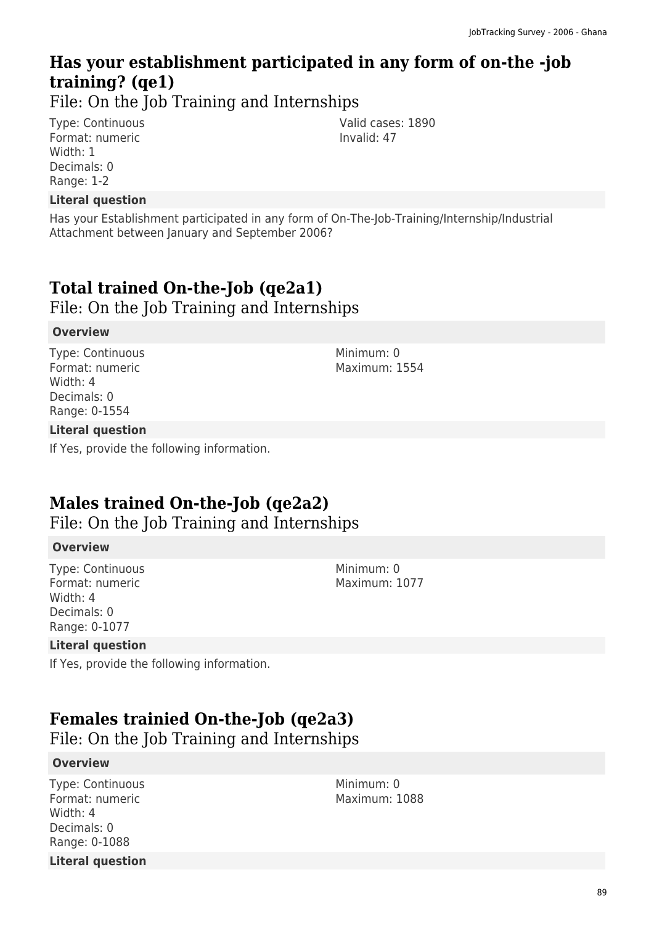# **Has your establishment participated in any form of on-the -job training? (qe1)**

File: On the Job Training and Internships

Type: Continuous Format: numeric Width: 1 Decimals: 0 Range: 1-2

**Literal question**

Has your Establishment participated in any form of On-The-Job-Training/Internship/Industrial Attachment between January and September 2006?

# **Total trained On-the-Job (qe2a1)**

File: On the Job Training and Internships

#### **Overview**

Type: Continuous Format: numeric Width: 4 Decimals: 0 Range: 0-1554

#### **Literal question**

If Yes, provide the following information.

# **Males trained On-the-Job (qe2a2)**

File: On the Job Training and Internships

#### **Overview**

Type: Continuous Format: numeric Width: 4 Decimals: 0 Range: 0-1077

#### **Literal question**

If Yes, provide the following information.

# **Females trainied On-the-Job (qe2a3)**

File: On the Job Training and Internships

#### **Overview**

Type: Continuous Format: numeric Width: 4 Decimals: 0 Range: 0-1088 **Literal question** Minimum: 0 Maximum: 1088

Minimum: 0 Maximum: 1554

Valid cases: 1890

Invalid: 47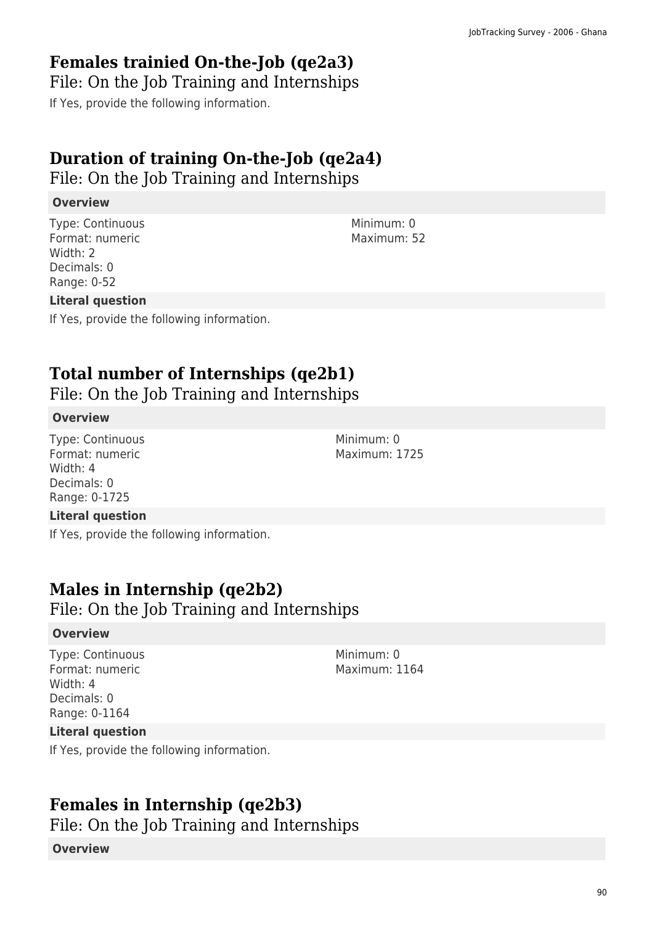### **Females trainied On-the-Job (qe2a3)**

File: On the Job Training and Internships

If Yes, provide the following information.

# **Duration of training On-the-Job (qe2a4)**

File: On the Job Training and Internships

#### **Overview**

Type: Continuous Format: numeric Width: 2 Decimals: 0 Range: 0-52

#### **Literal question**

If Yes, provide the following information.

# **Total number of Internships (qe2b1)**

File: On the Job Training and Internships

#### **Overview**

Type: Continuous Format: numeric Width: 4 Decimals: 0 Range: 0-1725

#### **Literal question**

If Yes, provide the following information.

### **Males in Internship (qe2b2)**

File: On the Job Training and Internships

#### **Overview**

Type: Continuous Format: numeric Width: 4 Decimals: 0 Range: 0-1164

Minimum: 0 Maximum: 1164

#### **Literal question**

If Yes, provide the following information.

# **Females in Internship (qe2b3)**

File: On the Job Training and Internships

#### **Overview**

Minimum: 0 Maximum: 52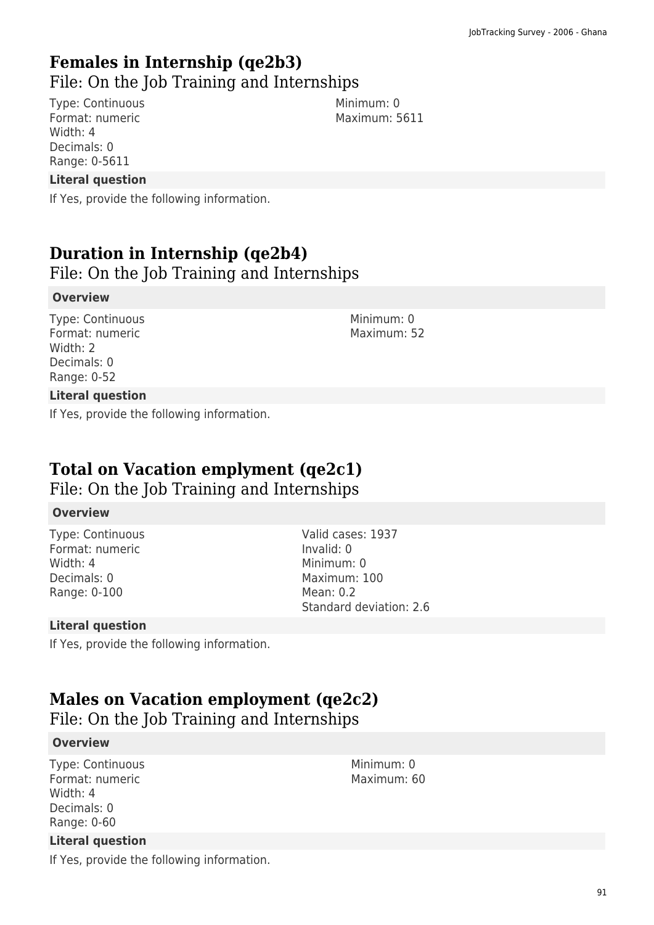# **Females in Internship (qe2b3)**

File: On the Job Training and Internships

Type: Continuous Format: numeric Width: 4 Decimals: 0 Range: 0-5611

Minimum: 0 Maximum: 5611

#### **Literal question**

If Yes, provide the following information.

# **Duration in Internship (qe2b4)**

File: On the Job Training and Internships

#### **Overview**

Type: Continuous Format: numeric Width: 2 Decimals: 0 Range: 0-52

Minimum: 0 Maximum: 52

#### **Literal question**

If Yes, provide the following information.

### **Total on Vacation emplyment (qe2c1)**

File: On the Job Training and Internships

#### **Overview**

Type: Continuous Format: numeric Width: 4 Decimals: 0 Range: 0-100

Valid cases: 1937 Invalid: 0 Minimum: 0 Maximum: 100 Mean: 0.2 Standard deviation: 2.6

#### **Literal question**

If Yes, provide the following information.

### **Males on Vacation employment (qe2c2)**

File: On the Job Training and Internships

#### **Overview**

Type: Continuous Format: numeric Width: 4 Decimals: 0 Range: 0-60

#### **Literal question**

If Yes, provide the following information.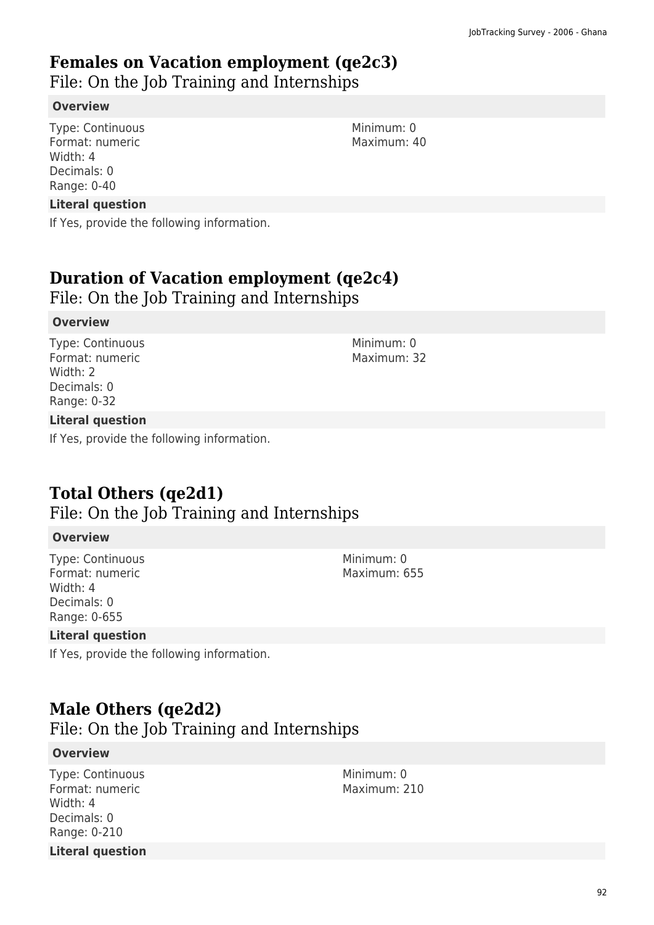### **Females on Vacation employment (qe2c3)**

File: On the Job Training and Internships

#### **Overview**

Type: Continuous Format: numeric Width: 4 Decimals: 0 Range: 0-40

#### **Literal question**

If Yes, provide the following information.

### **Duration of Vacation employment (qe2c4)**

File: On the Job Training and Internships

#### **Overview**

Type: Continuous Format: numeric Width: 2 Decimals: 0 Range: 0-32

#### **Literal question**

If Yes, provide the following information.

### **Total Others (qe2d1)**

### File: On the Job Training and Internships

#### **Overview**

Type: Continuous Format: numeric Width: 4 Decimals: 0 Range: 0-655

#### **Literal question**

If Yes, provide the following information.

### **Male Others (qe2d2)**

File: On the Job Training and Internships

#### **Overview**

Type: Continuous Format: numeric Width: 4 Decimals: 0 Range: 0-210 **Literal question** Minimum: 0 Maximum: 210

Maximum: 32

Minimum: 0

Minimum: 0 Maximum: 655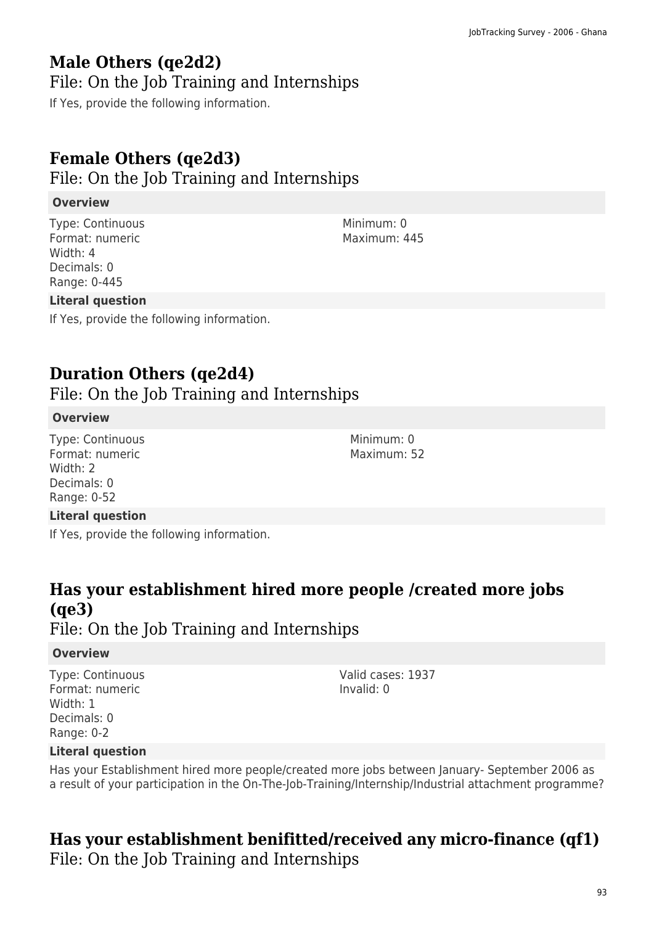# **Male Others (qe2d2)**

### File: On the Job Training and Internships

If Yes, provide the following information.

# **Female Others (qe2d3)**

File: On the Job Training and Internships

### **Overview**

Type: Continuous Format: numeric Width: 4 Decimals: 0 Range: 0-445

### **Literal question**

If Yes, provide the following information.

# **Duration Others (qe2d4)**

File: On the Job Training and Internships

#### **Overview**

Type: Continuous Format: numeric Width: 2 Decimals: 0 Range: 0-52

#### **Literal question**

If Yes, provide the following information.

# **Has your establishment hired more people /created more jobs (qe3)**

File: On the Job Training and Internships

#### **Overview**

Type: Continuous Format: numeric Width: 1 Decimals: 0 Range: 0-2

Valid cases: 1937 Invalid: 0

#### **Literal question**

Has your Establishment hired more people/created more jobs between January- September 2006 as a result of your participation in the On-The-Job-Training/Internship/Industrial attachment programme?

# **Has your establishment benifitted/received any micro-finance (qf1)**

File: On the Job Training and Internships

Minimum: 0 Maximum: 445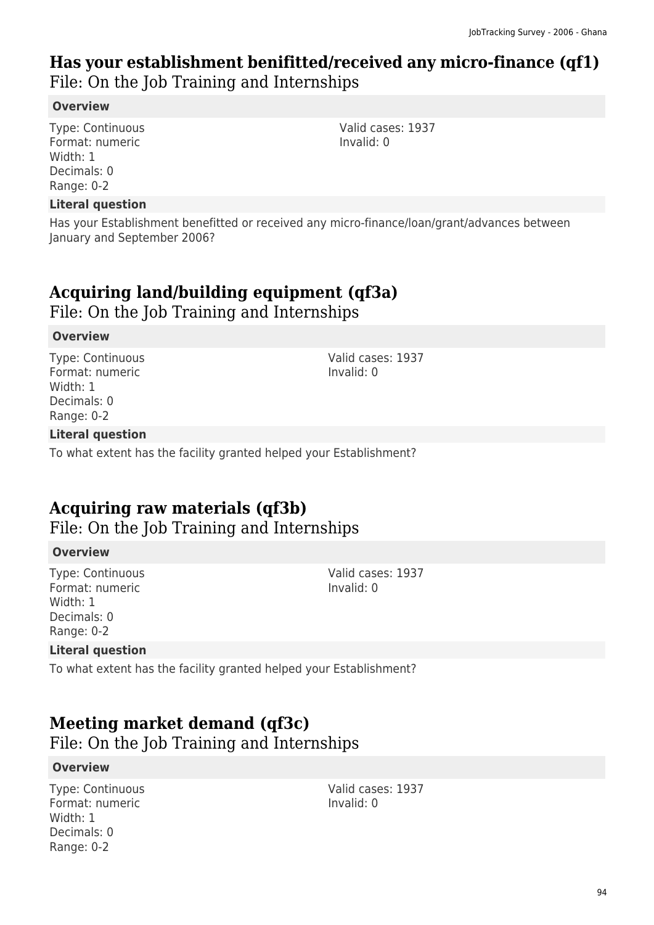### **Has your establishment benifitted/received any micro-finance (qf1)**  File: On the Job Training and Internships

#### **Overview**

Type: Continuous Format: numeric Width: 1 Decimals: 0 Range: 0-2

#### **Literal question**

Has your Establishment benefitted or received any micro-finance/loan/grant/advances between January and September 2006?

### **Acquiring land/building equipment (qf3a)**

File: On the Job Training and Internships

#### **Overview**

Type: Continuous Format: numeric Width: 1 Decimals: 0 Range: 0-2

**Literal question**

To what extent has the facility granted helped your Establishment?

### **Acquiring raw materials (qf3b)**

File: On the Job Training and Internships

#### **Overview**

Type: Continuous Format: numeric Width: 1 Decimals: 0 Range: 0-2

Valid cases: 1937 Invalid: 0

Valid cases: 1937

Invalid: 0

#### **Literal question**

To what extent has the facility granted helped your Establishment?

### **Meeting market demand (qf3c)**

File: On the Job Training and Internships

#### **Overview**

Type: Continuous Format: numeric Width: 1 Decimals: 0 Range: 0-2

Valid cases: 1937 Invalid: 0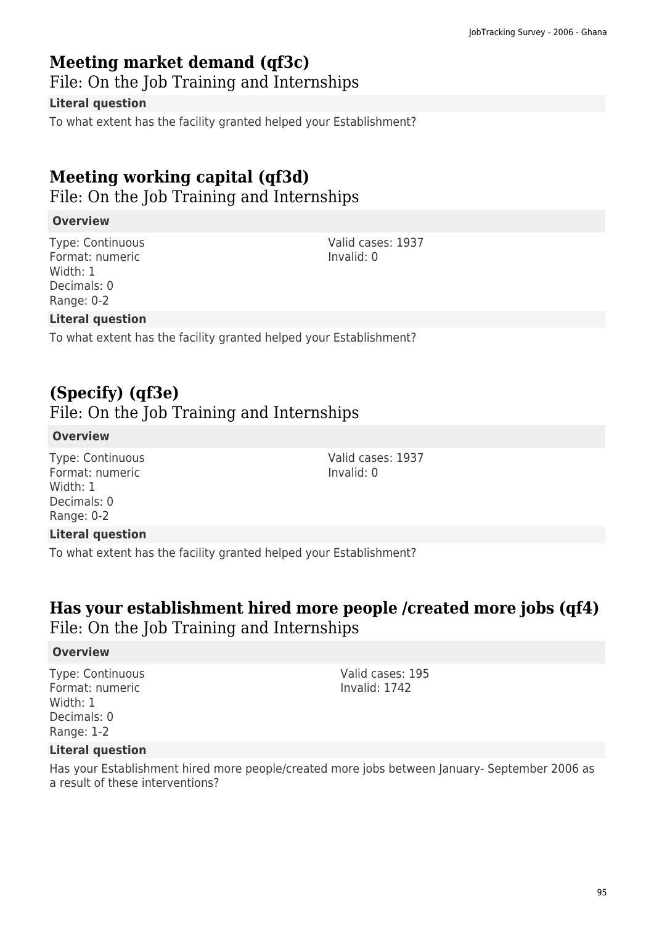### **Meeting market demand (qf3c)**

File: On the Job Training and Internships

#### **Literal question**

To what extent has the facility granted helped your Establishment?

# **Meeting working capital (qf3d)**

File: On the Job Training and Internships

#### **Overview**

Type: Continuous Format: numeric Width: 1 Decimals: 0 Range: 0-2

Valid cases: 1937 Invalid: 0

Valid cases: 1937

Invalid: 0

#### **Literal question**

To what extent has the facility granted helped your Establishment?

### **(Specify) (qf3e)**

### File: On the Job Training and Internships

#### **Overview**

Type: Continuous Format: numeric Width: 1 Decimals: 0 Range: 0-2

#### **Literal question**

To what extent has the facility granted helped your Establishment?

### **Has your establishment hired more people /created more jobs (qf4)**  File: On the Job Training and Internships

#### **Overview**

Type: Continuous Format: numeric Width: 1 Decimals: 0 Range: 1-2

Valid cases: 195 Invalid: 1742

#### **Literal question**

Has your Establishment hired more people/created more jobs between January- September 2006 as a result of these interventions?

95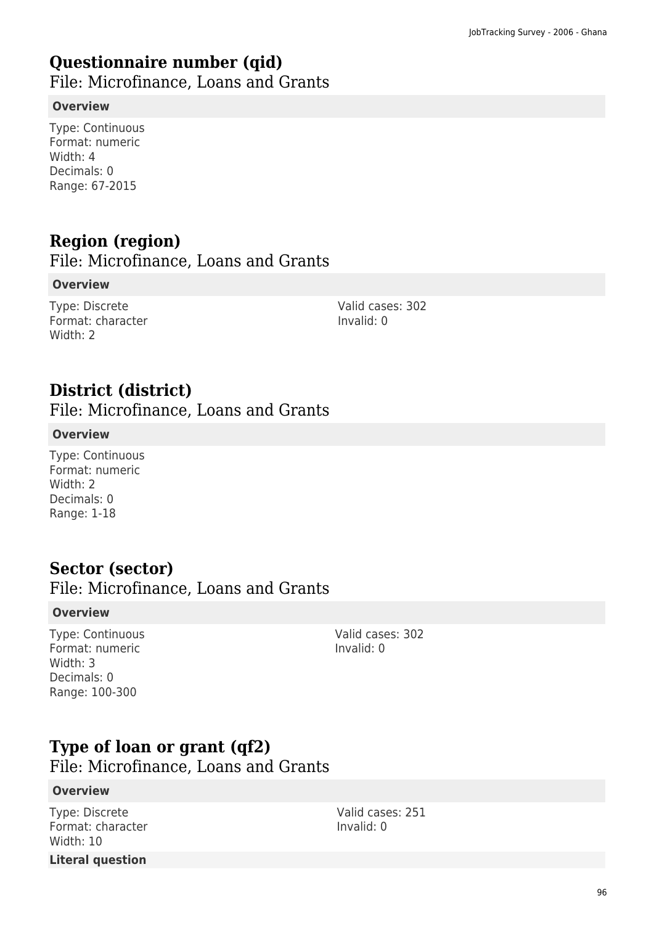### **Questionnaire number (qid)**

File: Microfinance, Loans and Grants

#### **Overview**

Type: Continuous Format: numeric Width: 4 Decimals: 0 Range: 67-2015

# **Region (region)**

File: Microfinance, Loans and Grants

#### **Overview**

Type: Discrete Format: character Width: 2

Valid cases: 302 Invalid: 0

### **District (district)**

File: Microfinance, Loans and Grants

#### **Overview**

Type: Continuous Format: numeric Width: 2 Decimals: 0 Range: 1-18

### **Sector (sector)**

File: Microfinance, Loans and Grants

#### **Overview**

Type: Continuous Format: numeric Width: 3 Decimals: 0 Range: 100-300

Valid cases: 302 Invalid: 0

### **Type of loan or grant (qf2)**

File: Microfinance, Loans and Grants

#### **Overview**

Type: Discrete Format: character Width: 10 **Literal question**

Valid cases: 251 Invalid: 0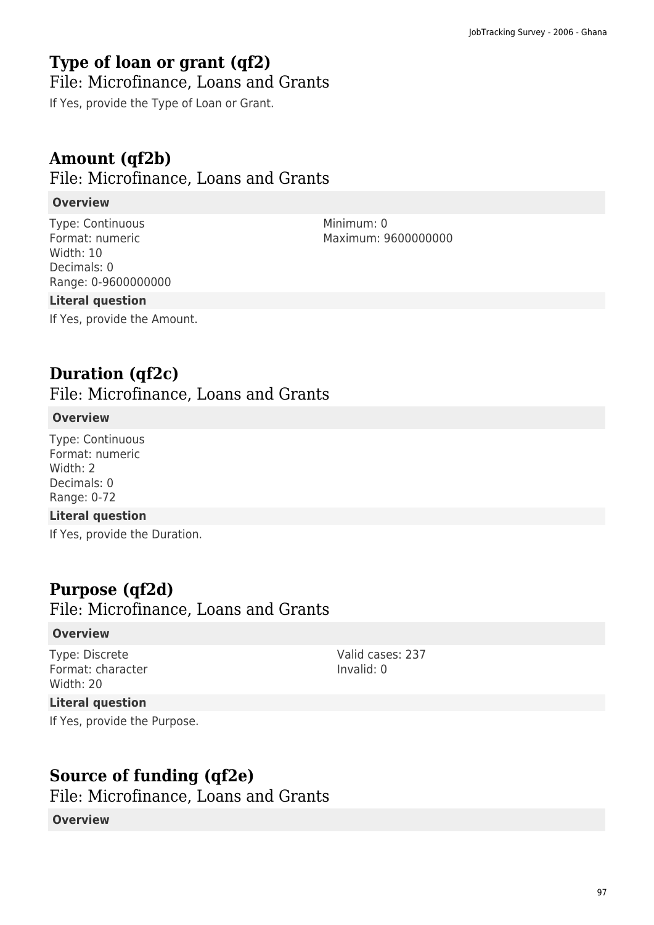### **Type of loan or grant (qf2)**

### File: Microfinance, Loans and Grants

If Yes, provide the Type of Loan or Grant.

### **Amount (qf2b)**

### File: Microfinance, Loans and Grants

#### **Overview**

Type: Continuous Format: numeric Width: 10 Decimals: 0 Range: 0-9600000000 Minimum: 0 Maximum: 9600000000

Valid cases: 237

Invalid: 0

#### **Literal question**

If Yes, provide the Amount.

### **Duration (qf2c)**

File: Microfinance, Loans and Grants

#### **Overview**

Type: Continuous Format: numeric Width: 2 Decimals: 0 Range: 0-72

#### **Literal question**

If Yes, provide the Duration.

### **Purpose (qf2d)**

File: Microfinance, Loans and Grants

#### **Overview**

Type: Discrete Format: character Width: 20

#### **Literal question**

If Yes, provide the Purpose.

**Source of funding (qf2e)** 

File: Microfinance, Loans and Grants

#### **Overview**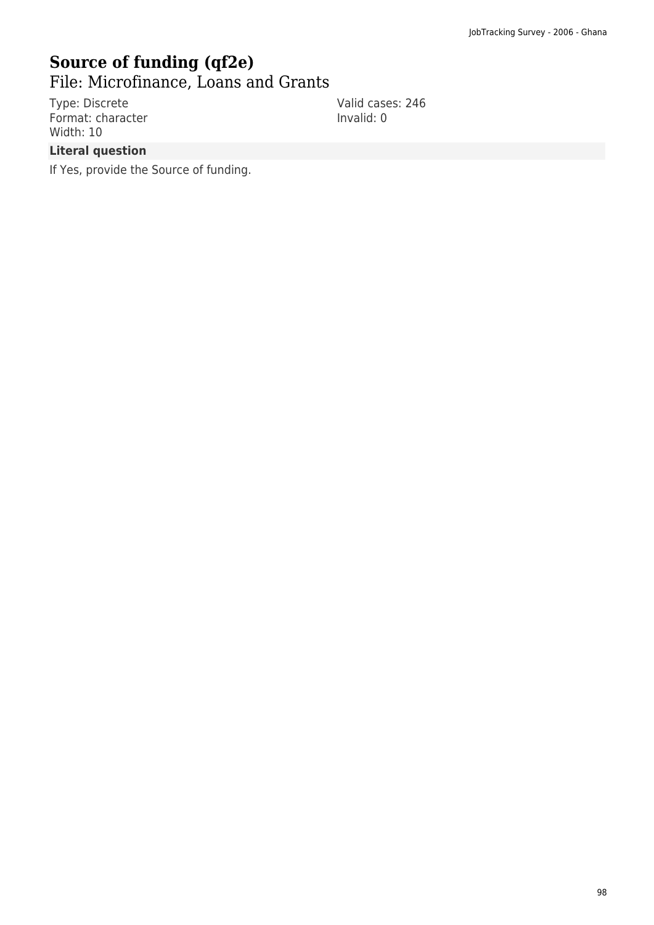# **Source of funding (qf2e)**

File: Microfinance, Loans and Grants

Type: Discrete Format: character Width: 10

Valid cases: 246 Invalid: 0

#### **Literal question**

If Yes, provide the Source of funding.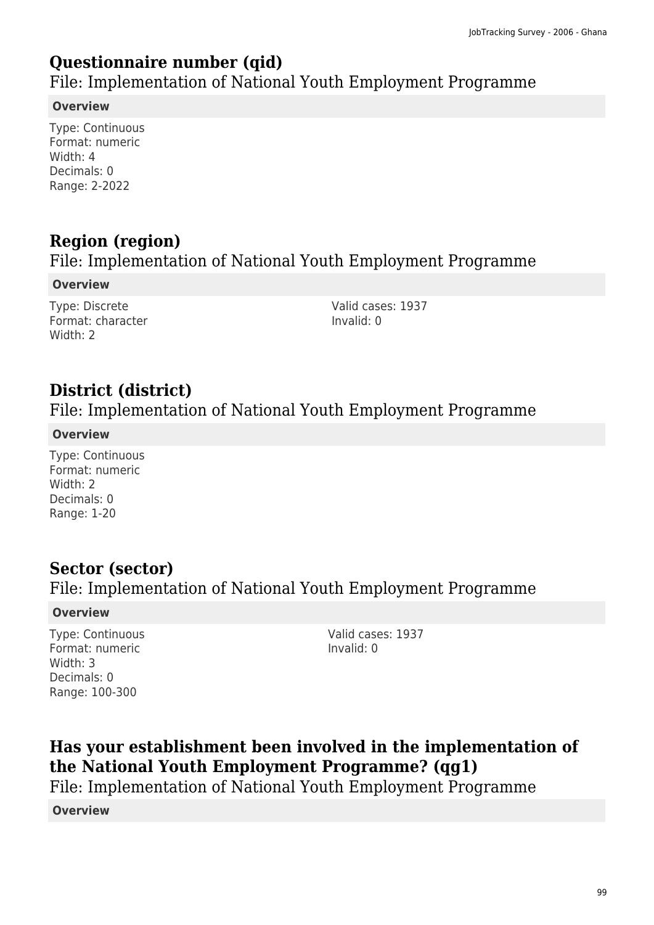### **Questionnaire number (qid)**

File: Implementation of National Youth Employment Programme

#### **Overview**

Type: Continuous Format: numeric Width: 4 Decimals: 0 Range: 2-2022

# **Region (region)**

### File: Implementation of National Youth Employment Programme

**Overview**

Type: Discrete Format: character Width: 2

Valid cases: 1937 Invalid: 0

# **District (district)**

### File: Implementation of National Youth Employment Programme

#### **Overview**

Type: Continuous Format: numeric Width: 2 Decimals: 0 Range: 1-20

### **Sector (sector)**  File: Implementation of National Youth Employment Programme

#### **Overview**

Type: Continuous Format: numeric Width: 3 Decimals: 0 Range: 100-300

Valid cases: 1937 Invalid: 0

# **Has your establishment been involved in the implementation of the National Youth Employment Programme? (qg1)**

File: Implementation of National Youth Employment Programme

**Overview**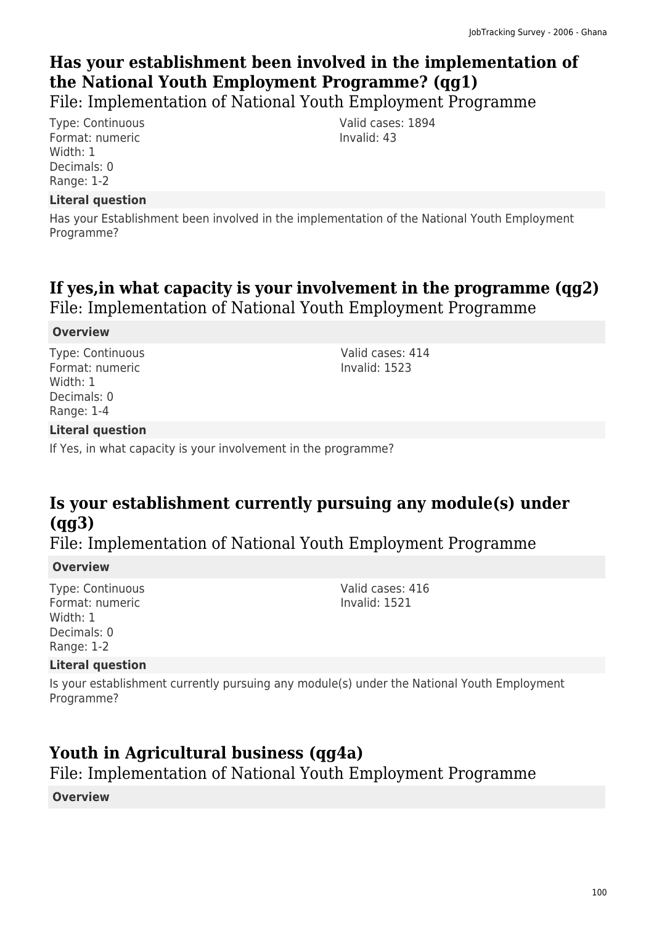# **Has your establishment been involved in the implementation of the National Youth Employment Programme? (qg1)**

File: Implementation of National Youth Employment Programme

Type: Continuous Format: numeric Width: 1 Decimals: 0 Range: 1-2

#### **Literal question**

Has your Establishment been involved in the implementation of the National Youth Employment Programme?

### **If yes,in what capacity is your involvement in the programme (qg2)**  File: Implementation of National Youth Employment Programme

#### **Overview**

Type: Continuous Format: numeric Width: 1 Decimals: 0 Range: 1-4

Valid cases: 414 Invalid: 1523

Valid cases: 1894

Invalid: 43

#### **Literal question**

If Yes, in what capacity is your involvement in the programme?

# **Is your establishment currently pursuing any module(s) under (qg3)**

File: Implementation of National Youth Employment Programme

#### **Overview**

Type: Continuous Format: numeric Width: 1 Decimals: 0 Range: 1-2

#### Valid cases: 416 Invalid: 1521

#### **Literal question**

Is your establishment currently pursuing any module(s) under the National Youth Employment Programme?

### **Youth in Agricultural business (qg4a)**

File: Implementation of National Youth Employment Programme

**Overview**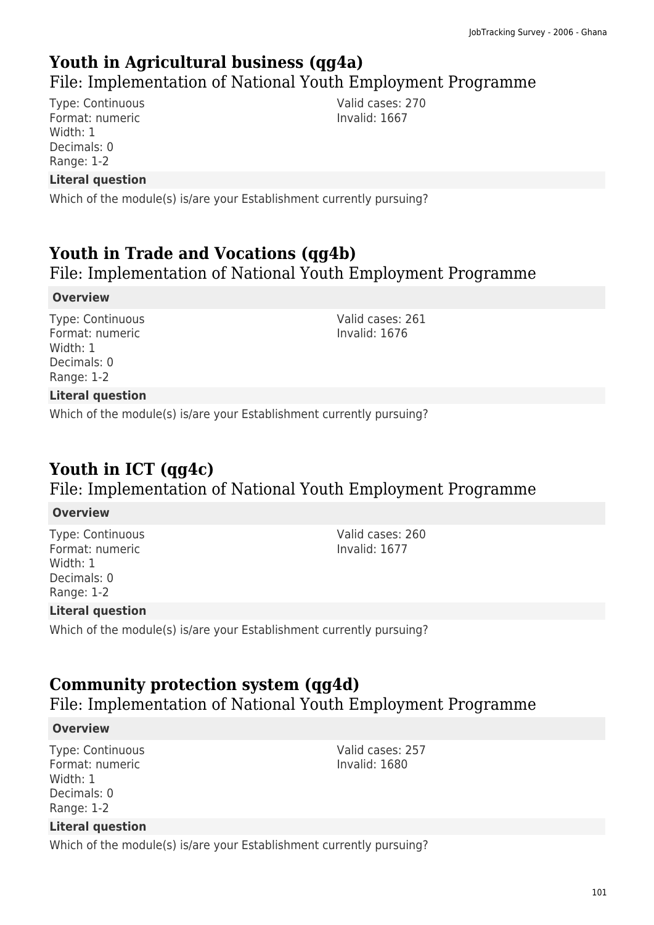### **Youth in Agricultural business (qg4a)**

### File: Implementation of National Youth Employment Programme

Type: Continuous Format: numeric Width: 1 Decimals: 0 Range: 1-2

**Literal question**

Which of the module(s) is/are your Establishment currently pursuing?

# **Youth in Trade and Vocations (qg4b)**

File: Implementation of National Youth Employment Programme

#### **Overview**

Type: Continuous Format: numeric Width: 1 Decimals: 0 Range: 1-2

Valid cases: 261 Invalid: 1676

Valid cases: 270 Invalid: 1667

#### **Literal question**

Which of the module(s) is/are your Establishment currently pursuing?

# **Youth in ICT (qg4c)**

### File: Implementation of National Youth Employment Programme

#### **Overview**

Type: Continuous Format: numeric Width: 1 Decimals: 0 Range: 1-2

Valid cases: 260 Invalid: 1677

Valid cases: 257 Invalid: 1680

#### **Literal question**

Which of the module(s) is/are your Establishment currently pursuing?

### **Community protection system (qg4d)**

File: Implementation of National Youth Employment Programme

#### **Overview**

Type: Continuous Format: numeric Width: 1 Decimals: 0 Range: 1-2

#### **Literal question**

Which of the module(s) is/are your Establishment currently pursuing?

101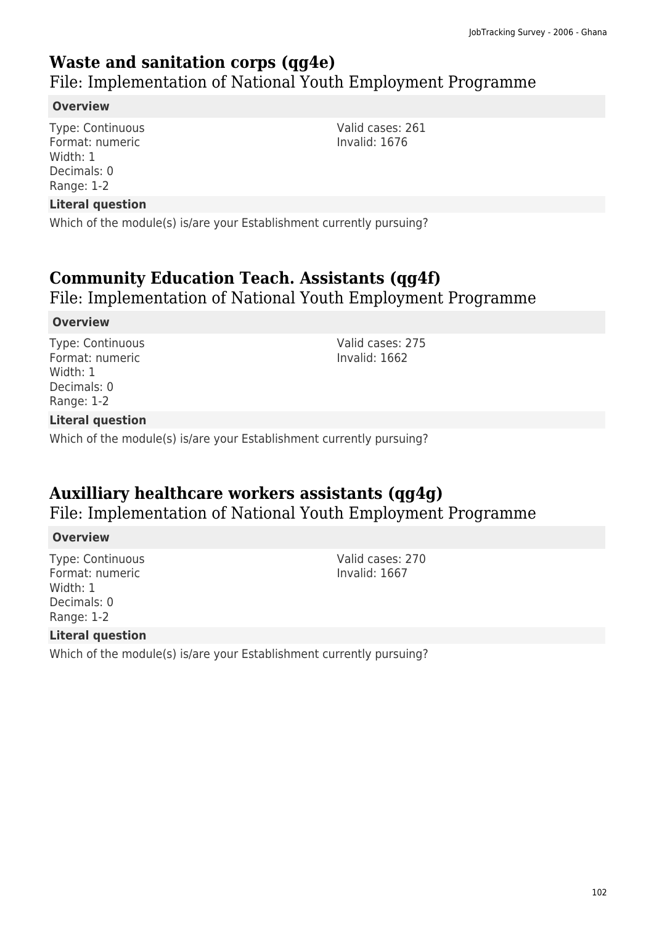### **Waste and sanitation corps (qg4e)**

File: Implementation of National Youth Employment Programme

#### **Overview**

Type: Continuous Format: numeric Width: 1 Decimals: 0 Range: 1-2

#### **Literal question**

Which of the module(s) is/are your Establishment currently pursuing?

### **Community Education Teach. Assistants (qg4f)**

File: Implementation of National Youth Employment Programme

#### **Overview**

Type: Continuous Format: numeric Width: 1 Decimals: 0 Range: 1-2

Valid cases: 275 Invalid: 1662

#### **Literal question**

Which of the module(s) is/are your Establishment currently pursuing?

### **Auxilliary healthcare workers assistants (qg4g)**

File: Implementation of National Youth Employment Programme

#### **Overview**

Type: Continuous Format: numeric Width: 1 Decimals: 0 Range: 1-2

Valid cases: 270 Invalid: 1667

#### **Literal question**

Which of the module(s) is/are your Establishment currently pursuing?

Valid cases: 261 Invalid: 1676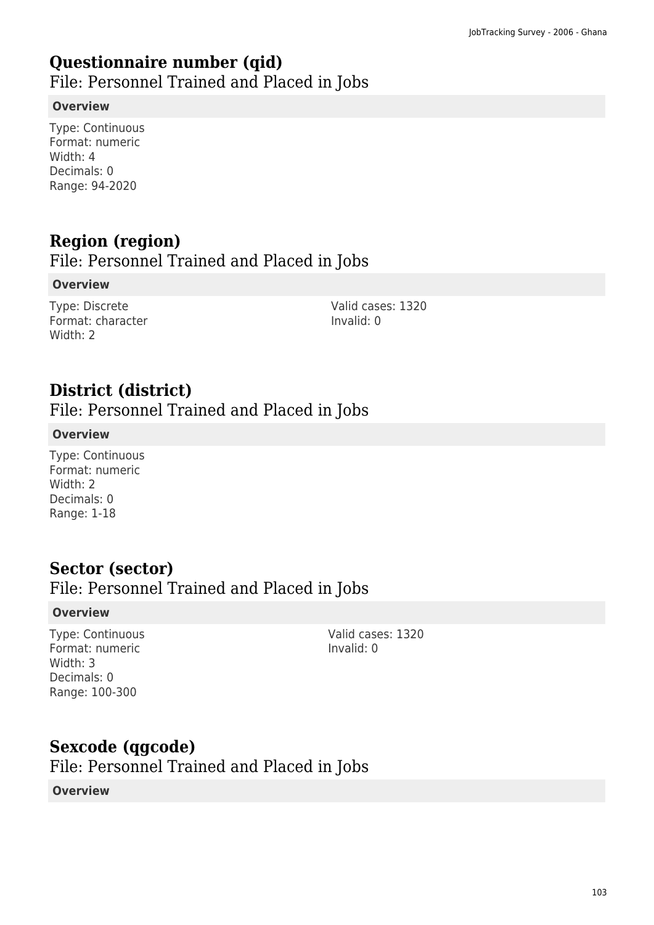### **Questionnaire number (qid)**

File: Personnel Trained and Placed in Jobs

#### **Overview**

Type: Continuous Format: numeric Width: 4 Decimals: 0 Range: 94-2020

# **Region (region)**

File: Personnel Trained and Placed in Jobs

#### **Overview**

Type: Discrete Format: character Width: 2

Valid cases: 1320 Invalid: 0

# **District (district)**

File: Personnel Trained and Placed in Jobs

#### **Overview**

Type: Continuous Format: numeric Width: 2 Decimals: 0 Range: 1-18

### **Sector (sector)**

### File: Personnel Trained and Placed in Jobs

#### **Overview**

Type: Continuous Format: numeric Width: 3 Decimals: 0 Range: 100-300

Valid cases: 1320 Invalid: 0

### **Sexcode (qgcode)**

File: Personnel Trained and Placed in Jobs

#### **Overview**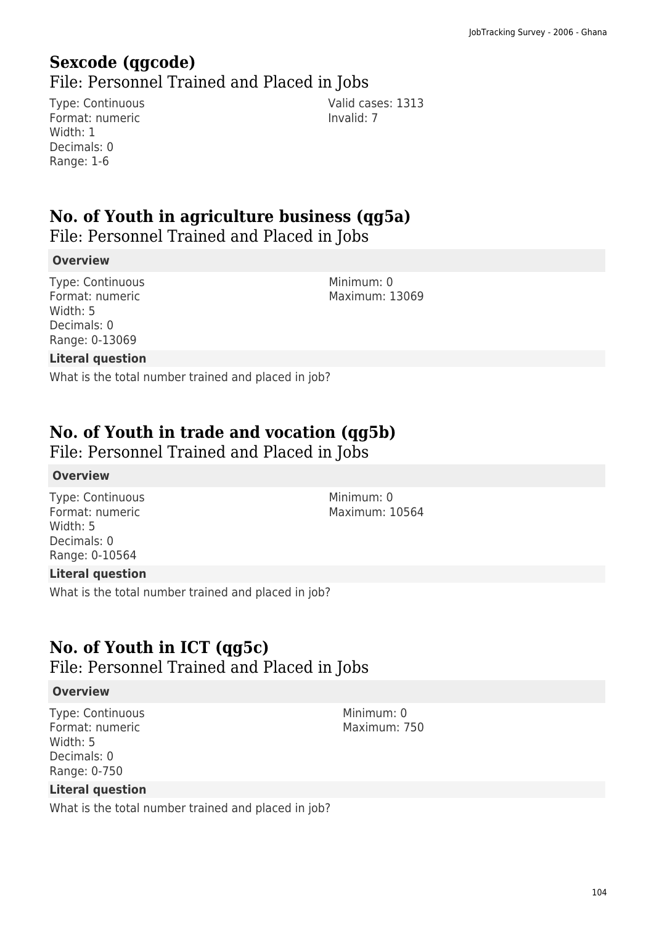# **Sexcode (qgcode)**

File: Personnel Trained and Placed in Jobs

Type: Continuous Format: numeric Width: 1 Decimals: 0 Range: 1-6

Valid cases: 1313 Invalid: 7

# **No. of Youth in agriculture business (qg5a)**

File: Personnel Trained and Placed in Jobs

#### **Overview**

Type: Continuous Format: numeric Width: 5 Decimals: 0 Range: 0-13069

Minimum: 0 Maximum: 13069

#### **Literal question**

What is the total number trained and placed in job?

### **No. of Youth in trade and vocation (qg5b)**

File: Personnel Trained and Placed in Jobs

#### **Overview**

Type: Continuous Format: numeric Width: 5 Decimals: 0 Range: 0-10564

Minimum: 0 Maximum: 10564

#### **Literal question**

What is the total number trained and placed in job?

### **No. of Youth in ICT (qg5c)**

File: Personnel Trained and Placed in Jobs

#### **Overview**

Type: Continuous Format: numeric Width: 5 Decimals: 0 Range: 0-750

**Literal question**

What is the total number trained and placed in job?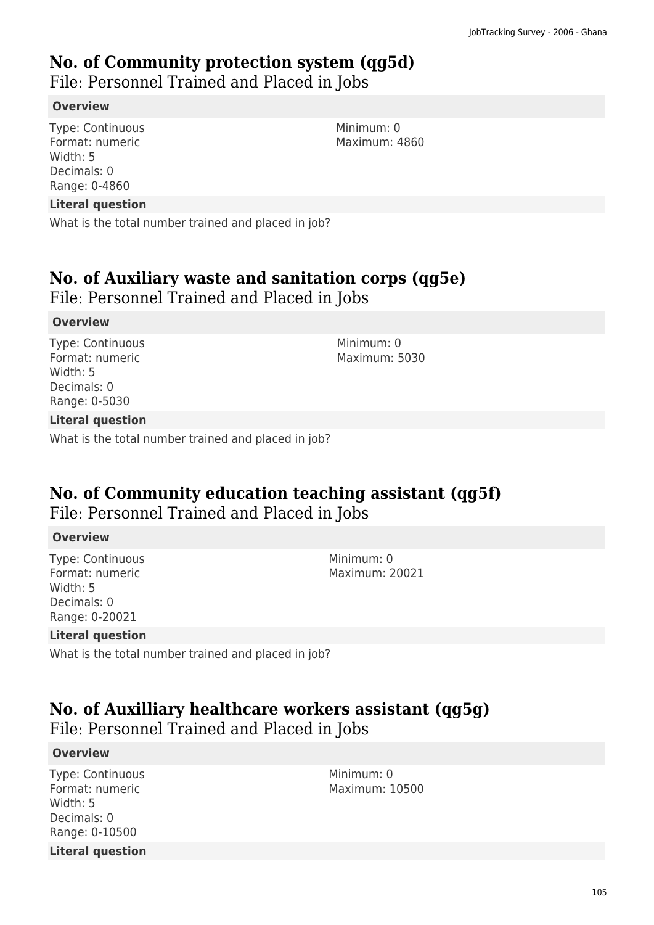### **No. of Community protection system (qg5d)**

File: Personnel Trained and Placed in Jobs

#### **Overview**

Type: Continuous Format: numeric Width: 5 Decimals: 0 Range: 0-4860

#### **Literal question**

What is the total number trained and placed in job?

### **No. of Auxiliary waste and sanitation corps (qg5e)**

File: Personnel Trained and Placed in Jobs

#### **Overview**

Type: Continuous Format: numeric Width: 5 Decimals: 0 Range: 0-5030

Minimum: 0 Maximum: 5030

#### **Literal question**

What is the total number trained and placed in job?

# **No. of Community education teaching assistant (qg5f)**

File: Personnel Trained and Placed in Jobs

#### **Overview**

Type: Continuous Format: numeric Width: 5 Decimals: 0 Range: 0-20021

Minimum: 0 Maximum: 20021

#### **Literal question**

What is the total number trained and placed in job?

### **No. of Auxilliary healthcare workers assistant (qg5g)**  File: Personnel Trained and Placed in Jobs

#### **Overview**

Type: Continuous Format: numeric Width: 5 Decimals: 0 Range: 0-10500 **Literal question** Minimum: 0 Maximum: 10500

105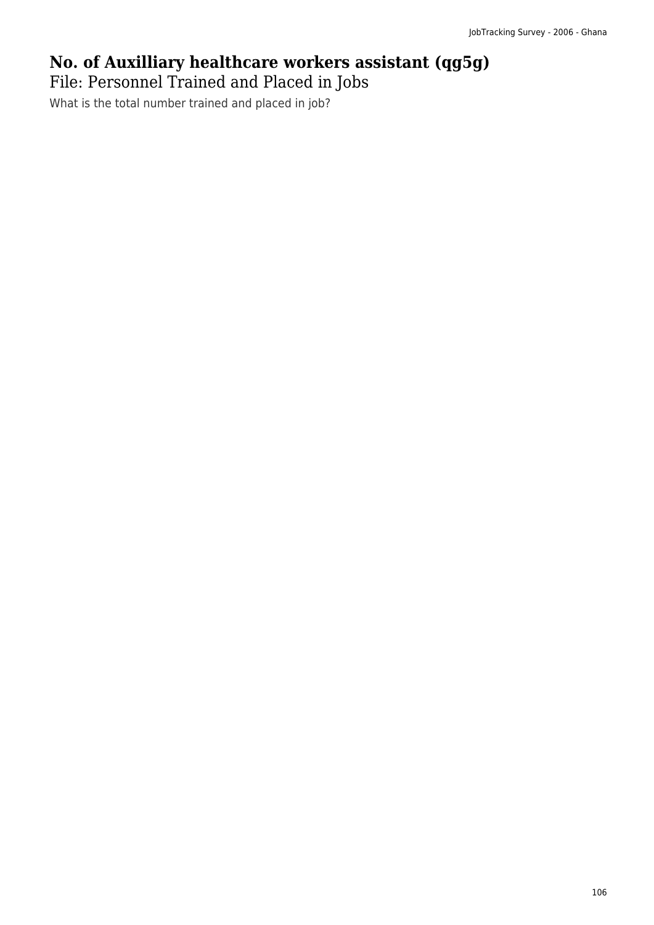# **No. of Auxilliary healthcare workers assistant (qg5g)**

File: Personnel Trained and Placed in Jobs

What is the total number trained and placed in job?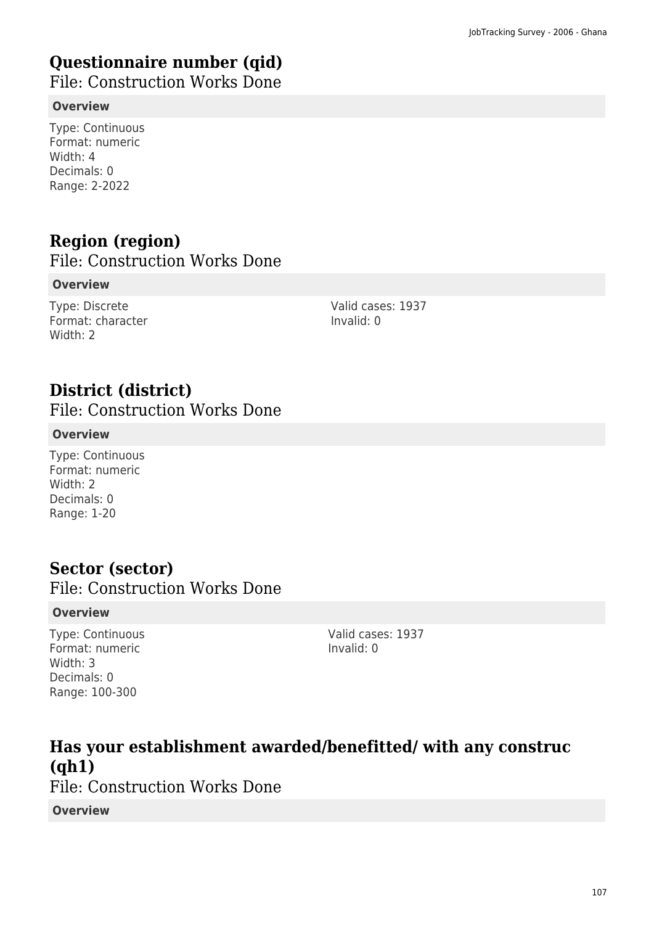# **Questionnaire number (qid)**

File: Construction Works Done

#### **Overview**

Type: Continuous Format: numeric Width: 4 Decimals: 0 Range: 2-2022

# **Region (region)**

File: Construction Works Done

#### **Overview**

Type: Discrete Format: character Width: 2

Valid cases: 1937 Invalid: 0

# **District (district)**

File: Construction Works Done

#### **Overview**

Type: Continuous Format: numeric Width: 2 Decimals: 0 Range: 1-20

### **Sector (sector)**

File: Construction Works Done

#### **Overview**

Type: Continuous Format: numeric Width: 3 Decimals: 0 Range: 100-300

Valid cases: 1937 Invalid: 0

**Has your establishment awarded/benefitted/ with any construc (qh1)**  File: Construction Works Done **Overview**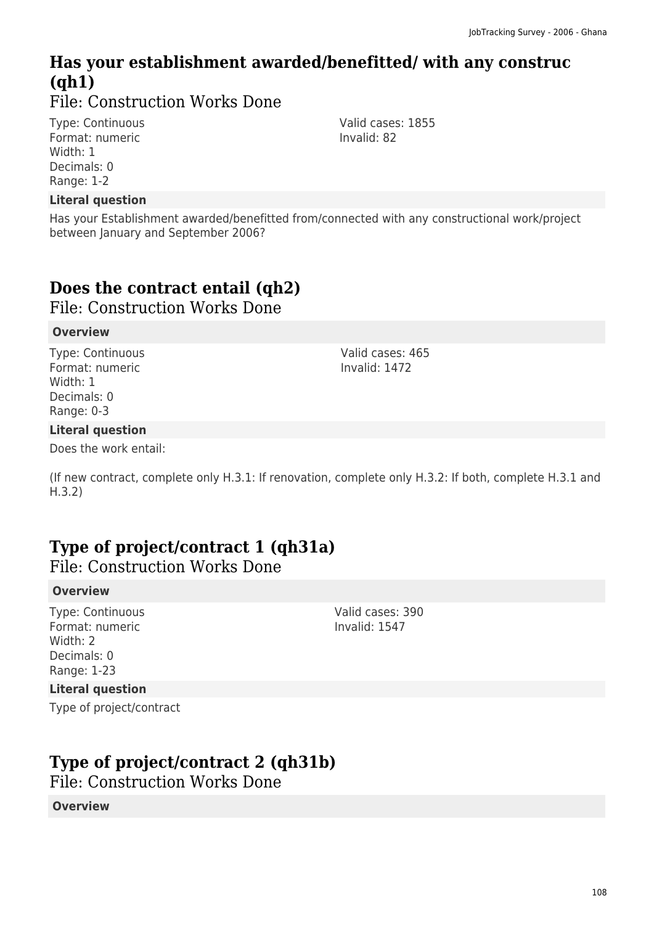# **Has your establishment awarded/benefitted/ with any construc (qh1)**

File: Construction Works Done

Type: Continuous Format: numeric Width: 1 Decimals: 0 Range: 1-2

#### **Literal question**

Has your Establishment awarded/benefitted from/connected with any constructional work/project between January and September 2006?

# **Does the contract entail (qh2)**

File: Construction Works Done

#### **Overview**

Type: Continuous Format: numeric Width: 1 Decimals: 0 Range: 0-3

#### **Literal question**

Does the work entail:

(If new contract, complete only H.3.1: If renovation, complete only H.3.2: If both, complete H.3.1 and H.3.2)

### **Type of project/contract 1 (qh31a)**

File: Construction Works Done

#### **Overview**

Type: Continuous Format: numeric Width: 2 Decimals: 0 Range: 1-23

#### **Literal question**

Type of project/contract

### **Type of project/contract 2 (qh31b)**

File: Construction Works Done

**Overview**

Invalid: 82

Valid cases: 1855

Valid cases: 465 Invalid: 1472

Valid cases: 390 Invalid: 1547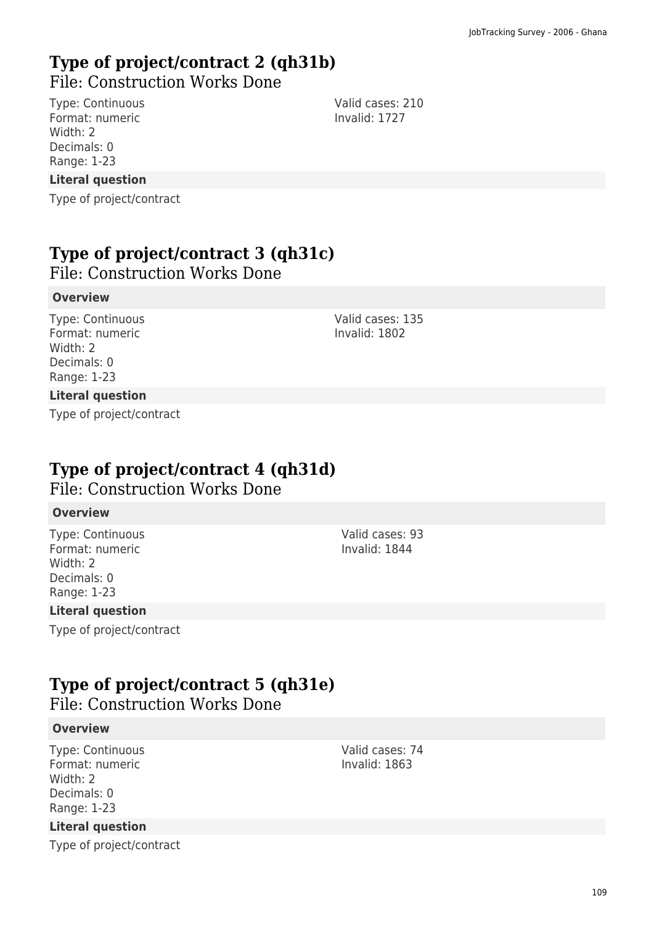# **Type of project/contract 2 (qh31b)**  File: Construction Works Done

Type: Continuous Format: numeric Width: 2 Decimals: 0 Range: 1-23

**Literal question**

Type of project/contract

# **Type of project/contract 3 (qh31c)**

File: Construction Works Done

## **Overview**

Type: Continuous Format: numeric Width: 2 Decimals: 0 Range: 1-23

Valid cases: 135 Invalid: 1802

## **Literal question**

Type of project/contract

# **Type of project/contract 4 (qh31d)**

File: Construction Works Done

## **Overview**

Type: Continuous Format: numeric Width: 2 Decimals: 0 Range: 1-23

## **Literal question**

Type of project/contract

# **Type of project/contract 5 (qh31e)**

File: Construction Works Done

## **Overview**

Type: Continuous Format: numeric Width: 2 Decimals: 0 Range: 1-23

## **Literal question**

Type of project/contract

Valid cases: 93 Invalid: 1844

Valid cases: 210 Invalid: 1727

Valid cases: 74 Invalid: 1863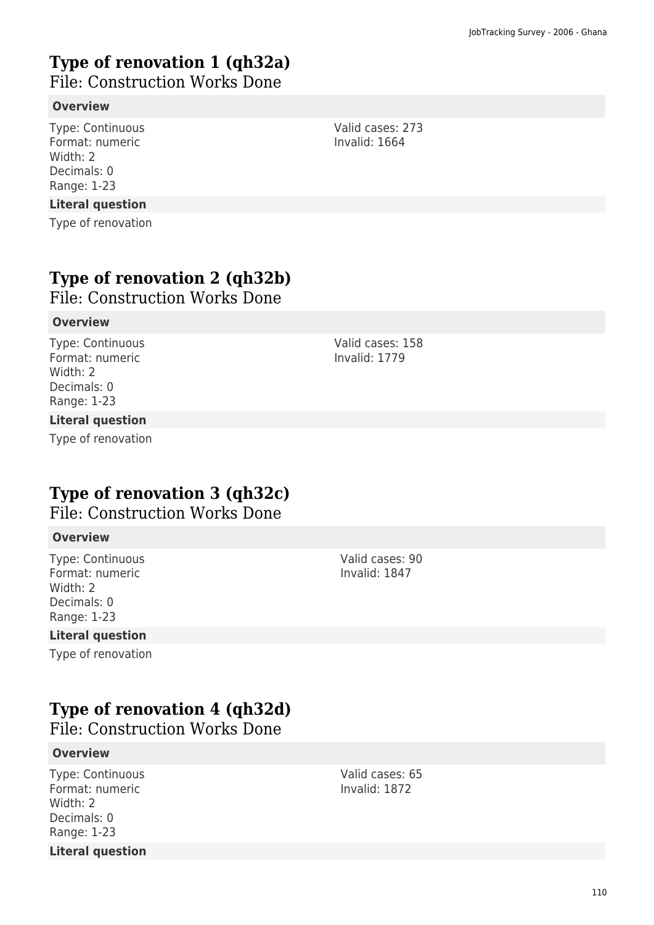# **Type of renovation 1 (qh32a)**

File: Construction Works Done

## **Overview**

Type: Continuous Format: numeric Width: 2 Decimals: 0 Range: 1-23

#### **Literal question**

Type of renovation

# **Type of renovation 2 (qh32b)**

File: Construction Works Done

#### **Overview**

Type: Continuous Format: numeric Width: 2 Decimals: 0 Range: 1-23

#### **Literal question**

Type of renovation

# **Type of renovation 3 (qh32c)**

# File: Construction Works Done

#### **Overview**

Type: Continuous Format: numeric Width: 2 Decimals: 0 Range: 1-23

#### **Literal question**

Type of renovation

#### Valid cases: 90 Invalid: 1847

# **Type of renovation 4 (qh32d)**

File: Construction Works Done

#### **Overview**

Type: Continuous Format: numeric Width: 2 Decimals: 0 Range: 1-23 **Literal question**

Valid cases: 65 Invalid: 1872

Valid cases: 273 Invalid: 1664

Valid cases: 158 Invalid: 1779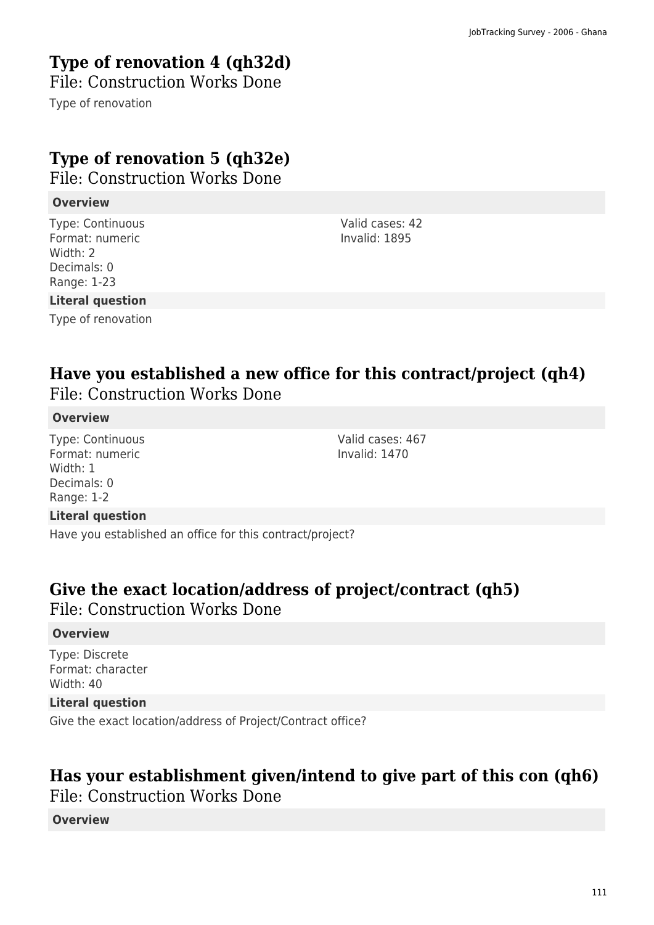# **Type of renovation 4 (qh32d)**

File: Construction Works Done

Type of renovation

# **Type of renovation 5 (qh32e)**

File: Construction Works Done

## **Overview**

Type: Continuous Format: numeric Width: 2 Decimals: 0 Range: 1-23

Valid cases: 42 Invalid: 1895

## **Literal question**

Type of renovation

# **Have you established a new office for this contract/project (qh4)**  File: Construction Works Done

## **Overview**

Type: Continuous Format: numeric Width: 1 Decimals: 0 Range: 1-2

Valid cases: 467 Invalid: 1470

## **Literal question**

Have you established an office for this contract/project?

# **Give the exact location/address of project/contract (qh5)**  File: Construction Works Done

## **Overview**

Type: Discrete Format: character Width: 40

## **Literal question**

Give the exact location/address of Project/Contract office?

# **Has your establishment given/intend to give part of this con (qh6)**

File: Construction Works Done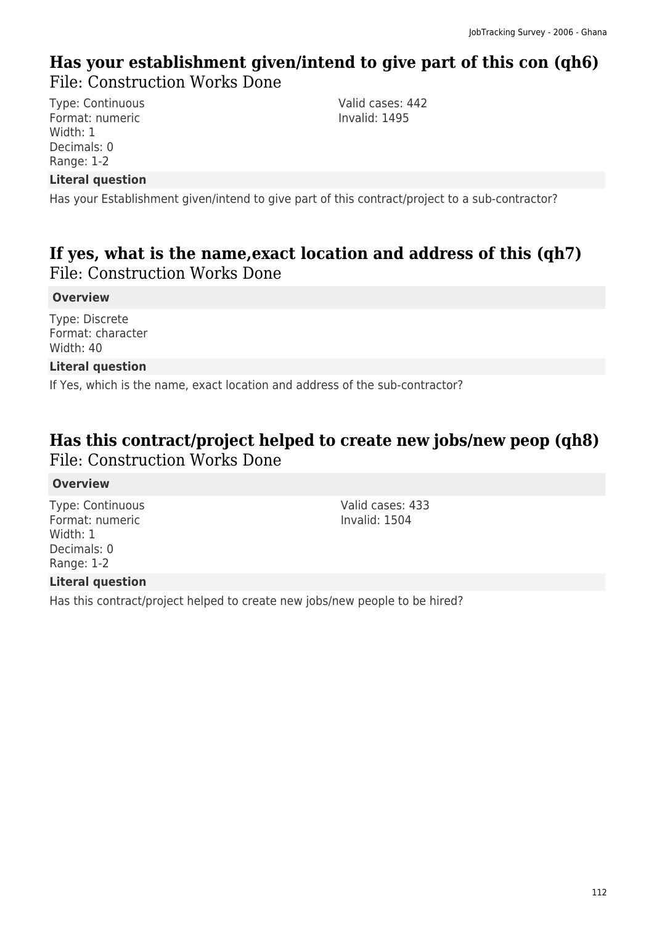# **Has your establishment given/intend to give part of this con (qh6)**  File: Construction Works Done

Type: Continuous Format: numeric Width: 1 Decimals: 0 Range: 1-2

Valid cases: 442 Invalid: 1495

## **Literal question**

Has your Establishment given/intend to give part of this contract/project to a sub-contractor?

# **If yes, what is the name,exact location and address of this (qh7)**  File: Construction Works Done

## **Overview**

Type: Discrete Format: character Width: 40

## **Literal question**

If Yes, which is the name, exact location and address of the sub-contractor?

# **Has this contract/project helped to create new jobs/new peop (qh8)**  File: Construction Works Done

#### **Overview**

Type: Continuous Format: numeric Width: 1 Decimals: 0 Range: 1-2

Valid cases: 433 Invalid: 1504

## **Literal question**

Has this contract/project helped to create new jobs/new people to be hired?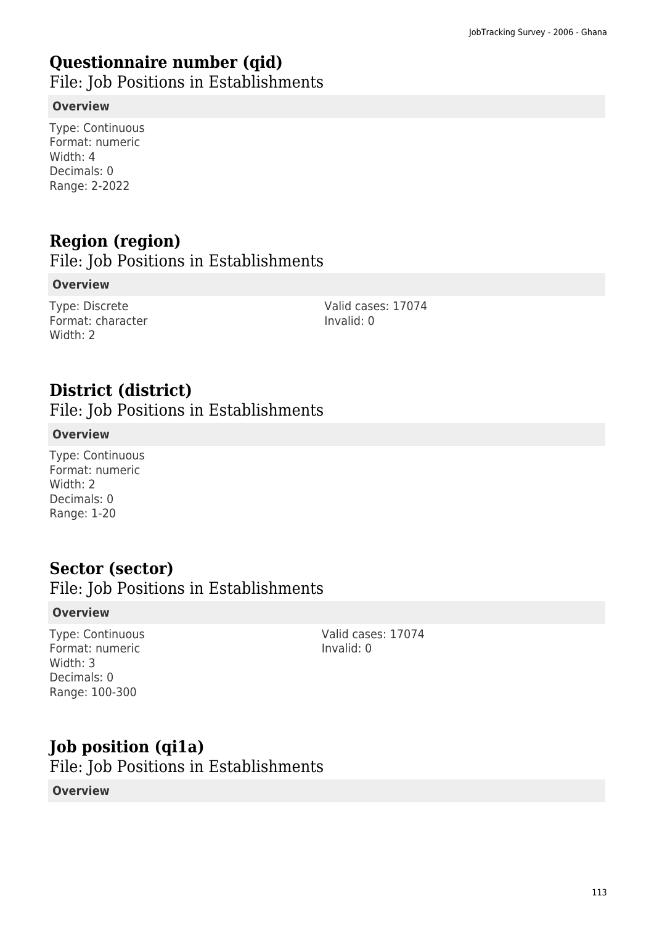# **Questionnaire number (qid)**

File: Job Positions in Establishments

## **Overview**

Type: Continuous Format: numeric Width: 4 Decimals: 0 Range: 2-2022

# **Region (region)**

File: Job Positions in Establishments

## **Overview**

Type: Discrete Format: character Width: 2

Valid cases: 17074 Invalid: 0

# **District (district)**

File: Job Positions in Establishments

## **Overview**

Type: Continuous Format: numeric Width: 2 Decimals: 0 Range: 1-20

# **Sector (sector)**

File: Job Positions in Establishments

## **Overview**

Type: Continuous Format: numeric Width: 3 Decimals: 0 Range: 100-300

Valid cases: 17074 Invalid: 0

# **Job position (qi1a)**

File: Job Positions in Establishments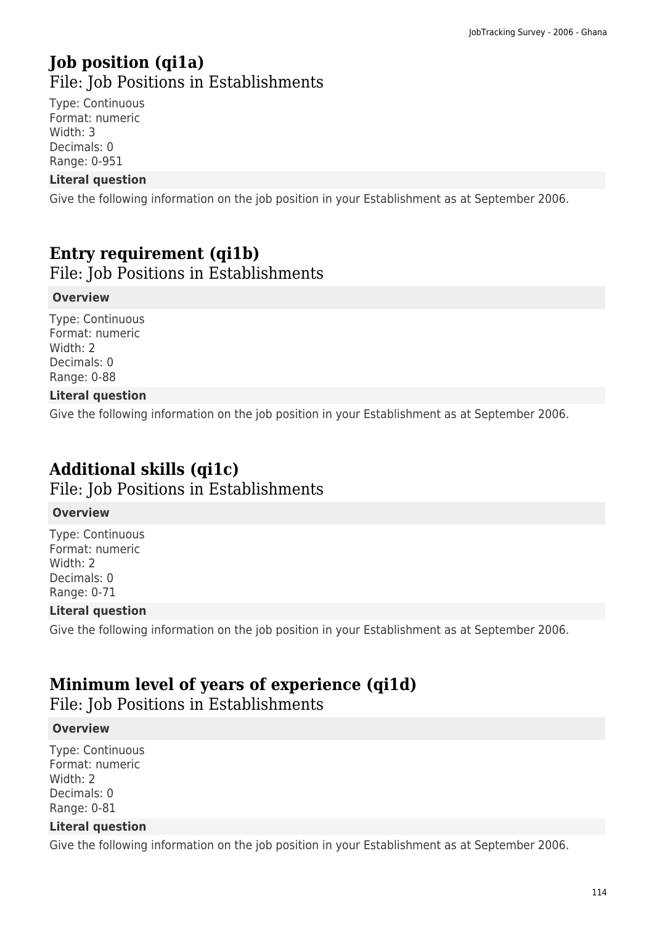# **Job position (qi1a)**  File: Job Positions in Establishments

Type: Continuous Format: numeric Width: 3 Decimals: 0 Range: 0-951

## **Literal question**

Give the following information on the job position in your Establishment as at September 2006.

# **Entry requirement (qi1b)**

File: Job Positions in Establishments

#### **Overview**

Type: Continuous Format: numeric Width: 2 Decimals: 0 Range: 0-88

## **Literal question**

Give the following information on the job position in your Establishment as at September 2006.

# **Additional skills (qi1c)**

File: Job Positions in Establishments

#### **Overview**

Type: Continuous Format: numeric Width: 2 Decimals: 0 Range: 0-71

## **Literal question**

Give the following information on the job position in your Establishment as at September 2006.

# **Minimum level of years of experience (qi1d)**

File: Job Positions in Establishments

## **Overview**

Type: Continuous Format: numeric Width: 2 Decimals: 0 Range: 0-81

#### **Literal question**

Give the following information on the job position in your Establishment as at September 2006.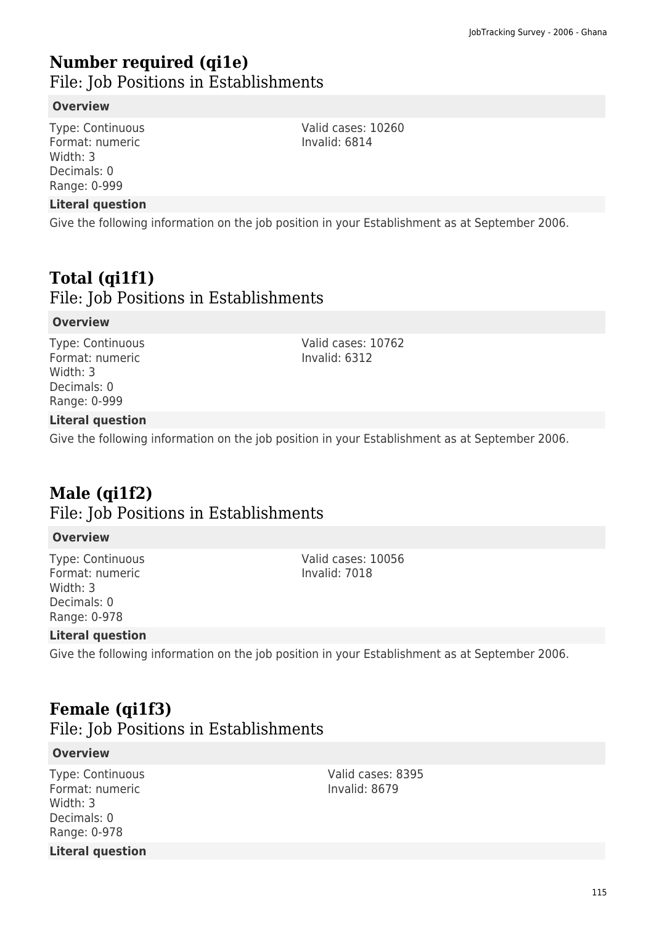# **Number required (qi1e)**  File: Job Positions in Establishments

## **Overview**

Type: Continuous Format: numeric Width: 3 Decimals: 0 Range: 0-999

#### **Literal question**

Give the following information on the job position in your Establishment as at September 2006.

# **Total (qi1f1)**

File: Job Positions in Establishments

#### **Overview**

Type: Continuous Format: numeric Width: 3 Decimals: 0 Range: 0-999

Valid cases: 10762 Invalid: 6312

Valid cases: 10260 Invalid: 6814

## **Literal question**

Give the following information on the job position in your Establishment as at September 2006.

# **Male (qi1f2)**  File: Job Positions in Establishments

## **Overview**

Type: Continuous Format: numeric Width: 3 Decimals: 0 Range: 0-978

Valid cases: 10056 Invalid: 7018

## **Literal question**

Give the following information on the job position in your Establishment as at September 2006.

# **Female (qi1f3)**

File: Job Positions in Establishments

#### **Overview**

Type: Continuous Format: numeric Width: 3 Decimals: 0 Range: 0-978 **Literal question** Valid cases: 8395 Invalid: 8679

115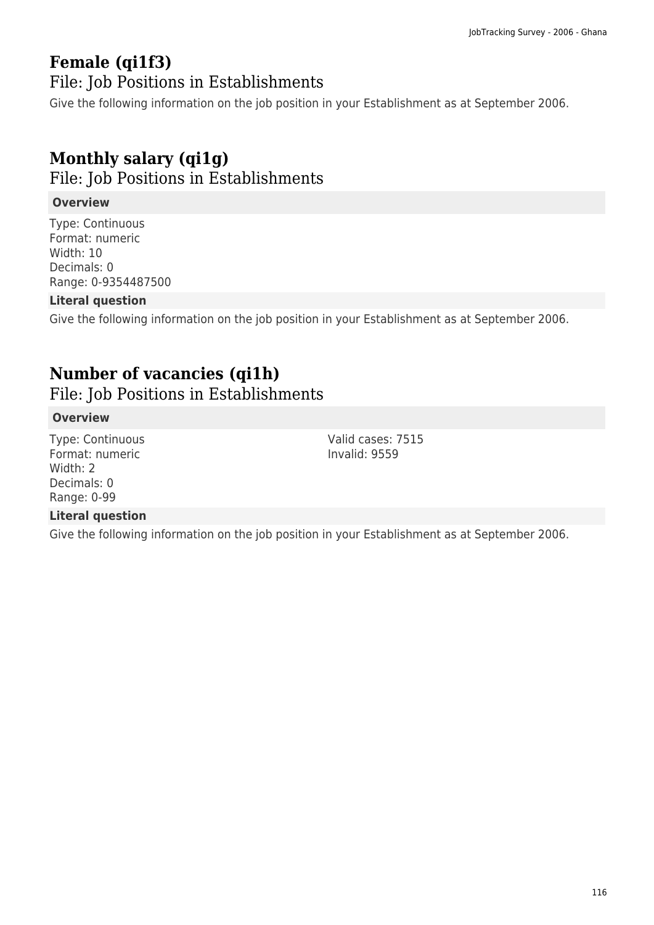# **Female (qi1f3)**

File: Job Positions in Establishments

Give the following information on the job position in your Establishment as at September 2006.

# **Monthly salary (qi1g)**

File: Job Positions in Establishments

## **Overview**

Type: Continuous Format: numeric Width: 10 Decimals: 0 Range: 0-9354487500

## **Literal question**

Give the following information on the job position in your Establishment as at September 2006.

# **Number of vacancies (qi1h)**

File: Job Positions in Establishments

## **Overview**

Type: Continuous Format: numeric Width: 2 Decimals: 0 Range: 0-99

## **Literal question**

Give the following information on the job position in your Establishment as at September 2006.

Valid cases: 7515 Invalid: 9559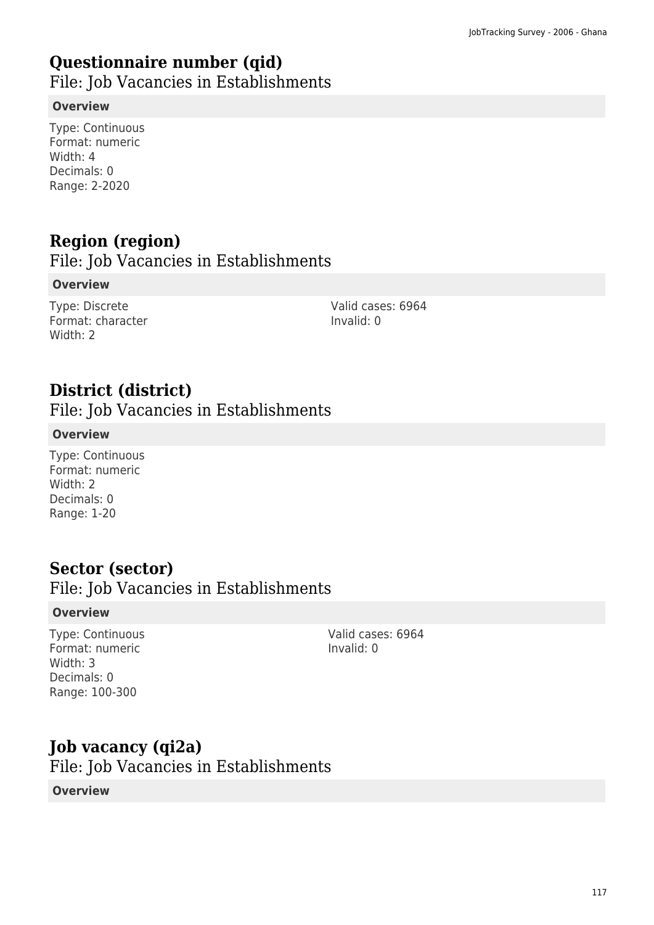# **Questionnaire number (qid)**

File: Job Vacancies in Establishments

## **Overview**

Type: Continuous Format: numeric Width: 4 Decimals: 0 Range: 2-2020

# **Region (region)**

File: Job Vacancies in Establishments

## **Overview**

Type: Discrete Format: character Width: 2

Valid cases: 6964 Invalid: 0

# **District (district)**

File: Job Vacancies in Establishments

## **Overview**

Type: Continuous Format: numeric Width: 2 Decimals: 0 Range: 1-20

# **Sector (sector)**

File: Job Vacancies in Establishments

## **Overview**

Type: Continuous Format: numeric Width: 3 Decimals: 0 Range: 100-300

Valid cases: 6964 Invalid: 0

# **Job vacancy (qi2a)**  File: Job Vacancies in Establishments **Overview**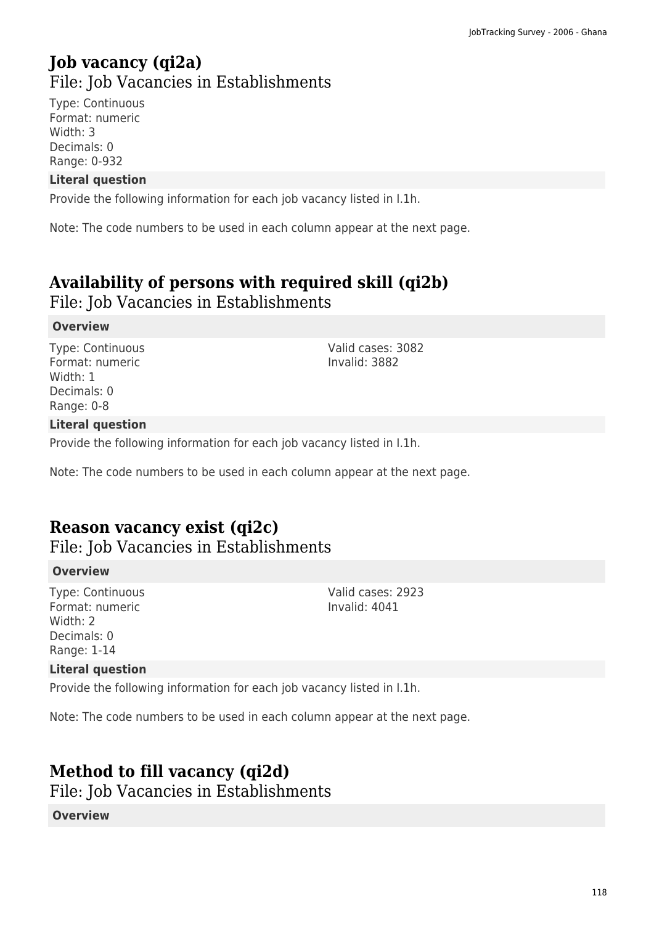# **Job vacancy (qi2a)**  File: Job Vacancies in Establishments

Type: Continuous Format: numeric Width: 3 Decimals: 0 Range: 0-932

## **Literal question**

Provide the following information for each job vacancy listed in I.1h.

Note: The code numbers to be used in each column appear at the next page.

# **Availability of persons with required skill (qi2b)**

File: Job Vacancies in Establishments

## **Overview**

Type: Continuous Format: numeric Width: 1 Decimals: 0 Range: 0-8

Valid cases: 3082 Invalid: 3882

Valid cases: 2923 Invalid: 4041

## **Literal question**

Provide the following information for each job vacancy listed in I.1h.

Note: The code numbers to be used in each column appear at the next page.

# **Reason vacancy exist (qi2c)**

File: Job Vacancies in Establishments

## **Overview**

Type: Continuous Format: numeric Width: 2 Decimals: 0 Range: 1-14

#### **Literal question**

Provide the following information for each job vacancy listed in I.1h.

Note: The code numbers to be used in each column appear at the next page.

# **Method to fill vacancy (qi2d)**

File: Job Vacancies in Establishments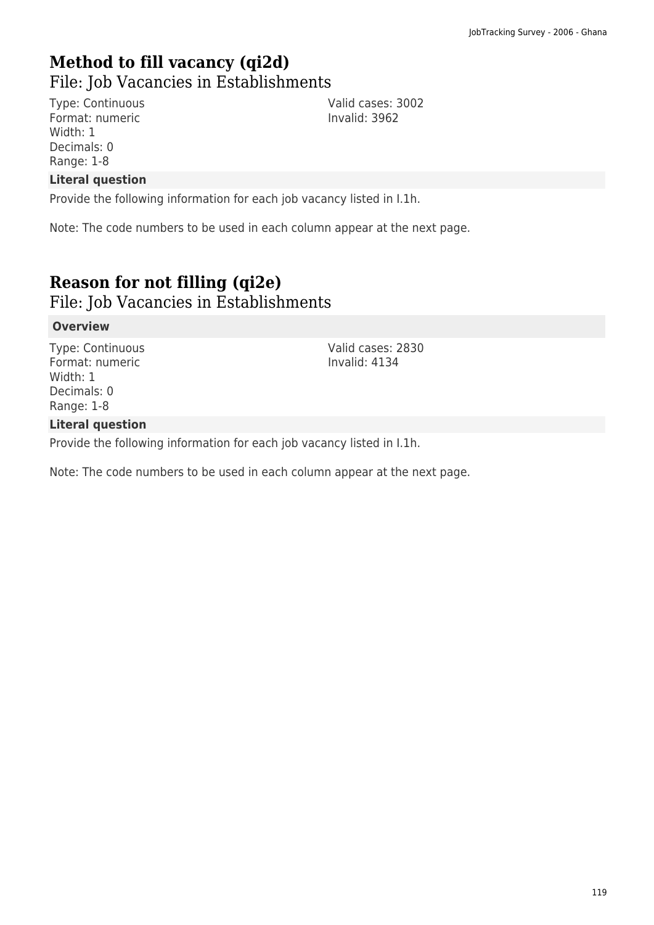# **Method to fill vacancy (qi2d)**

File: Job Vacancies in Establishments

Type: Continuous Format: numeric Width: 1 Decimals: 0 Range: 1-8

Valid cases: 3002 Invalid: 3962

## **Literal question**

Provide the following information for each job vacancy listed in I.1h.

Note: The code numbers to be used in each column appear at the next page.

# **Reason for not filling (qi2e)**

File: Job Vacancies in Establishments

#### **Overview**

Type: Continuous Format: numeric Width: 1 Decimals: 0 Range: 1-8

Valid cases: 2830 Invalid: 4134

#### **Literal question**

Provide the following information for each job vacancy listed in I.1h.

Note: The code numbers to be used in each column appear at the next page.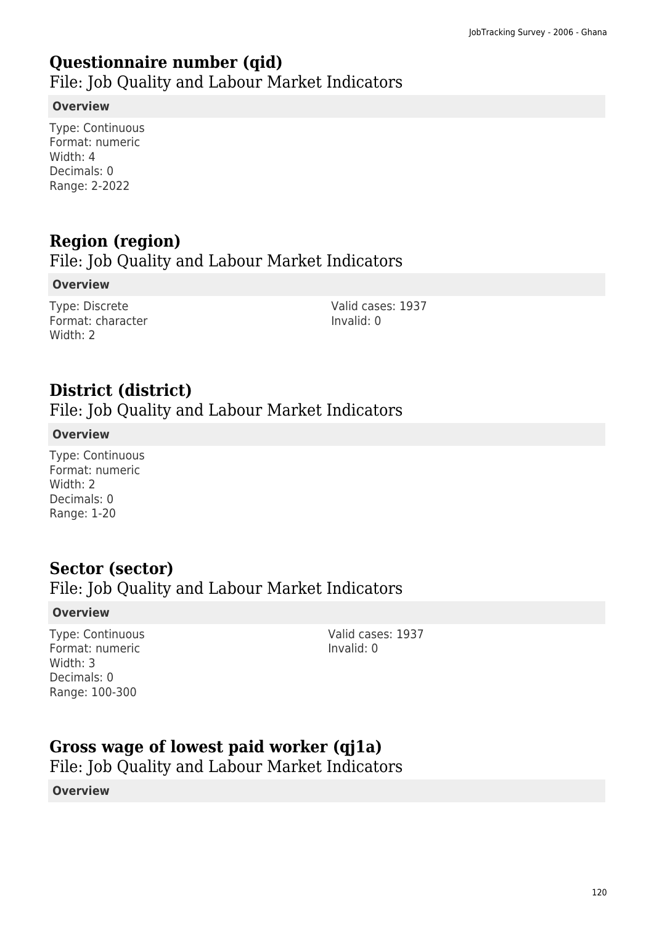# **Questionnaire number (qid)**

File: Job Quality and Labour Market Indicators

## **Overview**

Type: Continuous Format: numeric Width: 4 Decimals: 0 Range: 2-2022

# **Region (region)**

# File: Job Quality and Labour Market Indicators

## **Overview**

Type: Discrete Format: character Width: 2

Valid cases: 1937 Invalid: 0

# **District (district)**

File: Job Quality and Labour Market Indicators

## **Overview**

Type: Continuous Format: numeric Width: 2 Decimals: 0 Range: 1-20

# **Sector (sector)**

# File: Job Quality and Labour Market Indicators

## **Overview**

Type: Continuous Format: numeric Width: 3 Decimals: 0 Range: 100-300

Valid cases: 1937 Invalid: 0

# **Gross wage of lowest paid worker (qj1a)**

File: Job Quality and Labour Market Indicators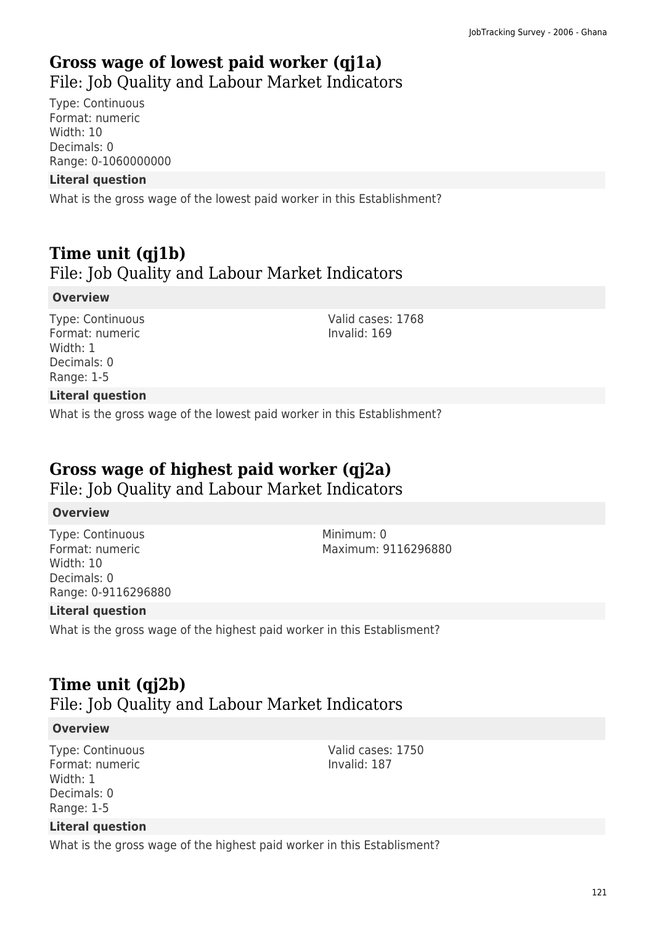# **Gross wage of lowest paid worker (qj1a)**  File: Job Quality and Labour Market Indicators

Type: Continuous Format: numeric Width: 10 Decimals: 0 Range: 0-1060000000

#### **Literal question**

What is the gross wage of the lowest paid worker in this Establishment?

# **Time unit (qj1b)**  File: Job Quality and Labour Market Indicators

#### **Overview**

Type: Continuous Format: numeric Width: 1 Decimals: 0 Range: 1-5

Valid cases: 1768 Invalid: 169

## **Literal question**

What is the gross wage of the lowest paid worker in this Establishment?

# **Gross wage of highest paid worker (qj2a)**

File: Job Quality and Labour Market Indicators

#### **Overview**

Type: Continuous Format: numeric Width: 10 Decimals: 0 Range: 0-9116296880 Minimum: 0 Maximum: 9116296880

Valid cases: 1750 Invalid: 187

#### **Literal question**

What is the gross wage of the highest paid worker in this Establisment?

# **Time unit (qj2b)**

# File: Job Quality and Labour Market Indicators

#### **Overview**

Type: Continuous Format: numeric Width: 1 Decimals: 0 Range: 1-5

#### **Literal question**

What is the gross wage of the highest paid worker in this Establisment?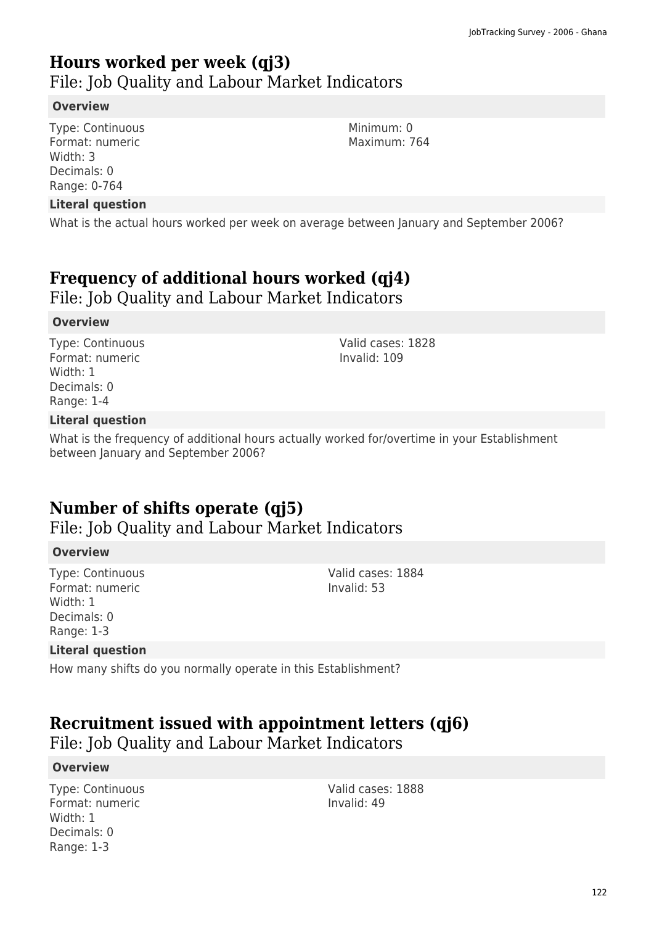# **Hours worked per week (qj3)**

File: Job Quality and Labour Market Indicators

## **Overview**

Type: Continuous Format: numeric Width: 3 Decimals: 0 Range: 0-764

#### **Literal question**

What is the actual hours worked per week on average between January and September 2006?

# **Frequency of additional hours worked (qj4)**

File: Job Quality and Labour Market Indicators

#### **Overview**

Type: Continuous Format: numeric Width: 1 Decimals: 0 Range: 1-4

Valid cases: 1828 Invalid: 109

## **Literal question**

What is the frequency of additional hours actually worked for/overtime in your Establishment between January and September 2006?

# **Number of shifts operate (qj5)**

File: Job Quality and Labour Market Indicators

## **Overview**

Type: Continuous Format: numeric Width: 1 Decimals: 0 Range: 1-3

Valid cases: 1884 Invalid: 53

## **Literal question**

How many shifts do you normally operate in this Establishment?

# **Recruitment issued with appointment letters (qj6)**

File: Job Quality and Labour Market Indicators

## **Overview**

Type: Continuous Format: numeric Width: 1 Decimals: 0 Range: 1-3

Valid cases: 1888 Invalid: 49

Minimum: 0 Maximum: 764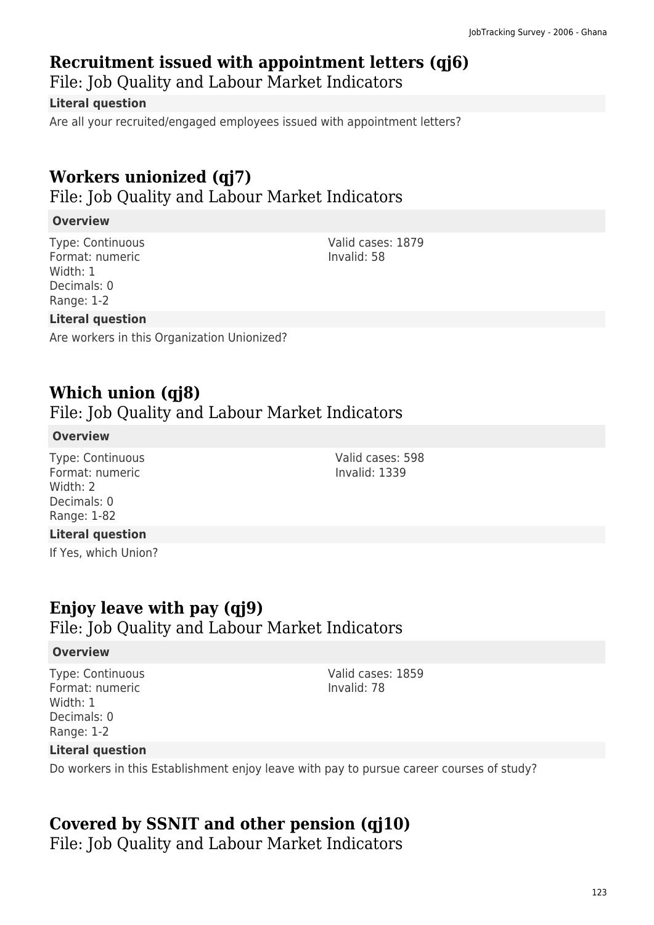# **Recruitment issued with appointment letters (qj6)**

File: Job Quality and Labour Market Indicators

## **Literal question**

Are all your recruited/engaged employees issued with appointment letters?

# **Workers unionized (qj7)**

File: Job Quality and Labour Market Indicators

# **Overview**

Type: Continuous Format: numeric Width: 1 Decimals: 0 Range: 1-2

Valid cases: 1879 Invalid: 58

Valid cases: 598 Invalid: 1339

## **Literal question**

Are workers in this Organization Unionized?

# **Which union (qj8)**

File: Job Quality and Labour Market Indicators

## **Overview**

Type: Continuous Format: numeric Width: 2 Decimals: 0 Range: 1-82

## **Literal question**

If Yes, which Union?

# **Enjoy leave with pay (qj9)**  File: Job Quality and Labour Market Indicators

## **Overview**

Type: Continuous Format: numeric Width: 1 Decimals: 0 Range: 1-2

Valid cases: 1859 Invalid: 78

## **Literal question**

Do workers in this Establishment enjoy leave with pay to pursue career courses of study?

# **Covered by SSNIT and other pension (qj10)**

File: Job Quality and Labour Market Indicators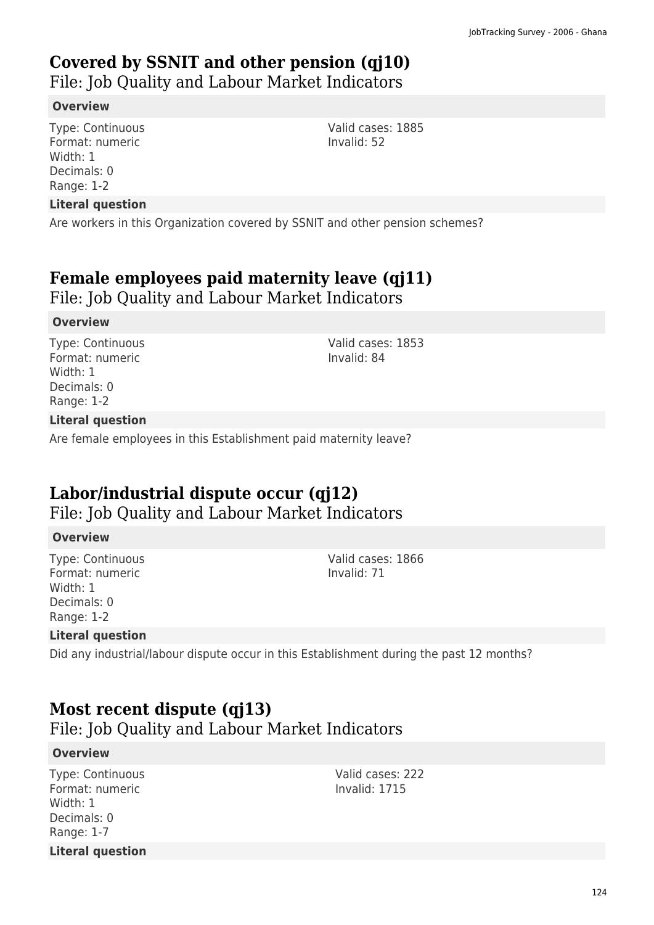# **Covered by SSNIT and other pension (qj10)**

File: Job Quality and Labour Market Indicators

## **Overview**

Type: Continuous Format: numeric Width: 1 Decimals: 0 Range: 1-2

## **Literal question**

Are workers in this Organization covered by SSNIT and other pension schemes?

# **Female employees paid maternity leave (qj11)**

File: Job Quality and Labour Market Indicators

## **Overview**

Type: Continuous Format: numeric Width: 1 Decimals: 0 Range: 1-2

Valid cases: 1853 Invalid: 84

Valid cases: 1885

Invalid: 52

## **Literal question**

Are female employees in this Establishment paid maternity leave?

# **Labor/industrial dispute occur (qj12)**

File: Job Quality and Labour Market Indicators

## **Overview**

Type: Continuous Format: numeric Width: 1 Decimals: 0 Range: 1-2

Valid cases: 1866 Invalid: 71

## **Literal question**

Did any industrial/labour dispute occur in this Establishment during the past 12 months?

# **Most recent dispute (qj13)**

File: Job Quality and Labour Market Indicators

## **Overview**

Type: Continuous Format: numeric Width: 1 Decimals: 0 Range: 1-7 **Literal question** Valid cases: 222 Invalid: 1715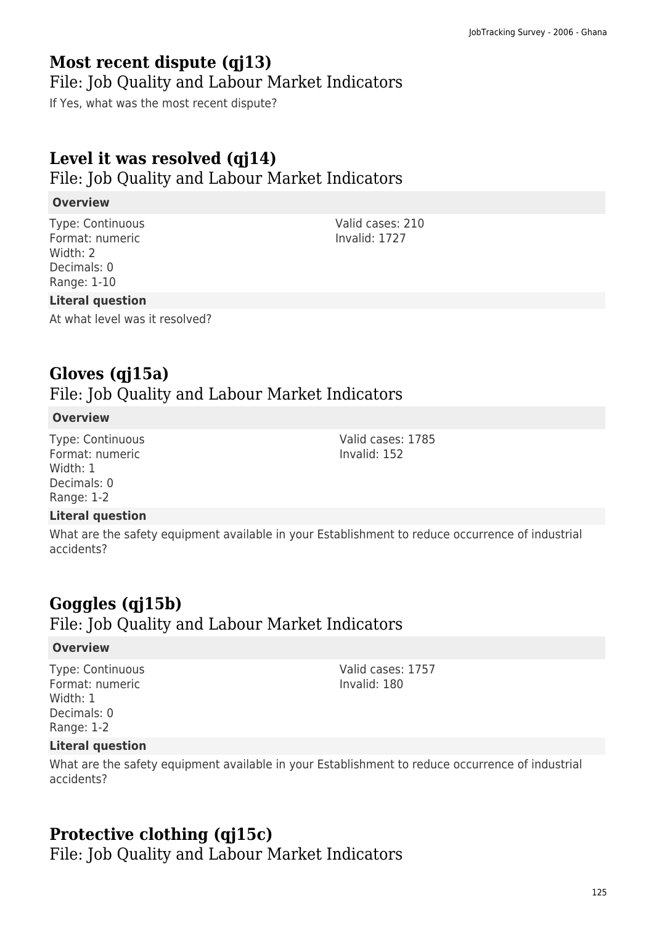# **Most recent dispute (qj13)**

## File: Job Quality and Labour Market Indicators

If Yes, what was the most recent dispute?

# **Level it was resolved (qj14)**

File: Job Quality and Labour Market Indicators

## **Overview**

Type: Continuous Format: numeric Width: 2 Decimals: 0 Range: 1-10

# Invalid: 1727

Valid cases: 210

## **Literal question**

At what level was it resolved?

# **Gloves (qj15a)**

File: Job Quality and Labour Market Indicators

## **Overview**

Type: Continuous Format: numeric Width: 1 Decimals: 0 Range: 1-2

## **Literal question**

What are the safety equipment available in your Establishment to reduce occurrence of industrial accidents?

# **Goggles (qj15b)**

File: Job Quality and Labour Market Indicators

## **Overview**

Type: Continuous Format: numeric Width: 1 Decimals: 0 Range: 1-2

Valid cases: 1757 Invalid: 180

## **Literal question**

What are the safety equipment available in your Establishment to reduce occurrence of industrial accidents?

# **Protective clothing (qj15c)**

File: Job Quality and Labour Market Indicators

Valid cases: 1785 Invalid: 152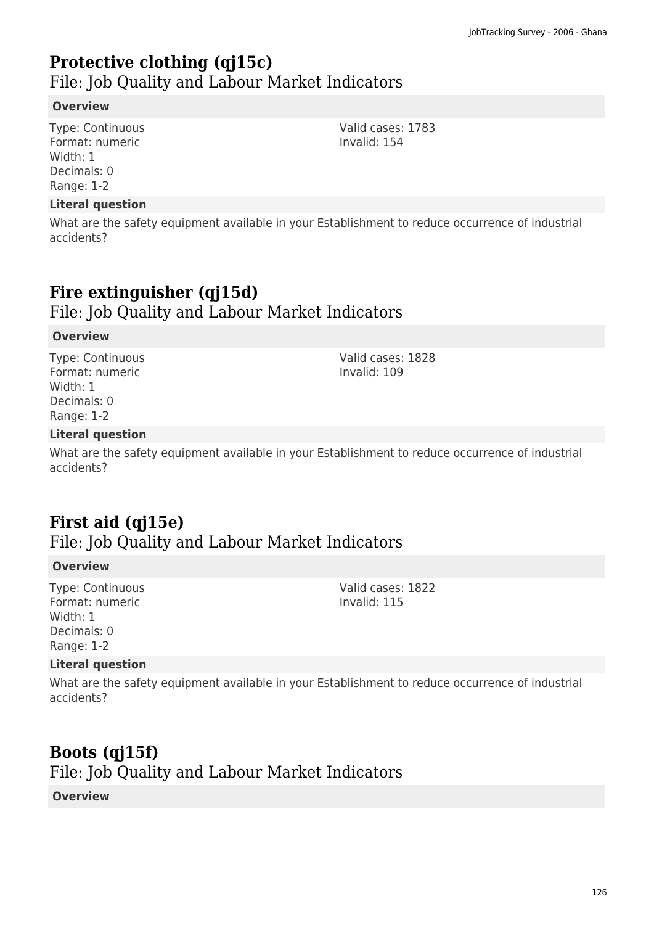# **Protective clothing (qj15c)**

File: Job Quality and Labour Market Indicators

## **Overview**

Type: Continuous Format: numeric Width: 1 Decimals: 0 Range: 1-2

#### **Literal question**

What are the safety equipment available in your Establishment to reduce occurrence of industrial accidents?

# **Fire extinguisher (qj15d)**

File: Job Quality and Labour Market Indicators

## **Overview**

Type: Continuous Format: numeric Width: 1 Decimals: 0 Range: 1-2

Valid cases: 1828 Invalid: 109

Valid cases: 1822 Invalid: 115

## **Literal question**

What are the safety equipment available in your Establishment to reduce occurrence of industrial accidents?

# **First aid (qj15e)**

File: Job Quality and Labour Market Indicators

## **Overview**

Type: Continuous Format: numeric Width: 1 Decimals: 0 Range: 1-2

# **Literal question**

What are the safety equipment available in your Establishment to reduce occurrence of industrial accidents?

# **Boots (qj15f)**

File: Job Quality and Labour Market Indicators

## **Overview**

126

Valid cases: 1783 Invalid: 154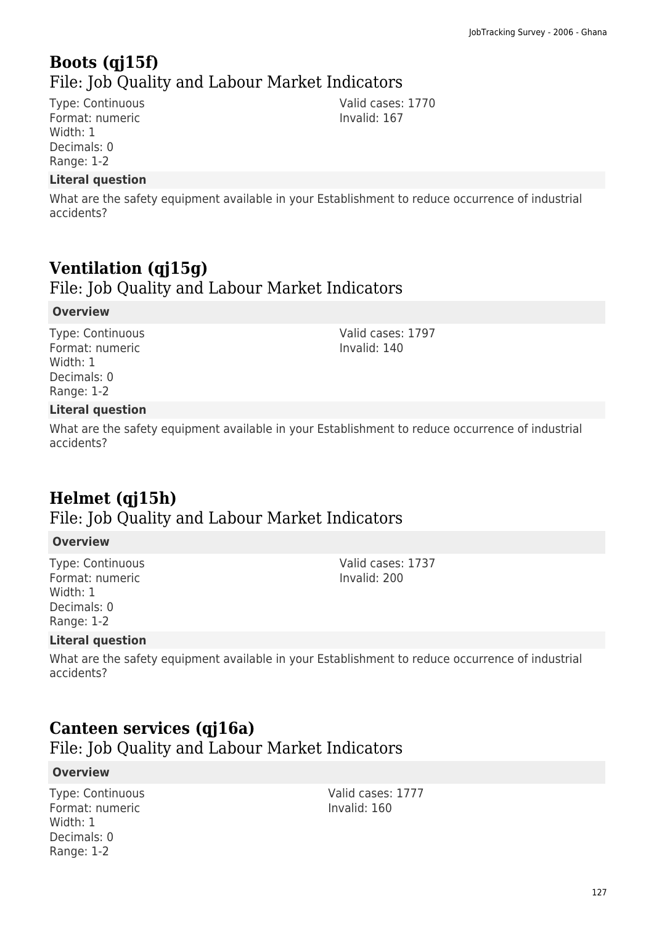# **Boots (qj15f)**  File: Job Quality and Labour Market Indicators

Type: Continuous Format: numeric Width: 1 Decimals: 0 Range: 1-2

## **Literal question**

What are the safety equipment available in your Establishment to reduce occurrence of industrial accidents?

# **Ventilation (qj15g)**

File: Job Quality and Labour Market Indicators

#### **Overview**

Type: Continuous Format: numeric Width: 1 Decimals: 0 Range: 1-2

Valid cases: 1797 Invalid: 140

Valid cases: 1770 Invalid: 167

## **Literal question**

What are the safety equipment available in your Establishment to reduce occurrence of industrial accidents?

# **Helmet (qj15h)**

# File: Job Quality and Labour Market Indicators

#### **Overview**

Type: Continuous Format: numeric Width: 1 Decimals: 0 Range: 1-2

#### Valid cases: 1737 Invalid: 200

## **Literal question**

What are the safety equipment available in your Establishment to reduce occurrence of industrial accidents?

# **Canteen services (qj16a)**

File: Job Quality and Labour Market Indicators

## **Overview**

Type: Continuous Format: numeric Width: 1 Decimals: 0 Range: 1-2

Valid cases: 1777 Invalid: 160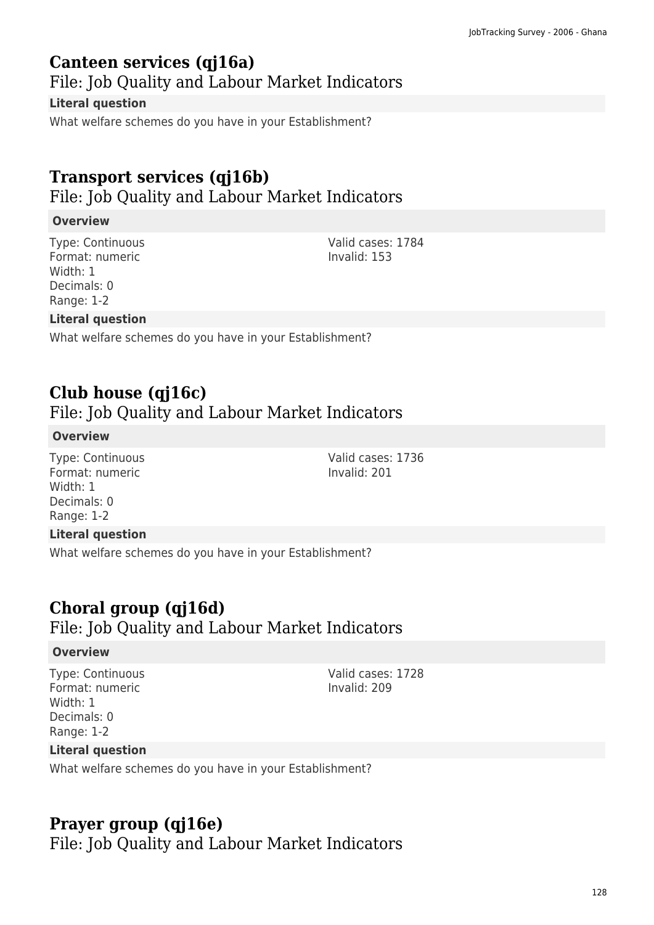# **Canteen services (qj16a)**

File: Job Quality and Labour Market Indicators

## **Literal question**

What welfare schemes do you have in your Establishment?

# **Transport services (qj16b)**

File: Job Quality and Labour Market Indicators

## **Overview**

Type: Continuous Format: numeric Width: 1 Decimals: 0 Range: 1-2

Valid cases: 1784 Invalid: 153

Valid cases: 1736 Invalid: 201

## **Literal question**

What welfare schemes do you have in your Establishment?

# **Club house (qj16c)**

File: Job Quality and Labour Market Indicators

## **Overview**

Type: Continuous Format: numeric Width: 1 Decimals: 0 Range: 1-2

# **Literal question**

What welfare schemes do you have in your Establishment?

# **Choral group (qj16d)**

# File: Job Quality and Labour Market Indicators

#### **Overview**

Type: Continuous Format: numeric Width: 1 Decimals: 0 Range: 1-2

Valid cases: 1728 Invalid: 209

## **Literal question**

What welfare schemes do you have in your Establishment?

# **Prayer group (qj16e)**

File: Job Quality and Labour Market Indicators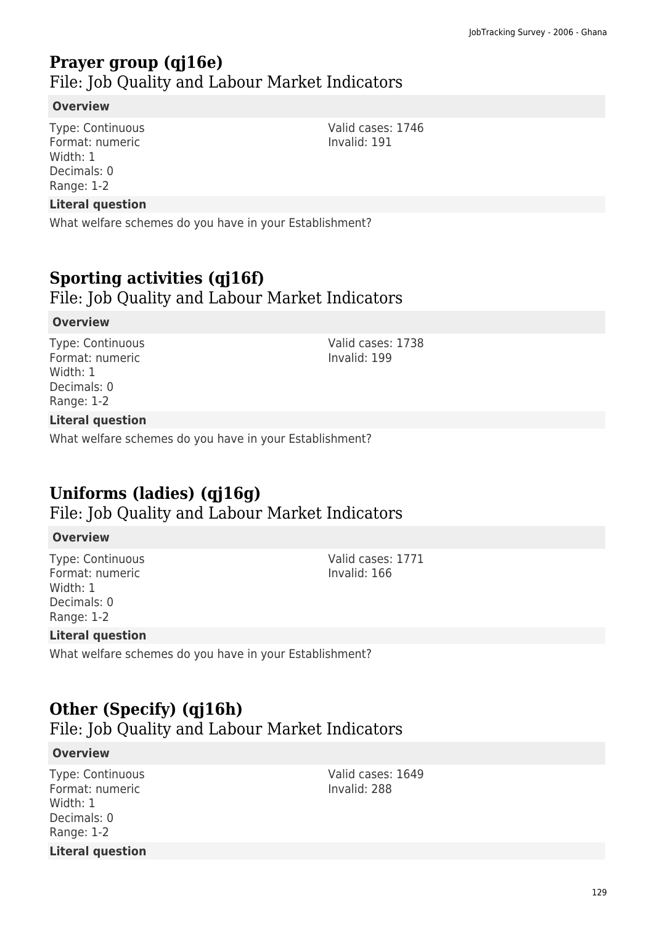# **Prayer group (qj16e)**

File: Job Quality and Labour Market Indicators

## **Overview**

Type: Continuous Format: numeric Width: 1 Decimals: 0 Range: 1-2

#### **Literal question**

What welfare schemes do you have in your Establishment?

# **Sporting activities (qj16f)**

File: Job Quality and Labour Market Indicators

#### **Overview**

Type: Continuous Format: numeric Width: 1 Decimals: 0 Range: 1-2

## Valid cases: 1738 Invalid: 199

## **Literal question**

What welfare schemes do you have in your Establishment?

# **Uniforms (ladies) (qj16g)**

File: Job Quality and Labour Market Indicators

#### **Overview**

Type: Continuous Format: numeric Width: 1 Decimals: 0 Range: 1-2

Valid cases: 1771 Invalid: 166

## **Literal question**

What welfare schemes do you have in your Establishment?

# **Other (Specify) (qj16h)**

File: Job Quality and Labour Market Indicators

#### **Overview**

Type: Continuous Format: numeric Width: 1 Decimals: 0 Range: 1-2 **Literal question** Valid cases: 1649 Invalid: 288

Valid cases: 1746 Invalid: 191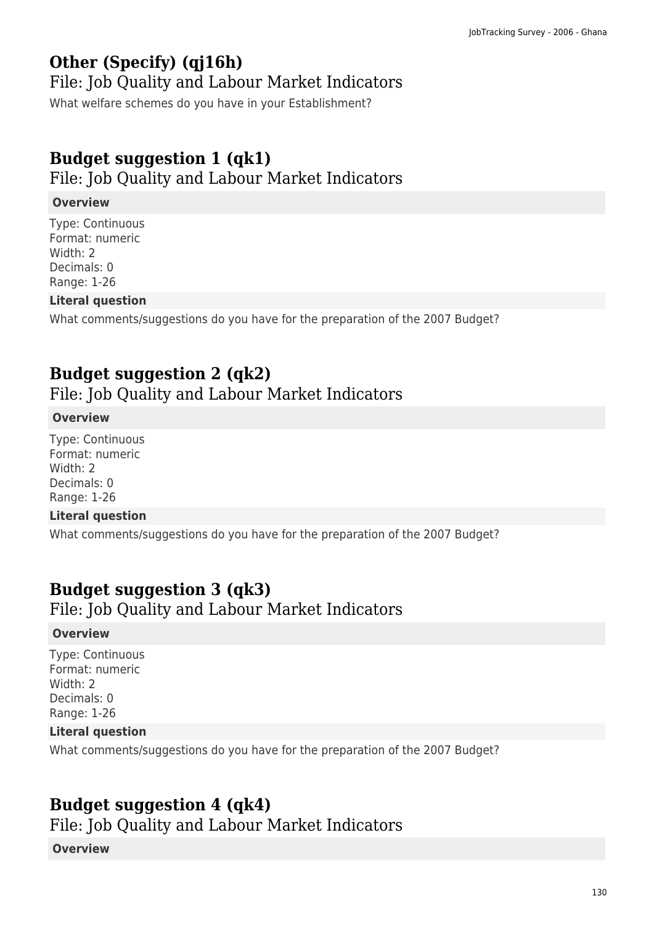# **Other (Specify) (qj16h)**

## File: Job Quality and Labour Market Indicators

What welfare schemes do you have in your Establishment?

# **Budget suggestion 1 (qk1)**

File: Job Quality and Labour Market Indicators

## **Overview**

Type: Continuous Format: numeric Width: 2 Decimals: 0 Range: 1-26

## **Literal question**

What comments/suggestions do you have for the preparation of the 2007 Budget?

# **Budget suggestion 2 (qk2)**

File: Job Quality and Labour Market Indicators

## **Overview**

Type: Continuous Format: numeric Width: 2 Decimals: 0 Range: 1-26

## **Literal question**

What comments/suggestions do you have for the preparation of the 2007 Budget?

# **Budget suggestion 3 (qk3)**

File: Job Quality and Labour Market Indicators

## **Overview**

Type: Continuous Format: numeric Width: 2 Decimals: 0 Range: 1-26

## **Literal question**

What comments/suggestions do you have for the preparation of the 2007 Budget?

# **Budget suggestion 4 (qk4)**

File: Job Quality and Labour Market Indicators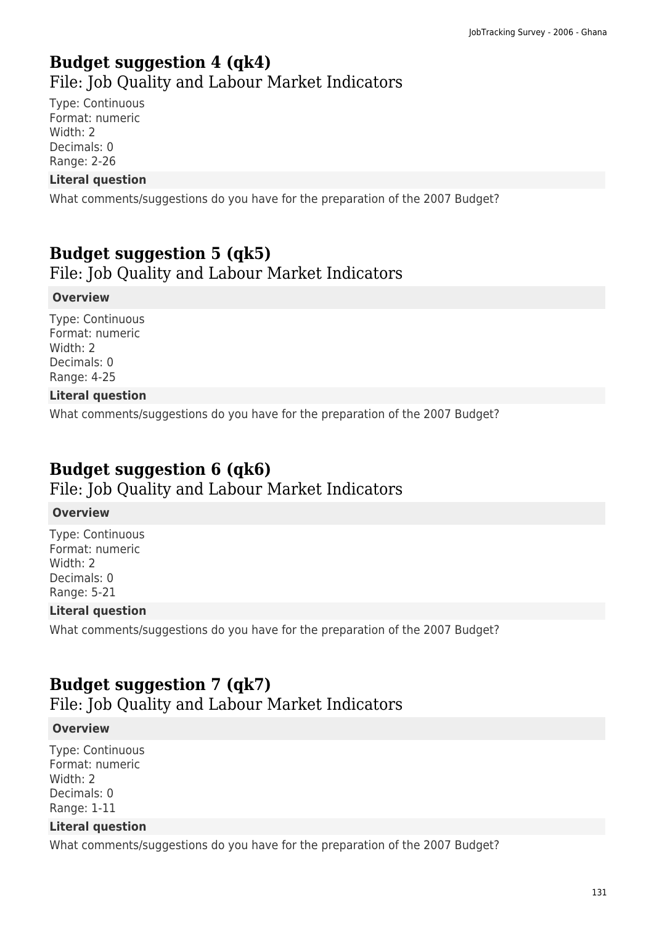# **Budget suggestion 4 (qk4)**  File: Job Quality and Labour Market Indicators

Type: Continuous Format: numeric Width: 2 Decimals: 0 Range: 2-26

## **Literal question**

What comments/suggestions do you have for the preparation of the 2007 Budget?

# **Budget suggestion 5 (qk5)**

File: Job Quality and Labour Market Indicators

## **Overview**

Type: Continuous Format: numeric Width: 2 Decimals: 0 Range: 4-25

## **Literal question**

What comments/suggestions do you have for the preparation of the 2007 Budget?

# **Budget suggestion 6 (qk6)**

File: Job Quality and Labour Market Indicators

#### **Overview**

Type: Continuous Format: numeric Width: 2 Decimals: 0 Range: 5-21

## **Literal question**

What comments/suggestions do you have for the preparation of the 2007 Budget?

# **Budget suggestion 7 (qk7)**

File: Job Quality and Labour Market Indicators

## **Overview**

Type: Continuous Format: numeric Width: 2 Decimals: 0 Range: 1-11

## **Literal question**

What comments/suggestions do you have for the preparation of the 2007 Budget?